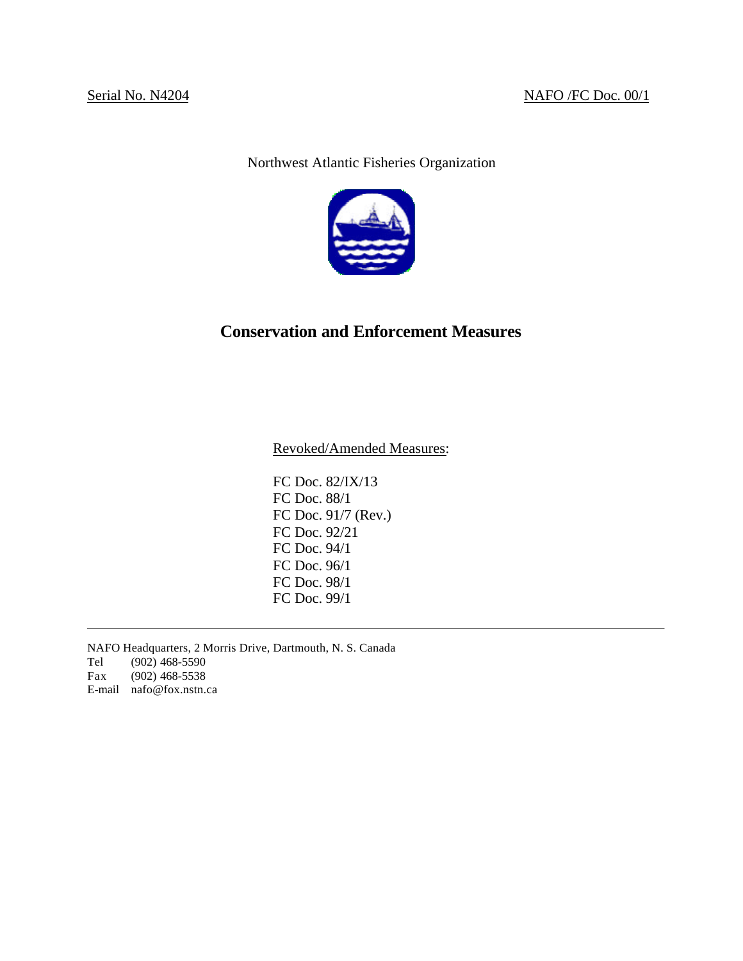Northwest Atlantic Fisheries Organization



# **Conservation and Enforcement Measures**

Revoked/Amended Measures:

FC Doc. 82/IX/13 FC Doc. 88/1 FC Doc. 91/7 (Rev.) FC Doc. 92/21 FC Doc. 94/1 FC Doc. 96/1 FC Doc. 98/1 FC Doc. 99/1

NAFO Headquarters, 2 Morris Drive, Dartmouth, N. S. Canada Tel (902) 468-5590 Fax (902) 468-5538 E-mail nafo@fox.nstn.ca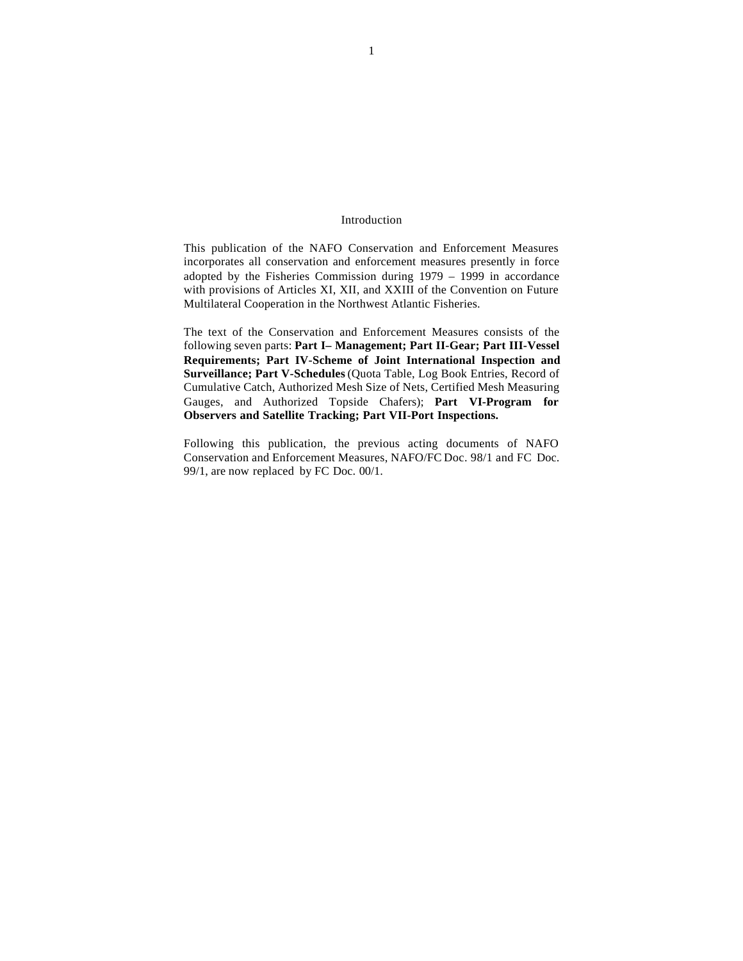#### Introduction

This publication of the NAFO Conservation and Enforcement Measures incorporates all conservation and enforcement measures presently in force adopted by the Fisheries Commission during 1979 – 1999 in accordance with provisions of Articles XI, XII, and XXIII of the Convention on Future Multilateral Cooperation in the Northwest Atlantic Fisheries.

The text of the Conservation and Enforcement Measures consists of the following seven parts: **Part I– Management; Part II-Gear; Part III-Vessel Requirements; Part IV-Scheme of Joint International Inspection and Surveillance; Part V-Schedules** (Quota Table, Log Book Entries, Record of Cumulative Catch, Authorized Mesh Size of Nets, Certified Mesh Measuring Gauges, and Authorized Topside Chafers); **Part VI-Program for Observers and Satellite Tracking; Part VII-Port Inspections.**

Following this publication, the previous acting documents of NAFO Conservation and Enforcement Measures, NAFO/FC Doc. 98/1 and FC Doc. 99/1, are now replaced by FC Doc. 00/1.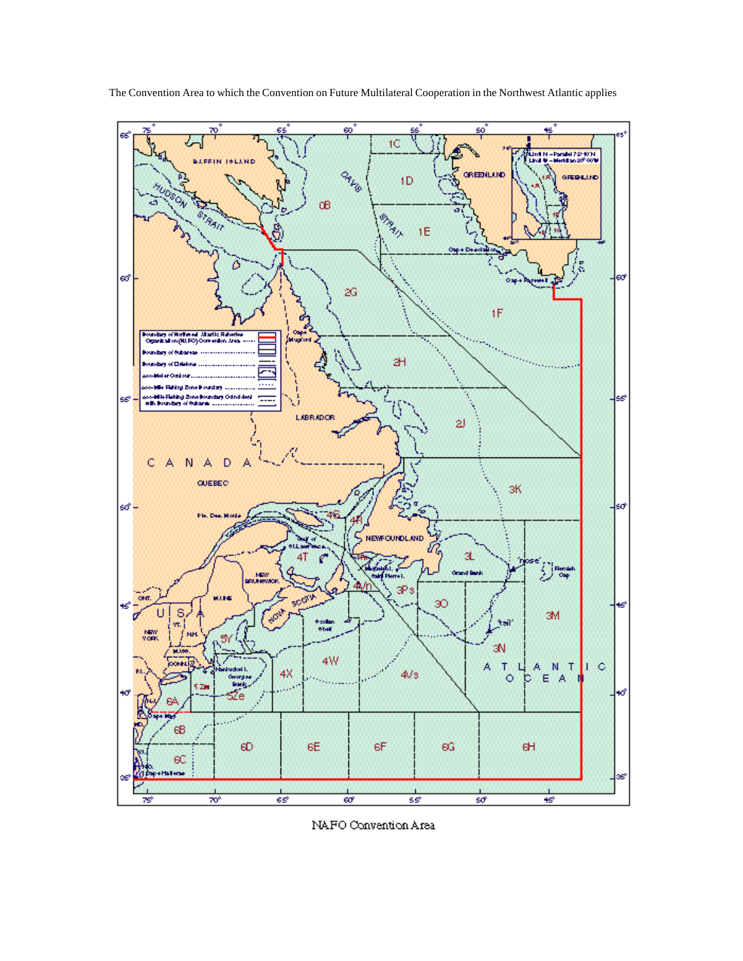

The Convention Area to which the Convention on Future Multilateral Cooperation in the Northwest Atlantic applies

NAFO Convention Area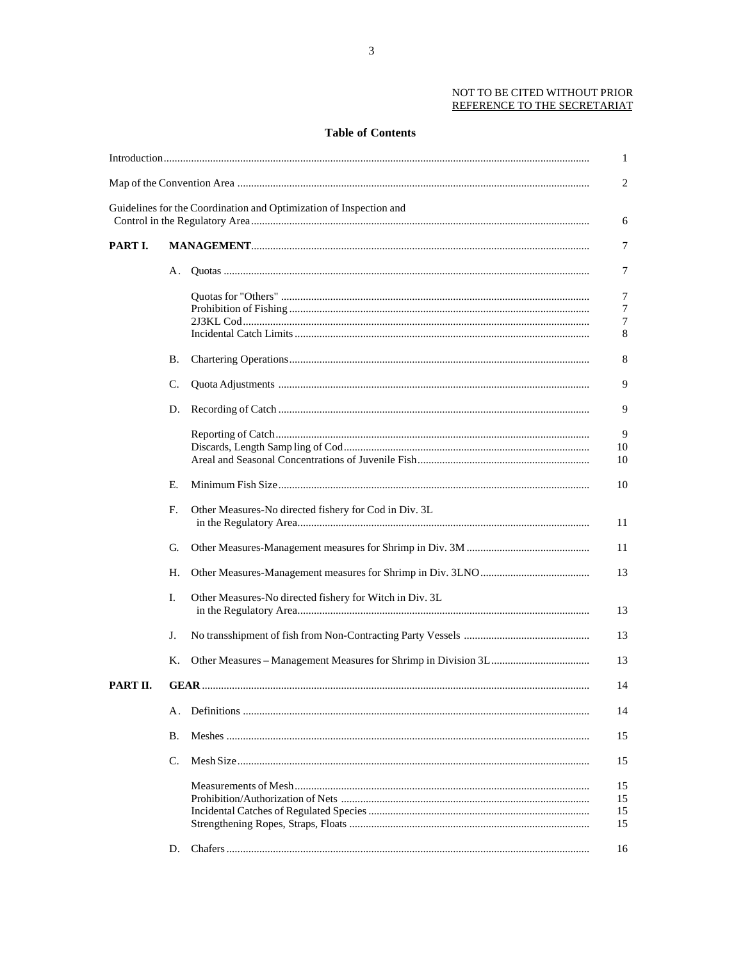## NOT TO BE CITED WITHOUT PRIOR REFERENCE TO THE SECRETARIAT

# **Table of Contents**

|          |    |                                                                    | 1              |
|----------|----|--------------------------------------------------------------------|----------------|
|          |    |                                                                    | $\overline{c}$ |
|          |    | Guidelines for the Coordination and Optimization of Inspection and | 6              |
| PART I.  |    |                                                                    | 7              |
|          | А. |                                                                    | 7              |
|          |    |                                                                    | 7              |
|          |    |                                                                    | 7              |
|          |    |                                                                    | 7              |
|          |    |                                                                    | 8              |
|          | В. |                                                                    | 8              |
|          | C. |                                                                    | 9              |
|          | D. |                                                                    | 9              |
|          |    |                                                                    | 9              |
|          |    |                                                                    | 10             |
|          |    |                                                                    | 10             |
|          | Е. |                                                                    | 10             |
|          |    |                                                                    |                |
|          | F. | Other Measures-No directed fishery for Cod in Div. 3L              | 11             |
|          | G. |                                                                    | 11             |
|          | Н. |                                                                    | 13             |
|          | Ι. | Other Measures-No directed fishery for Witch in Div. 3L            | 13             |
|          | J. |                                                                    | 13             |
|          | К. |                                                                    | 13             |
| PART II. |    |                                                                    | 14             |
|          | А. |                                                                    | 14             |
|          | В. |                                                                    | 15             |
|          | C. |                                                                    | 15             |
|          |    |                                                                    | 15             |
|          |    |                                                                    | 15             |
|          |    |                                                                    | 15             |
|          |    |                                                                    | 15             |
|          | D. |                                                                    | 16             |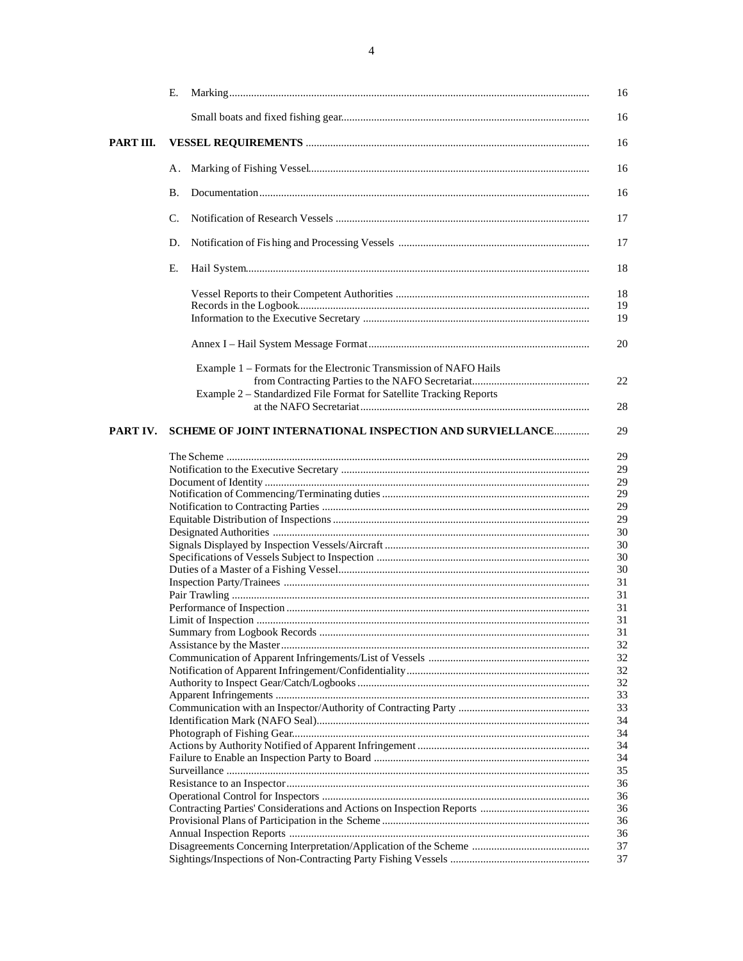|           | Е.        |                                                                                                                                          | 16             |
|-----------|-----------|------------------------------------------------------------------------------------------------------------------------------------------|----------------|
|           |           |                                                                                                                                          | 16             |
| PART III. |           |                                                                                                                                          | 16             |
|           | А.        |                                                                                                                                          | 16             |
|           | <b>B.</b> |                                                                                                                                          | 16             |
|           | C.        |                                                                                                                                          | 17             |
|           | D.        |                                                                                                                                          | 17             |
|           | Е.        |                                                                                                                                          | 18             |
|           |           |                                                                                                                                          | 18<br>19<br>19 |
|           |           |                                                                                                                                          | 20             |
|           |           | Example 1 – Formats for the Electronic Transmission of NAFO Hails<br>Example 2 - Standardized File Format for Satellite Tracking Reports | 22             |
|           |           |                                                                                                                                          | 28             |
| PART IV.  |           | SCHEME OF JOINT INTERNATIONAL INSPECTION AND SURVIELLANCE                                                                                | 29             |
|           |           |                                                                                                                                          | 29             |
|           |           |                                                                                                                                          | 29             |
|           |           |                                                                                                                                          | 29             |
|           |           |                                                                                                                                          | 29             |
|           |           |                                                                                                                                          | 29             |
|           |           |                                                                                                                                          | 29             |
|           |           |                                                                                                                                          | 30             |
|           |           |                                                                                                                                          | 30             |
|           |           |                                                                                                                                          | 30             |
|           |           |                                                                                                                                          | 30             |
|           |           |                                                                                                                                          | 31             |
|           |           |                                                                                                                                          | 31             |
|           |           |                                                                                                                                          | 31             |
|           |           |                                                                                                                                          | 31             |
|           |           |                                                                                                                                          | 31             |
|           |           |                                                                                                                                          | 32             |
|           |           |                                                                                                                                          | 32             |
|           |           |                                                                                                                                          | 32             |
|           |           |                                                                                                                                          | 32             |
|           |           |                                                                                                                                          |                |
|           |           |                                                                                                                                          | 33             |
|           |           |                                                                                                                                          | 33             |
|           |           |                                                                                                                                          | 34             |
|           |           |                                                                                                                                          | 34             |
|           |           |                                                                                                                                          | 34             |
|           |           |                                                                                                                                          | 34             |
|           |           |                                                                                                                                          | 35             |
|           |           |                                                                                                                                          | 36             |
|           |           |                                                                                                                                          | 36             |
|           |           |                                                                                                                                          | 36             |
|           |           |                                                                                                                                          | 36             |
|           |           |                                                                                                                                          | 36             |
|           |           |                                                                                                                                          | 37             |
|           |           |                                                                                                                                          | 37             |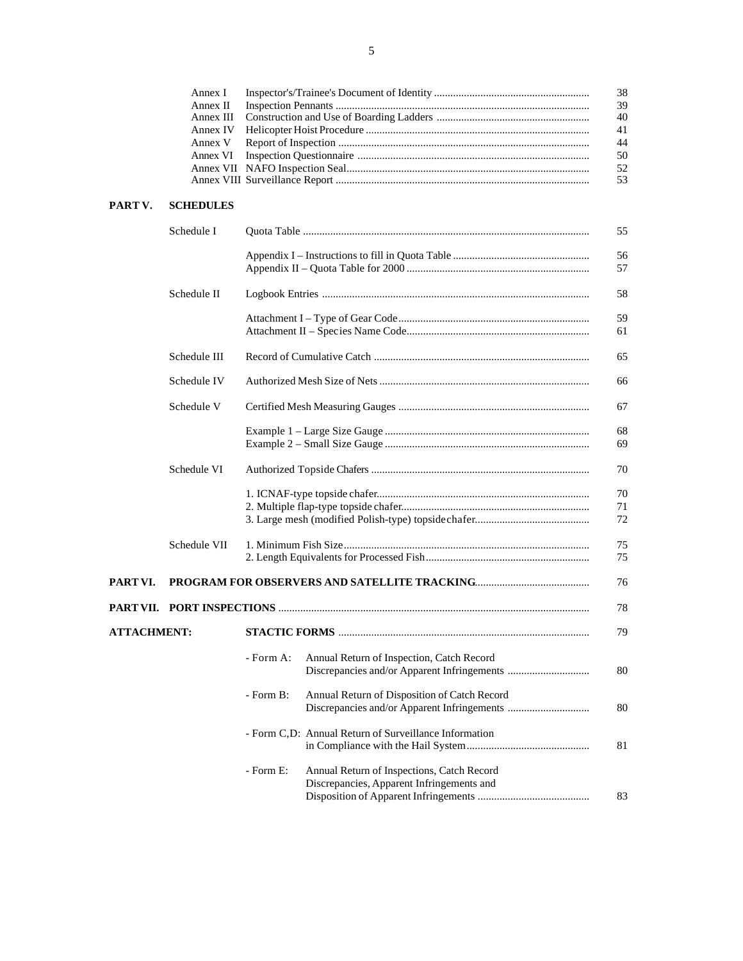|                    | Annex I<br>Annex II<br>Annex III<br>Annex IV<br>Annex V<br>Annex VI |           | 38<br>39<br>40<br>41<br>44<br>50<br>52<br>53                                                  |
|--------------------|---------------------------------------------------------------------|-----------|-----------------------------------------------------------------------------------------------|
| PART V.            | <b>SCHEDULES</b>                                                    |           |                                                                                               |
|                    | Schedule I                                                          |           | 55                                                                                            |
|                    |                                                                     |           | 56<br>57                                                                                      |
|                    | Schedule II                                                         |           | 58                                                                                            |
|                    |                                                                     |           | 59<br>61                                                                                      |
|                    | Schedule III                                                        |           | 65                                                                                            |
|                    | Schedule IV                                                         |           | 66                                                                                            |
|                    | Schedule V                                                          |           | 67                                                                                            |
|                    |                                                                     |           | 68<br>69                                                                                      |
|                    | Schedule VI                                                         |           | 70                                                                                            |
|                    |                                                                     |           | 70<br>71<br>72                                                                                |
|                    | Schedule VII                                                        |           | 75<br>75                                                                                      |
| PART VI.           |                                                                     |           | 76                                                                                            |
|                    |                                                                     |           | 78                                                                                            |
| <b>ATTACHMENT:</b> |                                                                     |           |                                                                                               |
|                    |                                                                     | - Form A: | Annual Return of Inspection, Catch Record<br>80                                               |
|                    |                                                                     | - Form B: | Annual Return of Disposition of Catch Record<br>80                                            |
|                    |                                                                     |           | - Form C,D: Annual Return of Surveillance Information<br>81                                   |
|                    |                                                                     | - Form E: | Annual Return of Inspections, Catch Record<br>Discrepancies, Apparent Infringements and<br>83 |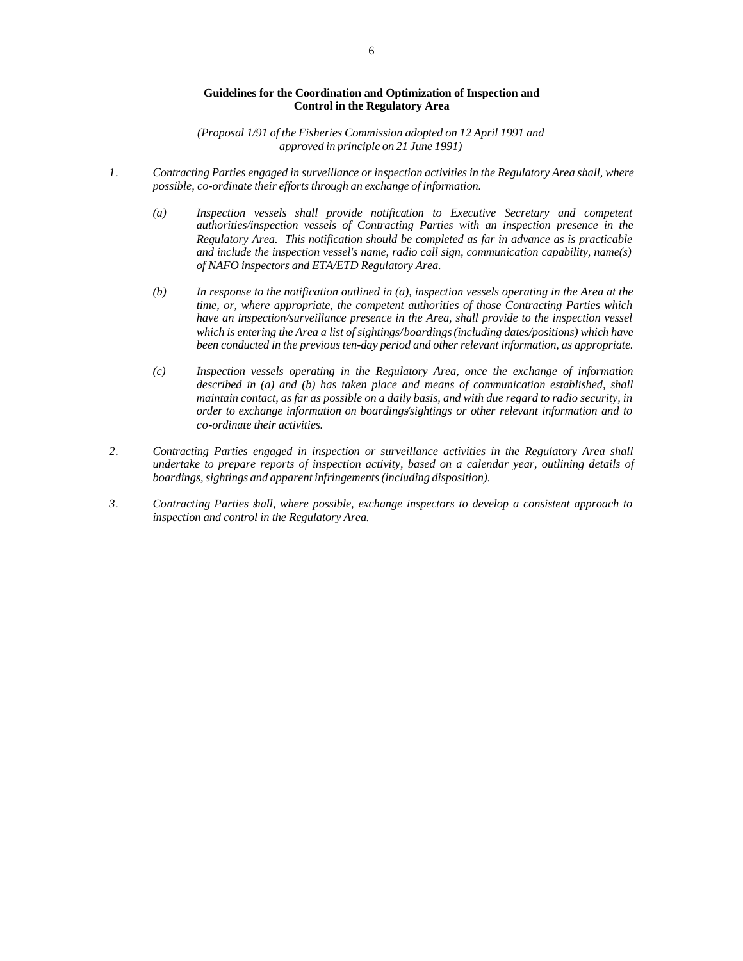#### **Guidelines for the Coordination and Optimization of Inspection and Control in the Regulatory Area**

*(Proposal 1/91 of the Fisheries Commission adopted on 12 April 1991 and approved in principle on 21 June 1991)*

- *1. Contracting Parties engaged in surveillance or inspection activities in the Regulatory Area shall, where possible, co-ordinate their efforts through an exchange of information.*
	- *(a) Inspection vessels shall provide notification to Executive Secretary and competent authorities/inspection vessels of Contracting Parties with an inspection presence in the Regulatory Area. This notification should be completed as far in advance as is practicable and include the inspection vessel's name, radio call sign, communication capability, name(s) of NAFO inspectors and ETA/ETD Regulatory Area.*
	- *(b) In response to the notification outlined in (a), inspection vessels operating in the Area at the time, or, where appropriate, the competent authorities of those Contracting Parties which have an inspection/surveillance presence in the Area, shall provide to the inspection vessel which is entering the Area a list of sightings/boardings (including dates/positions) which have been conducted in the previous ten-day period and other relevant information, as appropriate.*
	- *(c) Inspection vessels operating in the Regulatory Area, once the exchange of information described in (a) and (b) has taken place and means of communication established, shall maintain contact, as far as possible on a daily basis, and with due regard to radio security, in order to exchange information on boardings/sightings or other relevant information and to co-ordinate their activities.*
- *2. Contracting Parties engaged in inspection or surveillance activities in the Regulatory Area shall undertake to prepare reports of inspection activity, based on a calendar year, outlining details of boardings, sightings and apparent infringements (including disposition).*
- *3. Contracting Parties shall, where possible, exchange inspectors to develop a consistent approach to inspection and control in the Regulatory Area.*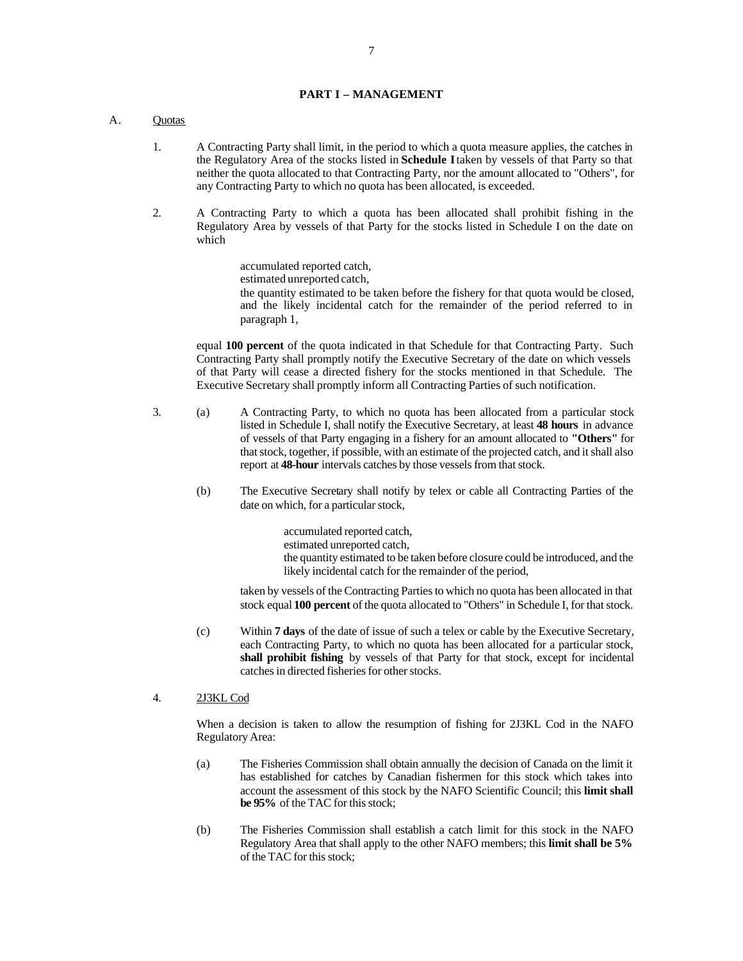#### **PART I – MANAGEMENT**

### A. Quotas

- 1. A Contracting Party shall limit, in the period to which a quota measure applies, the catches in the Regulatory Area of the stocks listed in **Schedule I** taken by vessels of that Party so that neither the quota allocated to that Contracting Party, nor the amount allocated to "Others", for any Contracting Party to which no quota has been allocated, is exceeded.
- 2. A Contracting Party to which a quota has been allocated shall prohibit fishing in the Regulatory Area by vessels of that Party for the stocks listed in Schedule I on the date on which

accumulated reported catch, estimated unreported catch, the quantity estimated to be taken before the fishery for that quota would be closed, and the likely incidental catch for the remainder of the period referred to in paragraph 1,

equal **100 percent** of the quota indicated in that Schedule for that Contracting Party. Such Contracting Party shall promptly notify the Executive Secretary of the date on which vessels of that Party will cease a directed fishery for the stocks mentioned in that Schedule. The Executive Secretary shall promptly inform all Contracting Parties of such notification.

- 3. (a) A Contracting Party, to which no quota has been allocated from a particular stock listed in Schedule I, shall notify the Executive Secretary, at least **48 hours** in advance of vessels of that Party engaging in a fishery for an amount allocated to **"Others"** for that stock, together, if possible, with an estimate of the projected catch, and it shall also report at **48-hour** intervals catches by those vessels from that stock.
	- (b) The Executive Secretary shall notify by telex or cable all Contracting Parties of the date on which, for a particular stock,

accumulated reported catch, estimated unreported catch, the quantity estimated to be taken before closure could be introduced, and the likely incidental catch for the remainder of the period,

taken by vessels of the Contracting Parties to which no quota has been allocated in that stock equal **100 percent** of the quota allocated to "Others" in Schedule I, for that stock.

- (c) Within **7 days** of the date of issue of such a telex or cable by the Executive Secretary, each Contracting Party, to which no quota has been allocated for a particular stock, **shall prohibit fishing** by vessels of that Party for that stock, except for incidental catches in directed fisheries for other stocks.
- 4. 2J3KL Cod

When a decision is taken to allow the resumption of fishing for 2J3KL Cod in the NAFO Regulatory Area:

- (a) The Fisheries Commission shall obtain annually the decision of Canada on the limit it has established for catches by Canadian fishermen for this stock which takes into account the assessment of this stock by the NAFO Scientific Council; this **limit shall be 95%** of the TAC for this stock;
- (b) The Fisheries Commission shall establish a catch limit for this stock in the NAFO Regulatory Area that shall apply to the other NAFO members; this **limit shall be 5%** of the TAC for this stock;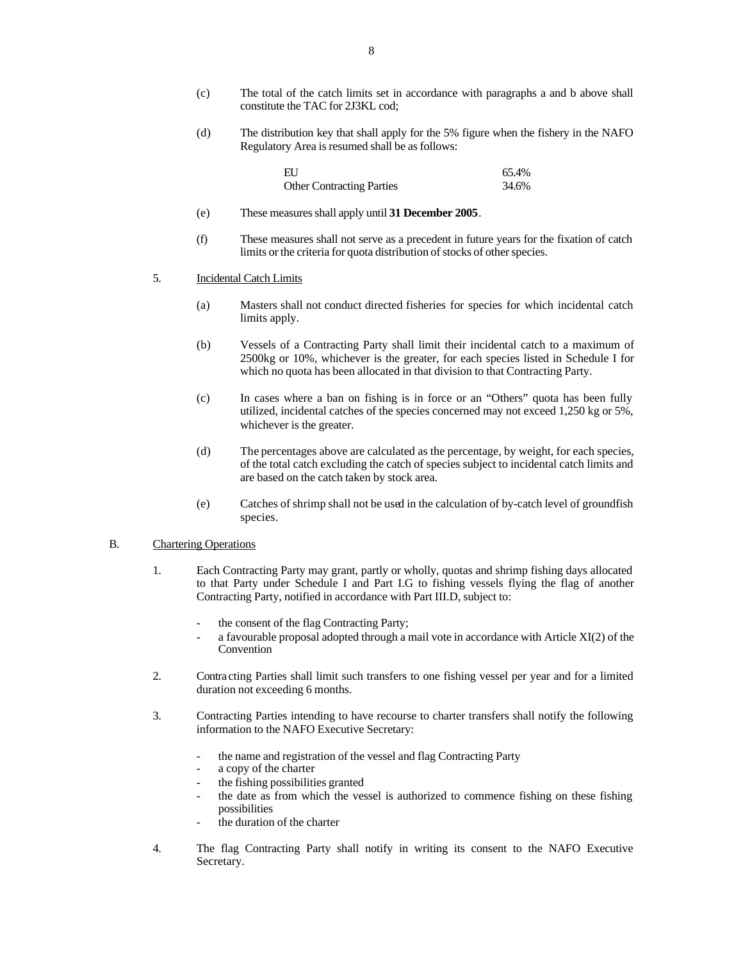- (c) The total of the catch limits set in accordance with paragraphs a and b above shall constitute the TAC for 2J3KL cod;
- (d) The distribution key that shall apply for the 5% figure when the fishery in the NAFO Regulatory Area is resumed shall be as follows:

| ΕIJ                              | 65.4% |
|----------------------------------|-------|
| <b>Other Contracting Parties</b> | 34.6% |

- (e) These measures shall apply until **31 December 2005**.
- (f) These measures shall not serve as a precedent in future years for the fixation of catch limits or the criteria for quota distribution of stocks of other species.

#### 5. Incidental Catch Limits

- (a) Masters shall not conduct directed fisheries for species for which incidental catch limits apply.
- (b) Vessels of a Contracting Party shall limit their incidental catch to a maximum of 2500kg or 10%, whichever is the greater, for each species listed in Schedule I for which no quota has been allocated in that division to that Contracting Party.
- (c) In cases where a ban on fishing is in force or an "Others" quota has been fully utilized, incidental catches of the species concerned may not exceed 1,250 kg or 5%, whichever is the greater.
- (d) The percentages above are calculated as the percentage, by weight, for each species, of the total catch excluding the catch of species subject to incidental catch limits and are based on the catch taken by stock area.
- (e) Catches of shrimp shall not be used in the calculation of by-catch level of groundfish species.

# B. Chartering Operations

- 1. Each Contracting Party may grant, partly or wholly, quotas and shrimp fishing days allocated to that Party under Schedule I and Part I.G to fishing vessels flying the flag of another Contracting Party, notified in accordance with Part III.D, subject to:
	- the consent of the flag Contracting Party;
	- a favourable proposal adopted through a mail vote in accordance with Article XI(2) of the Convention
- 2. Contra cting Parties shall limit such transfers to one fishing vessel per year and for a limited duration not exceeding 6 months.
- 3. Contracting Parties intending to have recourse to charter transfers shall notify the following information to the NAFO Executive Secretary:
	- the name and registration of the vessel and flag Contracting Party
	- a copy of the charter
	- the fishing possibilities granted
	- the date as from which the vessel is authorized to commence fishing on these fishing possibilities
	- the duration of the charter
- 4. The flag Contracting Party shall notify in writing its consent to the NAFO Executive Secretary.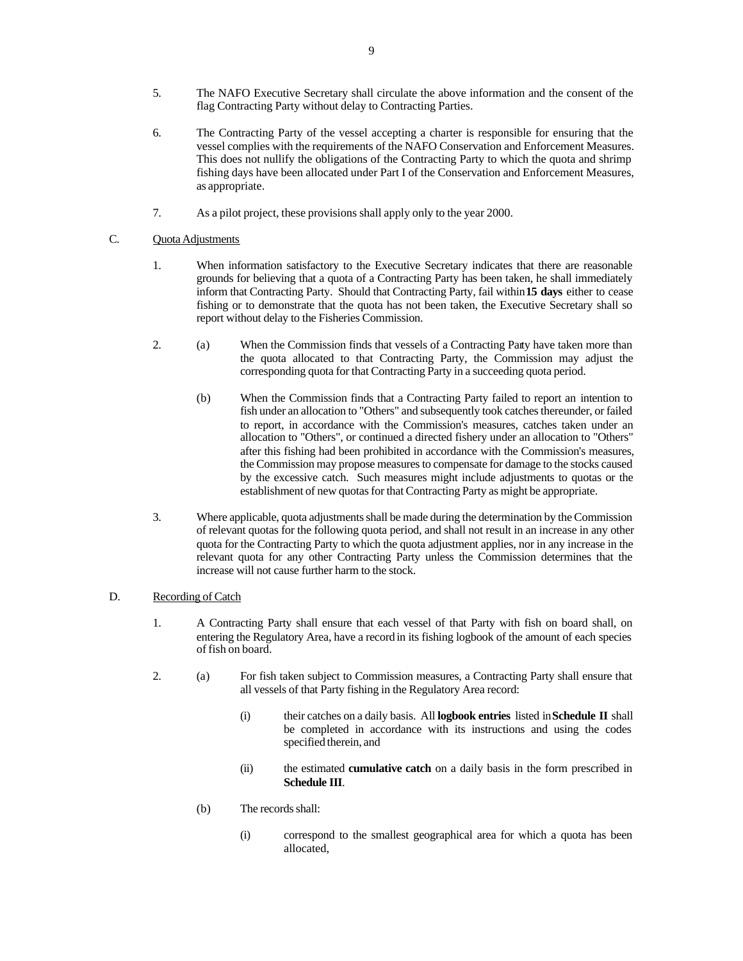- 5. The NAFO Executive Secretary shall circulate the above information and the consent of the flag Contracting Party without delay to Contracting Parties.
- 6. The Contracting Party of the vessel accepting a charter is responsible for ensuring that the vessel complies with the requirements of the NAFO Conservation and Enforcement Measures. This does not nullify the obligations of the Contracting Party to which the quota and shrimp fishing days have been allocated under Part I of the Conservation and Enforcement Measures, as appropriate.
- 7. As a pilot project, these provisions shall apply only to the year 2000.

# C. Quota Adjustments

- 1. When information satisfactory to the Executive Secretary indicates that there are reasonable grounds for believing that a quota of a Contracting Party has been taken, he shall immediately inform that Contracting Party. Should that Contracting Party, fail within **15 days** either to cease fishing or to demonstrate that the quota has not been taken, the Executive Secretary shall so report without delay to the Fisheries Commission.
- 2. (a) When the Commission finds that vessels of a Contracting Party have taken more than the quota allocated to that Contracting Party, the Commission may adjust the corresponding quota for that Contracting Party in a succeeding quota period.
	- (b) When the Commission finds that a Contracting Party failed to report an intention to fish under an allocation to "Others" and subsequently took catches thereunder, or failed to report, in accordance with the Commission's measures, catches taken under an allocation to "Others", or continued a directed fishery under an allocation to "Others" after this fishing had been prohibited in accordance with the Commission's measures, the Commission may propose measures to compensate for damage to the stocks caused by the excessive catch. Such measures might include adjustments to quotas or the establishment of new quotas for that Contracting Party as might be appropriate.
- 3. Where applicable, quota adjustments shall be made during the determination by the Commission of relevant quotas for the following quota period, and shall not result in an increase in any other quota for the Contracting Party to which the quota adjustment applies, nor in any increase in the relevant quota for any other Contracting Party unless the Commission determines that the increase will not cause further harm to the stock.

# D. Recording of Catch

- 1. A Contracting Party shall ensure that each vessel of that Party with fish on board shall, on entering the Regulatory Area, have a record in its fishing logbook of the amount of each species of fish on board.
- 2. (a) For fish taken subject to Commission measures, a Contracting Party shall ensure that all vessels of that Party fishing in the Regulatory Area record:
	- (i) their catches on a daily basis. All **logbook entries** listed in **Schedule II** shall be completed in accordance with its instructions and using the codes specified therein, and
	- (ii) the estimated **cumulative catch** on a daily basis in the form prescribed in **Schedule III**.
	- (b) The records shall:
		- (i) correspond to the smallest geographical area for which a quota has been allocated,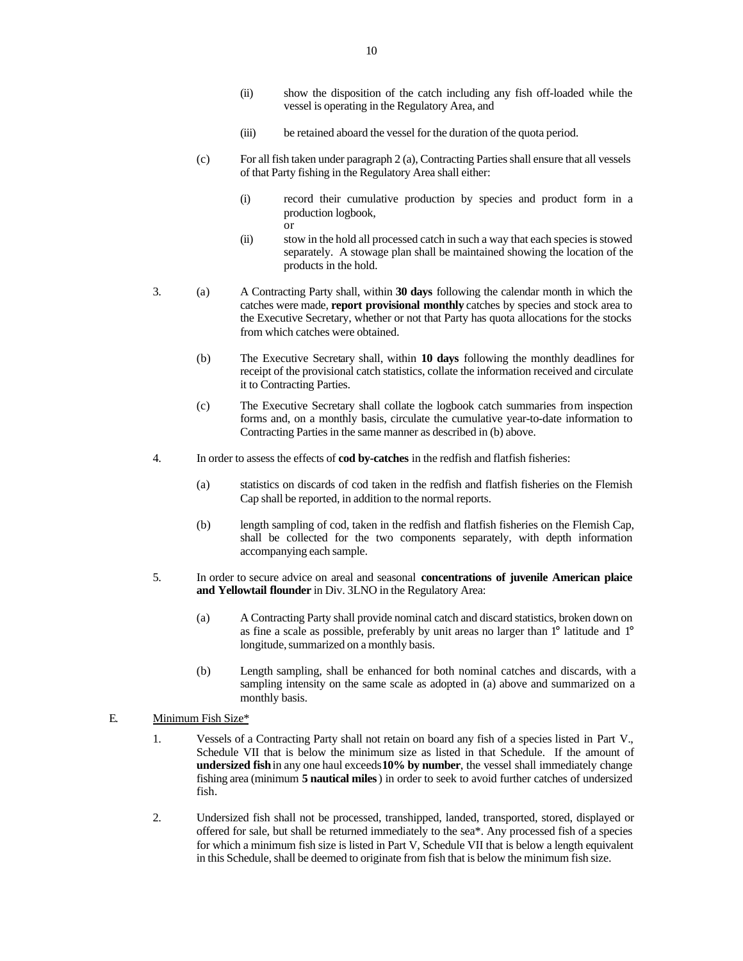- (ii) show the disposition of the catch including any fish off-loaded while the vessel is operating in the Regulatory Area, and
- (iii) be retained aboard the vessel for the duration of the quota period.
- (c) For all fish taken under paragraph 2 (a), Contracting Parties shall ensure that all vessels of that Party fishing in the Regulatory Area shall either:
	- (i) record their cumulative production by species and product form in a production logbook, or
	- (ii) stow in the hold all processed catch in such a way that each species is stowed separately. A stowage plan shall be maintained showing the location of the products in the hold.
- 3. (a) A Contracting Party shall, within **30 days** following the calendar month in which the catches were made, **report provisional monthly** catches by species and stock area to the Executive Secretary, whether or not that Party has quota allocations for the stocks from which catches were obtained.
	- (b) The Executive Secretary shall, within **10 days** following the monthly deadlines for receipt of the provisional catch statistics, collate the information received and circulate it to Contracting Parties.
	- (c) The Executive Secretary shall collate the logbook catch summaries from inspection forms and, on a monthly basis, circulate the cumulative year-to-date information to Contracting Parties in the same manner as described in (b) above.
- 4. In order to assess the effects of **cod by-catches** in the redfish and flatfish fisheries:
	- (a) statistics on discards of cod taken in the redfish and flatfish fisheries on the Flemish Cap shall be reported, in addition to the normal reports.
	- (b) length sampling of cod, taken in the redfish and flatfish fisheries on the Flemish Cap, shall be collected for the two components separately, with depth information accompanying each sample.
- 5. In order to secure advice on areal and seasonal **concentrations of juvenile American plaice and Yellowtail flounder** in Div. 3LNO in the Regulatory Area:
	- (a) A Contracting Party shall provide nominal catch and discard statistics, broken down on as fine a scale as possible, preferably by unit areas no larger than 1° latitude and 1° longitude, summarized on a monthly basis.
	- (b) Length sampling, shall be enhanced for both nominal catches and discards, with a sampling intensity on the same scale as adopted in (a) above and summarized on a monthly basis.
- E. Minimum Fish Size\*
	- 1. Vessels of a Contracting Party shall not retain on board any fish of a species listed in Part V., Schedule VII that is below the minimum size as listed in that Schedule. If the amount of **undersized fish** in any one haul exceeds **10% by number**, the vessel shall immediately change fishing area (minimum **5 nautical miles**) in order to seek to avoid further catches of undersized fish.
	- 2. Undersized fish shall not be processed, transhipped, landed, transported, stored, displayed or offered for sale, but shall be returned immediately to the sea\*. Any processed fish of a species for which a minimum fish size is listed in Part V, Schedule VII that is below a length equivalent in this Schedule, shall be deemed to originate from fish that is below the minimum fish size.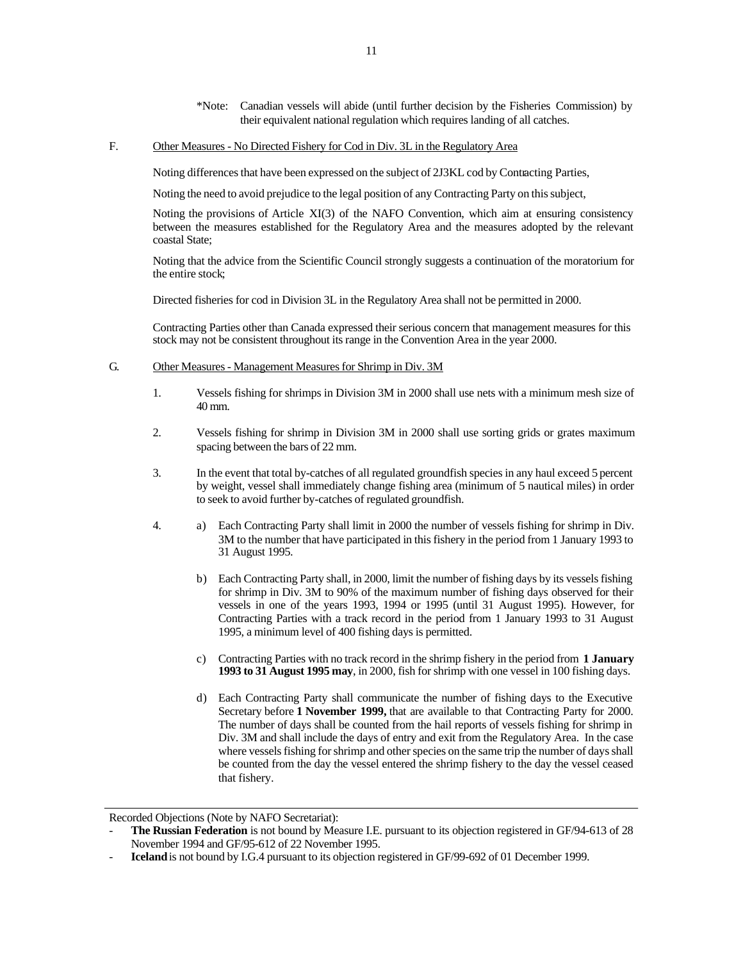\*Note: Canadian vessels will abide (until further decision by the Fisheries Commission) by their equivalent national regulation which requires landing of all catches.

#### F. Other Measures - No Directed Fishery for Cod in Div. 3L in the Regulatory Area

Noting differences that have been expressed on the subject of 2J3KL cod by Contracting Parties,

Noting the need to avoid prejudice to the legal position of any Contracting Party on this subject,

Noting the provisions of Article XI(3) of the NAFO Convention, which aim at ensuring consistency between the measures established for the Regulatory Area and the measures adopted by the relevant coastal State;

Noting that the advice from the Scientific Council strongly suggests a continuation of the moratorium for the entire stock;

Directed fisheries for cod in Division 3L in the Regulatory Area shall not be permitted in 2000.

Contracting Parties other than Canada expressed their serious concern that management measures for this stock may not be consistent throughout its range in the Convention Area in the year 2000.

# G. Other Measures - Management Measures for Shrimp in Div. 3M

- 1. Vessels fishing for shrimps in Division 3M in 2000 shall use nets with a minimum mesh size of 40 mm.
- 2. Vessels fishing for shrimp in Division 3M in 2000 shall use sorting grids or grates maximum spacing between the bars of 22 mm.
- 3. In the event that total by-catches of all regulated groundfish species in any haul exceed 5 percent by weight, vessel shall immediately change fishing area (minimum of 5 nautical miles) in order to seek to avoid further by-catches of regulated groundfish.
- 4. a) Each Contracting Party shall limit in 2000 the number of vessels fishing for shrimp in Div. 3M to the number that have participated in this fishery in the period from 1 January 1993 to 31 August 1995.
	- b) Each Contracting Party shall, in 2000, limit the number of fishing days by its vessels fishing for shrimp in Div. 3M to 90% of the maximum number of fishing days observed for their vessels in one of the years 1993, 1994 or 1995 (until 31 August 1995). However, for Contracting Parties with a track record in the period from 1 January 1993 to 31 August 1995, a minimum level of 400 fishing days is permitted.
	- c) Contracting Parties with no track record in the shrimp fishery in the period from **1 January 1993 to 31 August 1995 may**, in 2000, fish for shrimp with one vessel in 100 fishing days.
	- d) Each Contracting Party shall communicate the number of fishing days to the Executive Secretary before **1 November 1999,** that are available to that Contracting Party for 2000. The number of days shall be counted from the hail reports of vessels fishing for shrimp in Div. 3M and shall include the days of entry and exit from the Regulatory Area. In the case where vessels fishing for shrimp and other species on the same trip the number of days shall be counted from the day the vessel entered the shrimp fishery to the day the vessel ceased that fishery.

Recorded Objections (Note by NAFO Secretariat):

The Russian Federation is not bound by Measure I.E. pursuant to its objection registered in GF/94-613 of 28 November 1994 and GF/95-612 of 22 November 1995.

<sup>-</sup> **Iceland** is not bound by I.G.4 pursuant to its objection registered in GF/99-692 of 01 December 1999.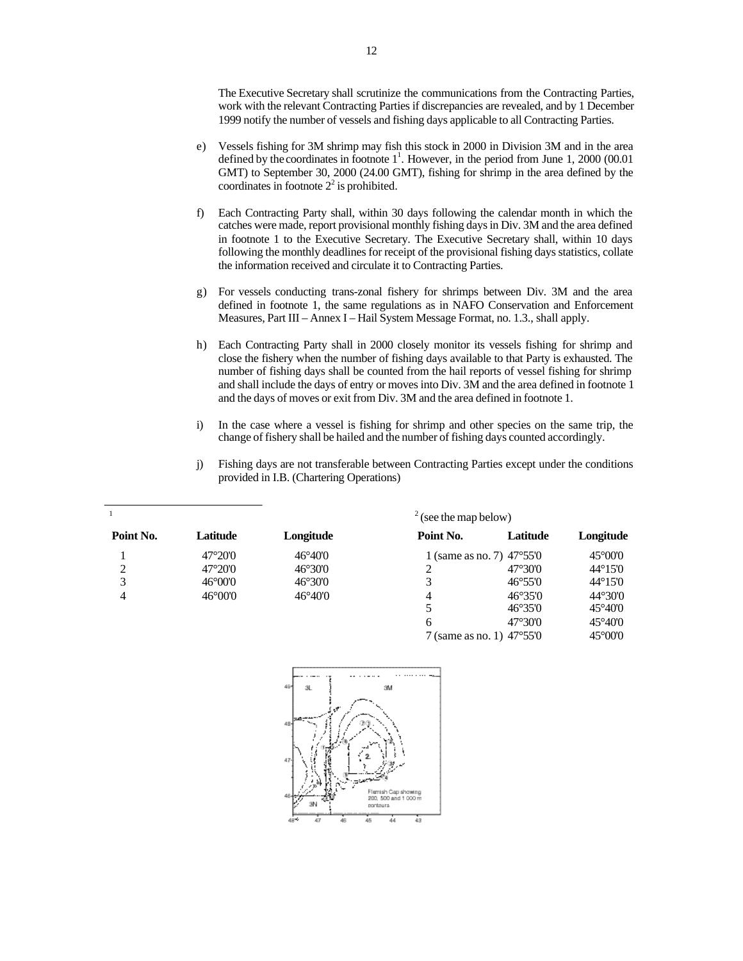The Executive Secretary shall scrutinize the communications from the Contracting Parties, work with the relevant Contracting Parties if discrepancies are revealed, and by 1 December 1999 notify the number of vessels and fishing days applicable to all Contracting Parties.

- e) Vessels fishing for 3M shrimp may fish this stock in 2000 in Division 3M and in the area defined by the coordinates in footnote  $1^1$ . However, in the period from June 1, 2000 (00.01) GMT) to September 30, 2000 (24.00 GMT), fishing for shrimp in the area defined by the coordinates in footnote  $2^2$  is prohibited.
- f) Each Contracting Party shall, within 30 days following the calendar month in which the catches were made, report provisional monthly fishing days in Div. 3M and the area defined in footnote 1 to the Executive Secretary. The Executive Secretary shall, within 10 days following the monthly deadlines for receipt of the provisional fishing days statistics, collate the information received and circulate it to Contracting Parties.
- g) For vessels conducting trans-zonal fishery for shrimps between Div. 3M and the area defined in footnote 1, the same regulations as in NAFO Conservation and Enforcement Measures, Part III – Annex I – Hail System Message Format, no. 1.3., shall apply.
- h) Each Contracting Party shall in 2000 closely monitor its vessels fishing for shrimp and close the fishery when the number of fishing days available to that Party is exhausted. The number of fishing days shall be counted from the hail reports of vessel fishing for shrimp and shall include the days of entry or moves into Div. 3M and the area defined in footnote 1 and the days of moves or exit from Div. 3M and the area defined in footnote 1.
- i) In the case where a vessel is fishing for shrimp and other species on the same trip, the change of fishery shall be hailed and the number of fishing days counted accordingly.
- j) Fishing days are not transferable between Contracting Parties except under the conditions provided in I.B. (Chartering Operations)

|           |                         |                  | $2$ (see the map below) |                                    |                         |
|-----------|-------------------------|------------------|-------------------------|------------------------------------|-------------------------|
| Point No. | Latitude                | Longitude        | Point No.               | Latitude                           | Longitude               |
|           | 47°20'0                 | $46^{\circ}40'0$ |                         | 1 (same as no. 7) $47^{\circ}55'0$ | $45^{\circ}00^{\circ}0$ |
| C         | 47°20'0                 | $46^{\circ}30'0$ |                         | $47^{\circ}30'0$                   | $44^{\circ}15'0$        |
| 3         | $46^{\circ}00^{\circ}0$ | $46^{\circ}30'0$ | 3                       | $46^{\circ}55'0$                   | $44^{\circ}15'0$        |
| 4         | $46^{\circ}00^{\circ}0$ | $46^{\circ}40'0$ | 4                       | $46^{\circ}35'0$                   | $44^{\circ}30'0$        |
|           |                         |                  | 5                       | $46^{\circ}35'0$                   | $45^{\circ}40'0$        |
|           |                         |                  | 6                       | $47^{\circ}30'0$                   | $45^{\circ}40'0$        |

7 (same as no. 1) 47°55′0 45°00′0

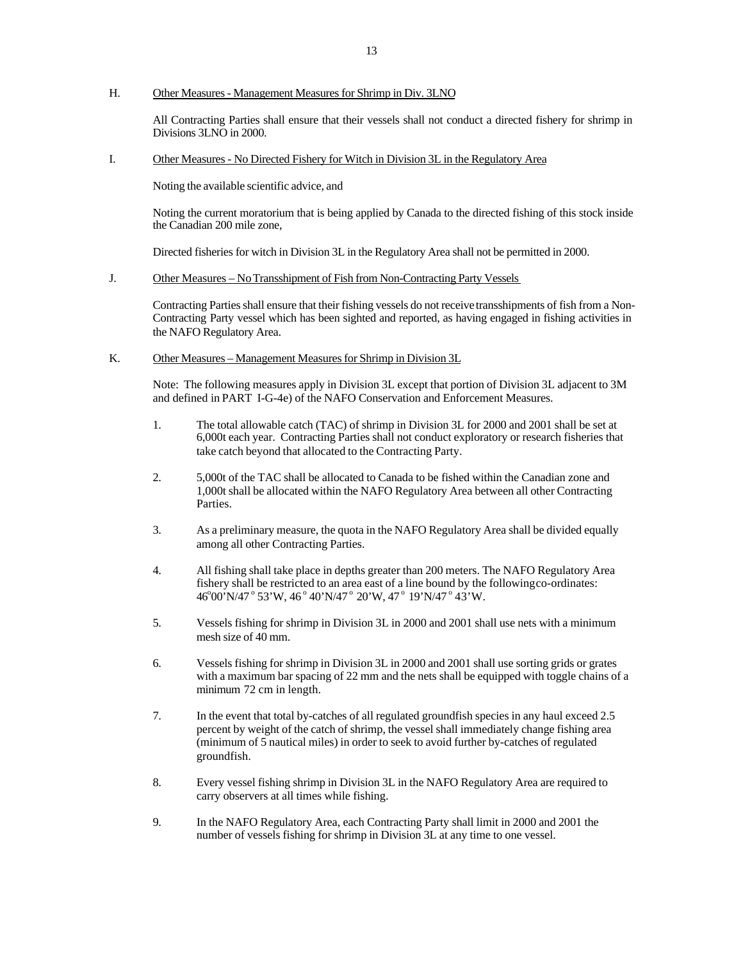#### H. Other Measures - Management Measures for Shrimp in Div. 3LNO

All Contracting Parties shall ensure that their vessels shall not conduct a directed fishery for shrimp in Divisions 3LNO in 2000.

#### I. Other Measures - No Directed Fishery for Witch in Division 3L in the Regulatory Area

Noting the available scientific advice, and

Noting the current moratorium that is being applied by Canada to the directed fishing of this stock inside the Canadian 200 mile zone,

Directed fisheries for witch in Division 3L in the Regulatory Area shall not be permitted in 2000.

#### J. Other Measures – No Transshipment of Fish from Non-Contracting Party Vessels

Contracting Parties shall ensure that their fishing vessels do not receive transshipments of fish from a Non-Contracting Party vessel which has been sighted and reported, as having engaged in fishing activities in the NAFO Regulatory Area.

#### K. Other Measures – Management Measures for Shrimp in Division 3L

Note: The following measures apply in Division 3L except that portion of Division 3L adjacent to 3M and defined in PART I-G-4e) of the NAFO Conservation and Enforcement Measures.

- 1. The total allowable catch (TAC) of shrimp in Division 3L for 2000 and 2001 shall be set at 6,000t each year. Contracting Parties shall not conduct exploratory or research fisheries that take catch beyond that allocated to the Contracting Party.
- 2. 5,000t of the TAC shall be allocated to Canada to be fished within the Canadian zone and 1,000t shall be allocated within the NAFO Regulatory Area between all other Contracting Parties.
- 3. As a preliminary measure, the quota in the NAFO Regulatory Area shall be divided equally among all other Contracting Parties.
- 4. All fishing shall take place in depths greater than 200 meters. The NAFO Regulatory Area fishery shall be restricted to an area east of a line bound by the following co-ordinates: 46°00'N/47° 53'W, 46° 40'N/47° 20'W, 47° 19'N/47° 43'W.
- 5. Vessels fishing for shrimp in Division 3L in 2000 and 2001 shall use nets with a minimum mesh size of 40 mm.
- 6. Vessels fishing for shrimp in Division 3L in 2000 and 2001 shall use sorting grids or grates with a maximum bar spacing of 22 mm and the nets shall be equipped with toggle chains of a minimum 72 cm in length.
- 7. In the event that total by-catches of all regulated groundfish species in any haul exceed 2.5 percent by weight of the catch of shrimp, the vessel shall immediately change fishing area (minimum of 5 nautical miles) in order to seek to avoid further by-catches of regulated groundfish.
- 8. Every vessel fishing shrimp in Division 3L in the NAFO Regulatory Area are required to carry observers at all times while fishing.
- 9. In the NAFO Regulatory Area, each Contracting Party shall limit in 2000 and 2001 the number of vessels fishing for shrimp in Division 3L at any time to one vessel.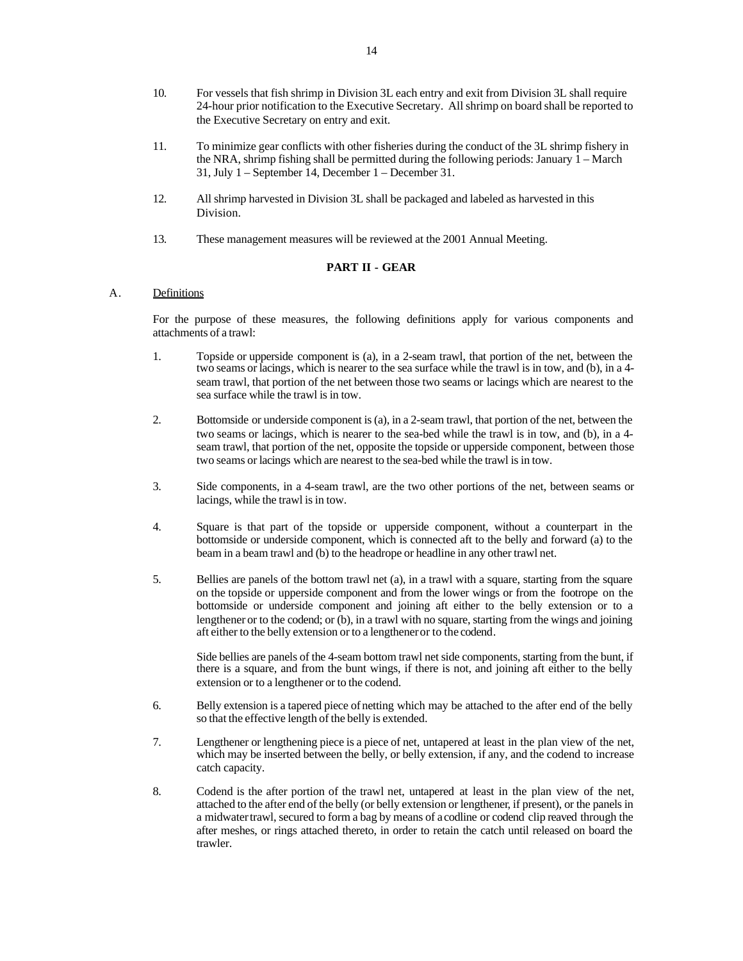- 10. For vessels that fish shrimp in Division 3L each entry and exit from Division 3L shall require 24-hour prior notification to the Executive Secretary. All shrimp on board shall be reported to the Executive Secretary on entry and exit.
- 11. To minimize gear conflicts with other fisheries during the conduct of the 3L shrimp fishery in the NRA, shrimp fishing shall be permitted during the following periods: January 1 – March 31, July 1 – September 14, December 1 – December 31.
- 12. All shrimp harvested in Division 3L shall be packaged and labeled as harvested in this Division.
- 13. These management measures will be reviewed at the 2001 Annual Meeting.

#### **PART II - GEAR**

# A. Definitions

For the purpose of these measures, the following definitions apply for various components and attachments of a trawl:

- 1. Topside or upperside component is (a), in a 2-seam trawl, that portion of the net, between the two seams or lacings, which is nearer to the sea surface while the trawl is in tow, and (b), in a 4 seam trawl, that portion of the net between those two seams or lacings which are nearest to the sea surface while the trawl is in tow.
- 2. Bottomside or underside component is (a), in a 2-seam trawl, that portion of the net, between the two seams or lacings, which is nearer to the sea-bed while the trawl is in tow, and (b), in a 4 seam trawl, that portion of the net, opposite the topside or upperside component, between those two seams or lacings which are nearest to the sea-bed while the trawl is in tow.
- 3. Side components, in a 4-seam trawl, are the two other portions of the net, between seams or lacings, while the trawl is in tow.
- 4. Square is that part of the topside or upperside component, without a counterpart in the bottomside or underside component, which is connected aft to the belly and forward (a) to the beam in a beam trawl and (b) to the headrope or headline in any other trawl net.
- 5. Bellies are panels of the bottom trawl net (a), in a trawl with a square, starting from the square on the topside or upperside component and from the lower wings or from the footrope on the bottomside or underside component and joining aft either to the belly extension or to a lengthener or to the codend; or (b), in a trawl with no square, starting from the wings and joining aft either to the belly extension or to a lengthener or to the codend.

Side bellies are panels of the 4-seam bottom trawl net side components, starting from the bunt, if there is a square, and from the bunt wings, if there is not, and joining aft either to the belly extension or to a lengthener or to the codend.

- 6. Belly extension is a tapered piece of netting which may be attached to the after end of the belly so that the effective length of the belly is extended.
- 7. Lengthener or lengthening piece is a piece of net, untapered at least in the plan view of the net, which may be inserted between the belly, or belly extension, if any, and the codend to increase catch capacity.
- 8. Codend is the after portion of the trawl net, untapered at least in the plan view of the net, attached to the after end of the belly (or belly extension or lengthener, if present), or the panels in a midwater trawl, secured to form a bag by means of a codline or codend clip reaved through the after meshes, or rings attached thereto, in order to retain the catch until released on board the trawler.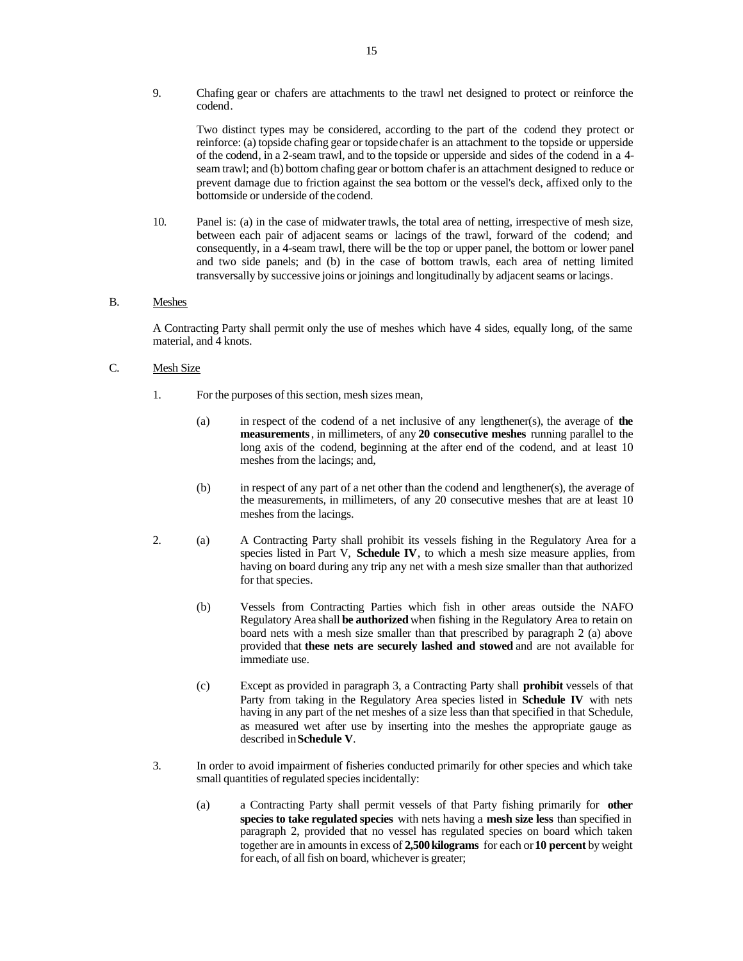9. Chafing gear or chafers are attachments to the trawl net designed to protect or reinforce the codend.

Two distinct types may be considered, according to the part of the codend they protect or reinforce: (a) topside chafing gear or topside chafer is an attachment to the topside or upperside of the codend, in a 2-seam trawl, and to the topside or upperside and sides of the codend in a 4 seam trawl; and (b) bottom chafing gear or bottom chafer is an attachment designed to reduce or prevent damage due to friction against the sea bottom or the vessel's deck, affixed only to the bottomside or underside of the codend.

10. Panel is: (a) in the case of midwater trawls, the total area of netting, irrespective of mesh size, between each pair of adjacent seams or lacings of the trawl, forward of the codend; and consequently, in a 4-seam trawl, there will be the top or upper panel, the bottom or lower panel and two side panels; and (b) in the case of bottom trawls, each area of netting limited transversally by successive joins or joinings and longitudinally by adjacent seams or lacings.

#### B. Meshes

A Contracting Party shall permit only the use of meshes which have 4 sides, equally long, of the same material, and 4 knots.

#### C. Mesh Size

- 1. For the purposes of this section, mesh sizes mean,
	- (a) in respect of the codend of a net inclusive of any lengthener(s), the average of **the measurements**, in millimeters, of any **20 consecutive meshes** running parallel to the long axis of the codend, beginning at the after end of the codend, and at least 10 meshes from the lacings; and,
	- (b) in respect of any part of a net other than the codend and lengthener(s), the average of the measurements, in millimeters, of any 20 consecutive meshes that are at least 10 meshes from the lacings.
- 2. (a) A Contracting Party shall prohibit its vessels fishing in the Regulatory Area for a species listed in Part V, **Schedule IV**, to which a mesh size measure applies, from having on board during any trip any net with a mesh size smaller than that authorized for that species.
	- (b) Vessels from Contracting Parties which fish in other areas outside the NAFO Regulatory Area shall **be authorized** when fishing in the Regulatory Area to retain on board nets with a mesh size smaller than that prescribed by paragraph 2 (a) above provided that **these nets are securely lashed and stowed** and are not available for immediate use.
	- (c) Except as provided in paragraph 3, a Contracting Party shall **prohibit** vessels of that Party from taking in the Regulatory Area species listed in **Schedule IV** with nets having in any part of the net meshes of a size less than that specified in that Schedule, as measured wet after use by inserting into the meshes the appropriate gauge as described in **Schedule V**.
- 3. In order to avoid impairment of fisheries conducted primarily for other species and which take small quantities of regulated species incidentally:
	- (a) a Contracting Party shall permit vessels of that Party fishing primarily for **other species to take regulated species** with nets having a **mesh size less** than specified in paragraph 2, provided that no vessel has regulated species on board which taken together are in amounts in excess of **2,500 kilograms** for each or **10 percent** by weight for each, of all fish on board, whichever is greater;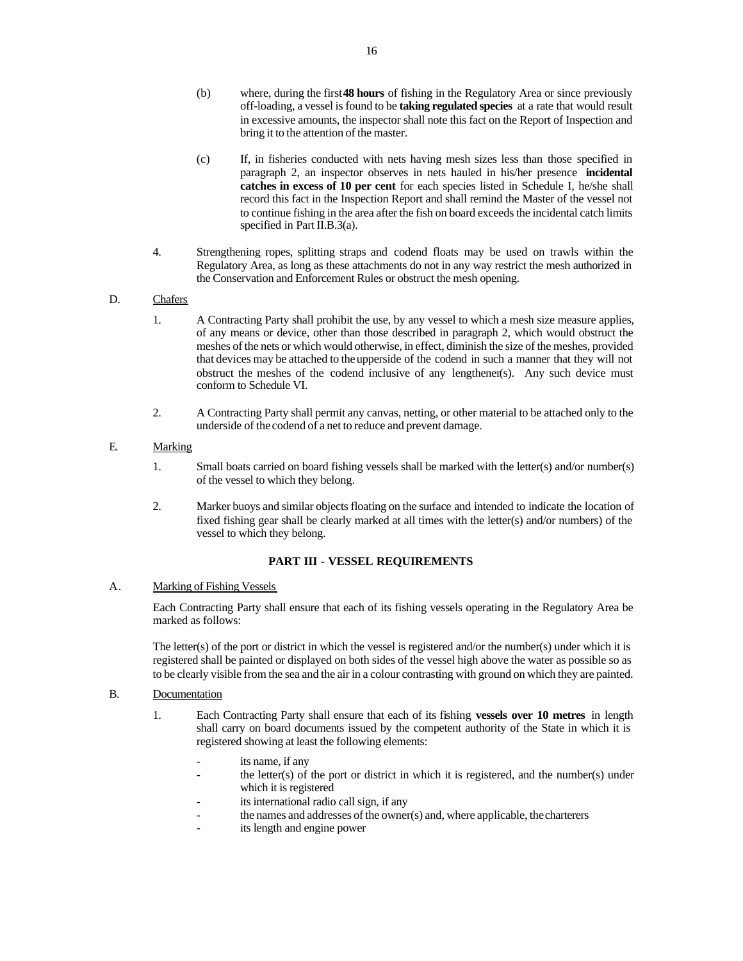- (b) where, during the first **48 hours** of fishing in the Regulatory Area or since previously off-loading, a vessel is found to be **taking regulated species** at a rate that would result in excessive amounts, the inspector shall note this fact on the Report of Inspection and bring it to the attention of the master.
- (c) If, in fisheries conducted with nets having mesh sizes less than those specified in paragraph 2, an inspector observes in nets hauled in his/her presence **incidental catches in excess of 10 per cent** for each species listed in Schedule I, he/she shall record this fact in the Inspection Report and shall remind the Master of the vessel not to continue fishing in the area after the fish on board exceeds the incidental catch limits specified in Part II.B.3(a).
- 4. Strengthening ropes, splitting straps and codend floats may be used on trawls within the Regulatory Area, as long as these attachments do not in any way restrict the mesh authorized in the Conservation and Enforcement Rules or obstruct the mesh opening.

# D. Chafers

- 1. A Contracting Party shall prohibit the use, by any vessel to which a mesh size measure applies, of any means or device, other than those described in paragraph 2, which would obstruct the meshes of the nets or which would otherwise, in effect, diminish the size of the meshes, provided that devices may be attached to the upperside of the codend in such a manner that they will not obstruct the meshes of the codend inclusive of any lengthener(s). Any such device must conform to Schedule VI.
- 2. A Contracting Party shall permit any canvas, netting, or other material to be attached only to the underside of the codend of a net to reduce and prevent damage.

# E. Marking

- 1. Small boats carried on board fishing vessels shall be marked with the letter(s) and/or number(s) of the vessel to which they belong.
- 2. Marker buoys and similar objects floating on the surface and intended to indicate the location of fixed fishing gear shall be clearly marked at all times with the letter(s) and/or numbers) of the vessel to which they belong.

# **PART III - VESSEL REQUIREMENTS**

#### A. Marking of Fishing Vessels

Each Contracting Party shall ensure that each of its fishing vessels operating in the Regulatory Area be marked as follows:

The letter(s) of the port or district in which the vessel is registered and/or the number(s) under which it is registered shall be painted or displayed on both sides of the vessel high above the water as possible so as to be clearly visible from the sea and the air in a colour contrasting with ground on which they are painted.

# B. Documentation

- 1. Each Contracting Party shall ensure that each of its fishing **vessels over 10 metres** in length shall carry on board documents issued by the competent authority of the State in which it is registered showing at least the following elements:
	- its name, if any
	- the letter(s) of the port or district in which it is registered, and the number(s) under which it is registered
	- its international radio call sign, if any
	- the names and addresses of the owner(s) and, where applicable, the charterers
	- its length and engine power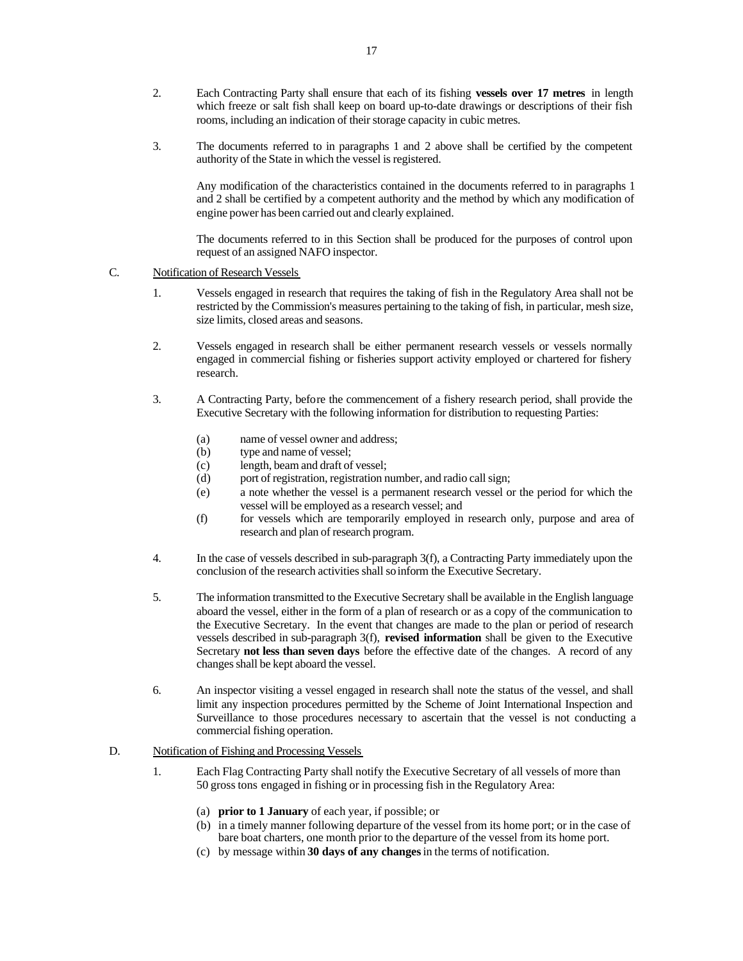- 2. Each Contracting Party shall ensure that each of its fishing **vessels over 17 metres** in length which freeze or salt fish shall keep on board up-to-date drawings or descriptions of their fish rooms, including an indication of their storage capacity in cubic metres.
- 3. The documents referred to in paragraphs 1 and 2 above shall be certified by the competent authority of the State in which the vessel is registered.

Any modification of the characteristics contained in the documents referred to in paragraphs 1 and 2 shall be certified by a competent authority and the method by which any modification of engine power has been carried out and clearly explained.

The documents referred to in this Section shall be produced for the purposes of control upon request of an assigned NAFO inspector.

#### C. Notification of Research Vessels

- 1. Vessels engaged in research that requires the taking of fish in the Regulatory Area shall not be restricted by the Commission's measures pertaining to the taking of fish, in particular, mesh size, size limits, closed areas and seasons.
- 2. Vessels engaged in research shall be either permanent research vessels or vessels normally engaged in commercial fishing or fisheries support activity employed or chartered for fishery research.
- 3. A Contracting Party, before the commencement of a fishery research period, shall provide the Executive Secretary with the following information for distribution to requesting Parties:
	- (a) name of vessel owner and address;
	- (b) type and name of vessel;
	- (c) length, beam and draft of vessel;
	- (d) port of registration, registration number, and radio call sign;
	- (e) a note whether the vessel is a permanent research vessel or the period for which the vessel will be employed as a research vessel; and
	- (f) for vessels which are temporarily employed in research only, purpose and area of research and plan of research program.
- 4. In the case of vessels described in sub-paragraph 3(f), a Contracting Party immediately upon the conclusion of the research activities shall so inform the Executive Secretary.
- 5. The information transmitted to the Executive Secretary shall be available in the English language aboard the vessel, either in the form of a plan of research or as a copy of the communication to the Executive Secretary. In the event that changes are made to the plan or period of research vessels described in sub-paragraph 3(f), **revised information** shall be given to the Executive Secretary **not less than seven days** before the effective date of the changes. A record of any changes shall be kept aboard the vessel.
- 6. An inspector visiting a vessel engaged in research shall note the status of the vessel, and shall limit any inspection procedures permitted by the Scheme of Joint International Inspection and Surveillance to those procedures necessary to ascertain that the vessel is not conducting a commercial fishing operation.

## D. Notification of Fishing and Processing Vessels

- 1. Each Flag Contracting Party shall notify the Executive Secretary of all vessels of more than 50 gross tons engaged in fishing or in processing fish in the Regulatory Area:
	- (a) **prior to 1 January** of each year, if possible; or
	- (b) in a timely manner following departure of the vessel from its home port; or in the case of bare boat charters, one month prior to the departure of the vessel from its home port.
	- (c) by message within **30 days of any changes** in the terms of notification.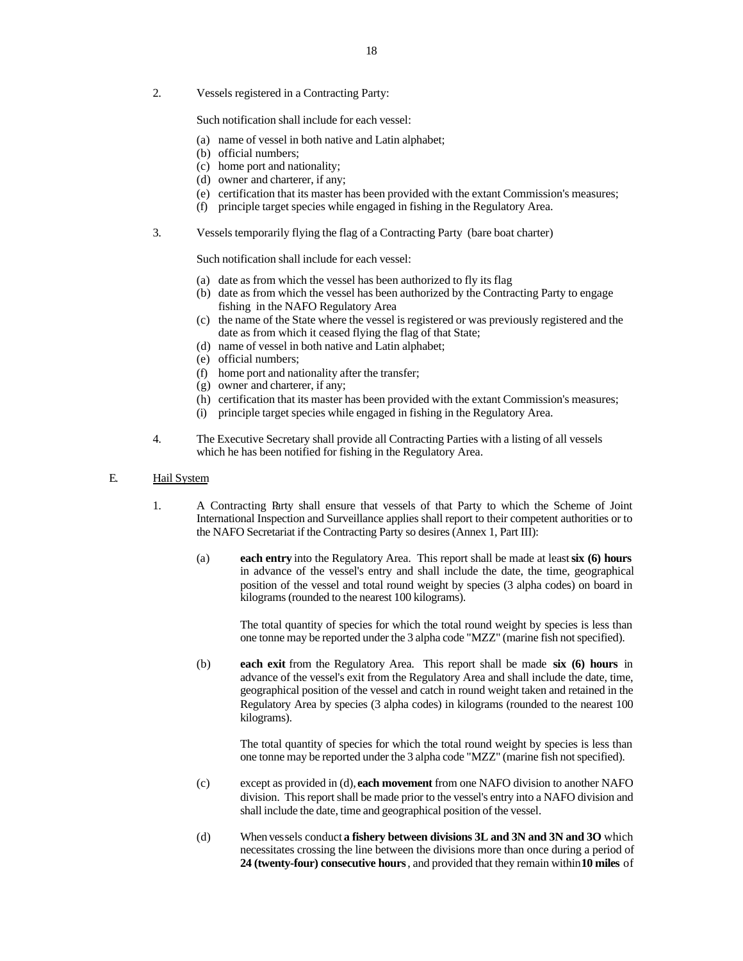2. Vessels registered in a Contracting Party:

Such notification shall include for each vessel:

- (a) name of vessel in both native and Latin alphabet;
- (b) official numbers;
- (c) home port and nationality;
- (d) owner and charterer, if any;
- (e) certification that its master has been provided with the extant Commission's measures;
- (f) principle target species while engaged in fishing in the Regulatory Area.
- 3. Vessels temporarily flying the flag of a Contracting Party (bare boat charter)

Such notification shall include for each vessel:

- (a) date as from which the vessel has been authorized to fly its flag
- (b) date as from which the vessel has been authorized by the Contracting Party to engage fishing in the NAFO Regulatory Area
- (c) the name of the State where the vessel is registered or was previously registered and the date as from which it ceased flying the flag of that State;
- (d) name of vessel in both native and Latin alphabet;
- (e) official numbers;
- (f) home port and nationality after the transfer;
- (g) owner and charterer, if any;
- (h) certification that its master has been provided with the extant Commission's measures;
- (i) principle target species while engaged in fishing in the Regulatory Area.
- 4. The Executive Secretary shall provide all Contracting Parties with a listing of all vessels which he has been notified for fishing in the Regulatory Area.

#### E. Hail System

- 1. A Contracting Party shall ensure that vessels of that Party to which the Scheme of Joint International Inspection and Surveillance applies shall report to their competent authorities or to the NAFO Secretariat if the Contracting Party so desires (Annex 1, Part III):
	- (a) **each entry** into the Regulatory Area. This report shall be made at least **six (6) hours** in advance of the vessel's entry and shall include the date, the time, geographical position of the vessel and total round weight by species (3 alpha codes) on board in kilograms (rounded to the nearest 100 kilograms).

The total quantity of species for which the total round weight by species is less than one tonne may be reported under the 3 alpha code "MZZ" (marine fish not specified).

(b) **each exit** from the Regulatory Area. This report shall be made **six (6) hours** in advance of the vessel's exit from the Regulatory Area and shall include the date, time, geographical position of the vessel and catch in round weight taken and retained in the Regulatory Area by species (3 alpha codes) in kilograms (rounded to the nearest 100 kilograms).

> The total quantity of species for which the total round weight by species is less than one tonne may be reported under the 3 alpha code "MZZ" (marine fish not specified).

- (c) except as provided in (d), **each movement** from one NAFO division to another NAFO division. This report shall be made prior to the vessel's entry into a NAFO division and shall include the date, time and geographical position of the vessel.
- (d) When vessels conduct **a fishery between divisions 3L and 3N and 3N and 3O** which necessitates crossing the line between the divisions more than once during a period of **24 (twenty-four) consecutive hours**, and provided that they remain within **10 miles** of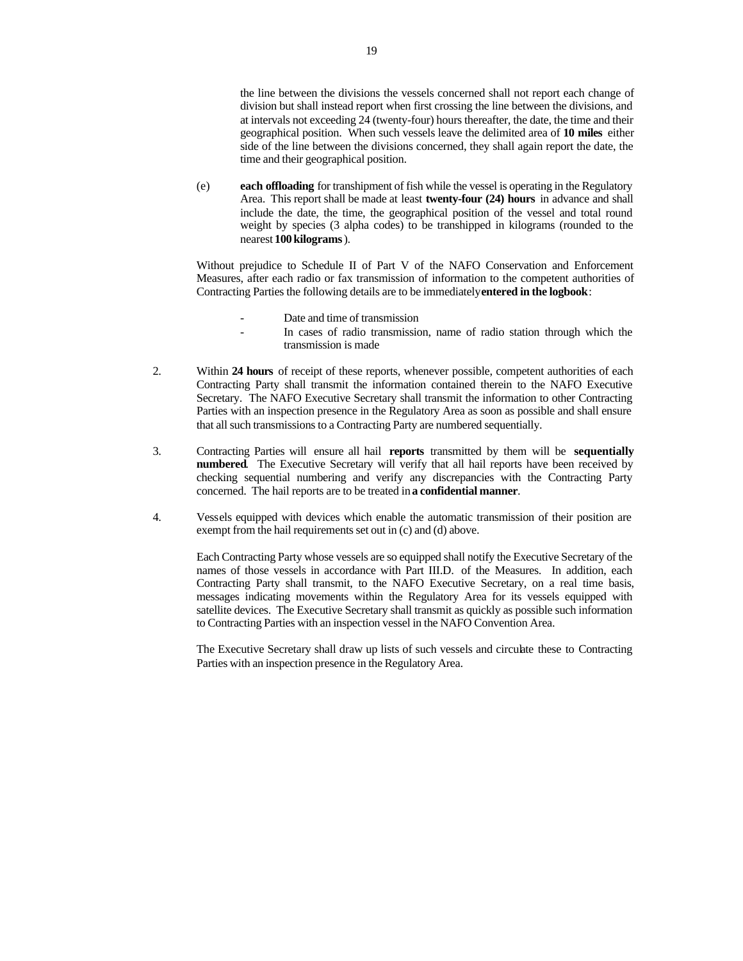the line between the divisions the vessels concerned shall not report each change of division but shall instead report when first crossing the line between the divisions, and at intervals not exceeding 24 (twenty-four) hours thereafter, the date, the time and their geographical position. When such vessels leave the delimited area of **10 miles** either side of the line between the divisions concerned, they shall again report the date, the time and their geographical position.

(e) **each offloading** for transhipment of fish while the vessel is operating in the Regulatory Area. This report shall be made at least **twenty-four (24) hours** in advance and shall include the date, the time, the geographical position of the vessel and total round weight by species (3 alpha codes) to be transhipped in kilograms (rounded to the nearest **100 kilograms**).

Without prejudice to Schedule II of Part V of the NAFO Conservation and Enforcement Measures, after each radio or fax transmission of information to the competent authorities of Contracting Parties the following details are to be immediately **entered in the logbook**:

- Date and time of transmission
- In cases of radio transmission, name of radio station through which the transmission is made
- 2. Within **24 hours** of receipt of these reports, whenever possible, competent authorities of each Contracting Party shall transmit the information contained therein to the NAFO Executive Secretary. The NAFO Executive Secretary shall transmit the information to other Contracting Parties with an inspection presence in the Regulatory Area as soon as possible and shall ensure that all such transmissions to a Contracting Party are numbered sequentially.
- 3. Contracting Parties will ensure all hail **reports** transmitted by them will be **sequentially numbered**. The Executive Secretary will verify that all hail reports have been received by checking sequential numbering and verify any discrepancies with the Contracting Party concerned. The hail reports are to be treated in **a confidential manner**.
- 4. Vessels equipped with devices which enable the automatic transmission of their position are exempt from the hail requirements set out in (c) and (d) above.

Each Contracting Party whose vessels are so equipped shall notify the Executive Secretary of the names of those vessels in accordance with Part III.D. of the Measures. In addition, each Contracting Party shall transmit, to the NAFO Executive Secretary, on a real time basis, messages indicating movements within the Regulatory Area for its vessels equipped with satellite devices. The Executive Secretary shall transmit as quickly as possible such information to Contracting Parties with an inspection vessel in the NAFO Convention Area.

The Executive Secretary shall draw up lists of such vessels and circulate these to Contracting Parties with an inspection presence in the Regulatory Area.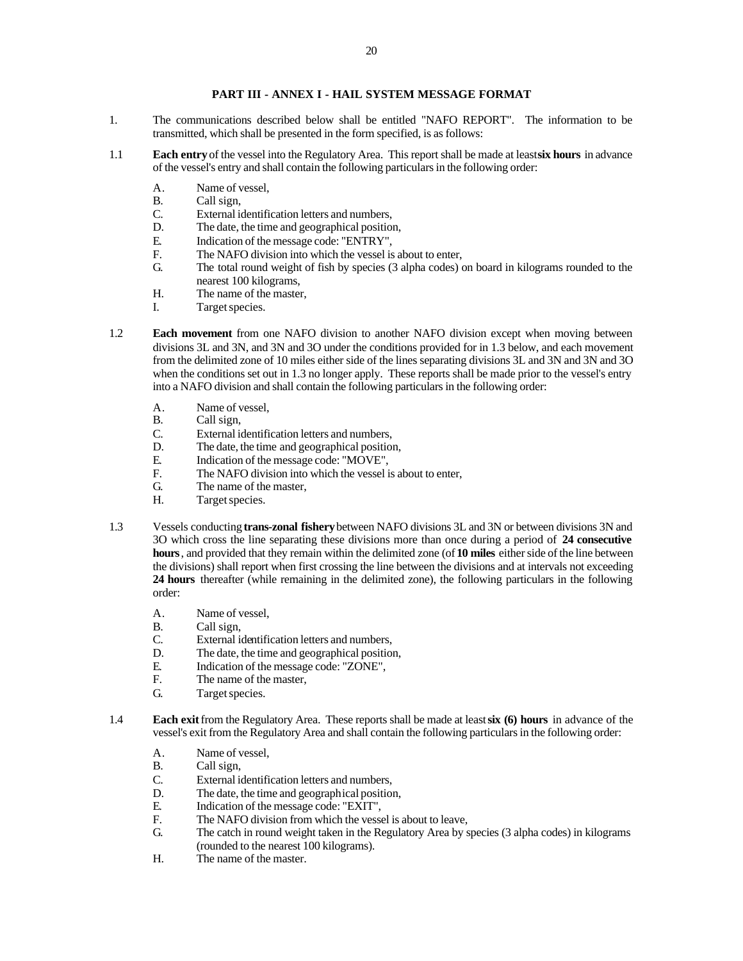# **PART III - ANNEX I - HAIL SYSTEM MESSAGE FORMAT**

- 1. The communications described below shall be entitled "NAFO REPORT". The information to be transmitted, which shall be presented in the form specified, is as follows:
- 1.1 **Each entry** of the vessel into the Regulatory Area. This report shall be made at least **six hours** in advance of the vessel's entry and shall contain the following particulars in the following order:
	- A. Name of vessel,
	- B. Call sign,
	- C. External identification letters and numbers,<br>D. The date, the time and geographical position
	- The date, the time and geographical position,
	- E. Indication of the message code: "ENTRY",
	- F. The NAFO division into which the vessel is about to enter,<br>G. The total round weight of fish by species (3 alpha codes)
	- The total round weight of fish by species (3 alpha codes) on board in kilograms rounded to the nearest 100 kilograms,
	- H. The name of the master,
	- I. Target species.
- 1.2 **Each movement** from one NAFO division to another NAFO division except when moving between divisions 3L and 3N, and 3N and 3O under the conditions provided for in 1.3 below, and each movement from the delimited zone of 10 miles either side of the lines separating divisions 3L and 3N and 3N and 3O when the conditions set out in 1.3 no longer apply. These reports shall be made prior to the vessel's entry into a NAFO division and shall contain the following particulars in the following order:
	- A. Name of vessel,
	- B. Call sign,<br>C. External ion
	- C. External identification letters and numbers,<br>D. The date, the time and geographical position
	- D. The date, the time and geographical position,<br>E. Indication of the message code: "MOVE".
	- E. Indication of the message code: "MOVE",<br>F. The NAFO division into which the vessel is
	- F. The NAFO division into which the vessel is about to enter,<br>G. The name of the master.
	- The name of the master,
	- H. Target species.
- 1.3 Vessels conducting **trans-zonal fishery** between NAFO divisions 3L and 3N or between divisions 3N and 3O which cross the line separating these divisions more than once during a period of **24 consecutive hours**, and provided that they remain within the delimited zone (of **10 miles** either side of the line between the divisions) shall report when first crossing the line between the divisions and at intervals not exceeding **24 hours** thereafter (while remaining in the delimited zone), the following particulars in the following order:
	- A. Name of vessel,
	- B. Call sign,<br>C. External is
	- External identification letters and numbers,
	- D. The date, the time and geographical position,
	- E. Indication of the message code: "ZONE",<br>F. The name of the master.
	- The name of the master,
	- G. Target species.
- 1.4 **Each exit** from the Regulatory Area. These reports shall be made at least **six (6) hours** in advance of the vessel's exit from the Regulatory Area and shall contain the following particulars in the following order:
	- A. Name of vessel,
	- B. Call sign,
	- C. External identification letters and numbers,
	- D. The date, the time and geographical position,
	- E. Indication of the message code: "EXIT",
	- F. The NAFO division from which the vessel is about to leave,
	- G. The catch in round weight taken in the Regulatory Area by species (3 alpha codes) in kilograms (rounded to the nearest 100 kilograms).
	- H. The name of the master.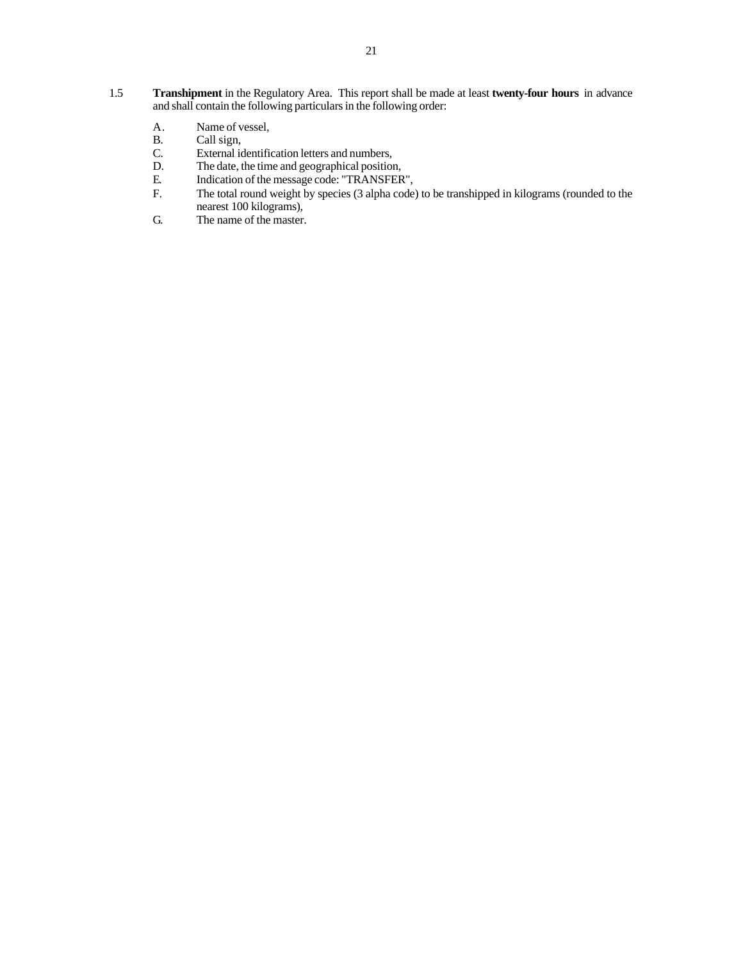- 1.5 **Transhipment** in the Regulatory Area. This report shall be made at least **twenty-four hours** in advance and shall contain the following particulars in the following order:
	- A. Name of vessel,<br>B. Call sign,
	- B. Call sign,<br>C. External ic
	- C. External identification letters and numbers,<br>D. The date, the time and geographical position
	- D. The date, the time and geographical position,<br>E. Indication of the message code: "TRANSFER
	- E. Indication of the message code: "TRANSFER",<br>F. The total round weight by species (3 alpha code
	- The total round weight by species (3 alpha code) to be transhipped in kilograms (rounded to the nearest 100 kilograms),
	- G. The name of the master.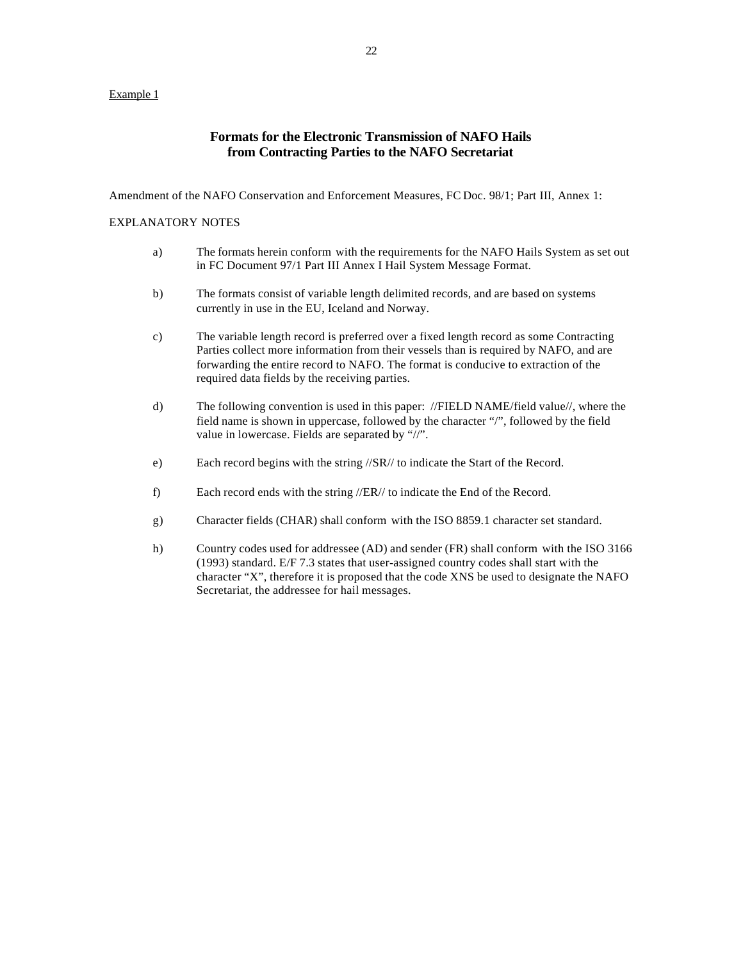# Example 1

# **Formats for the Electronic Transmission of NAFO Hails from Contracting Parties to the NAFO Secretariat**

Amendment of the NAFO Conservation and Enforcement Measures, FC Doc. 98/1; Part III, Annex 1:

## EXPLANATORY NOTES

- a) The formats herein conform with the requirements for the NAFO Hails System as set out in FC Document 97/1 Part III Annex I Hail System Message Format.
- b) The formats consist of variable length delimited records, and are based on systems currently in use in the EU, Iceland and Norway.
- c) The variable length record is preferred over a fixed length record as some Contracting Parties collect more information from their vessels than is required by NAFO, and are forwarding the entire record to NAFO. The format is conducive to extraction of the required data fields by the receiving parties.
- d) The following convention is used in this paper: //FIELD NAME/field value//, where the field name is shown in uppercase, followed by the character "/", followed by the field value in lowercase. Fields are separated by "//".
- e) Each record begins with the string //SR// to indicate the Start of the Record.
- f) Each record ends with the string //ER// to indicate the End of the Record.
- g) Character fields (CHAR) shall conform with the ISO 8859.1 character set standard.
- h) Country codes used for addressee (AD) and sender (FR) shall conform with the ISO 3166 (1993) standard. E/F 7.3 states that user-assigned country codes shall start with the character "X", therefore it is proposed that the code XNS be used to designate the NAFO Secretariat, the addressee for hail messages.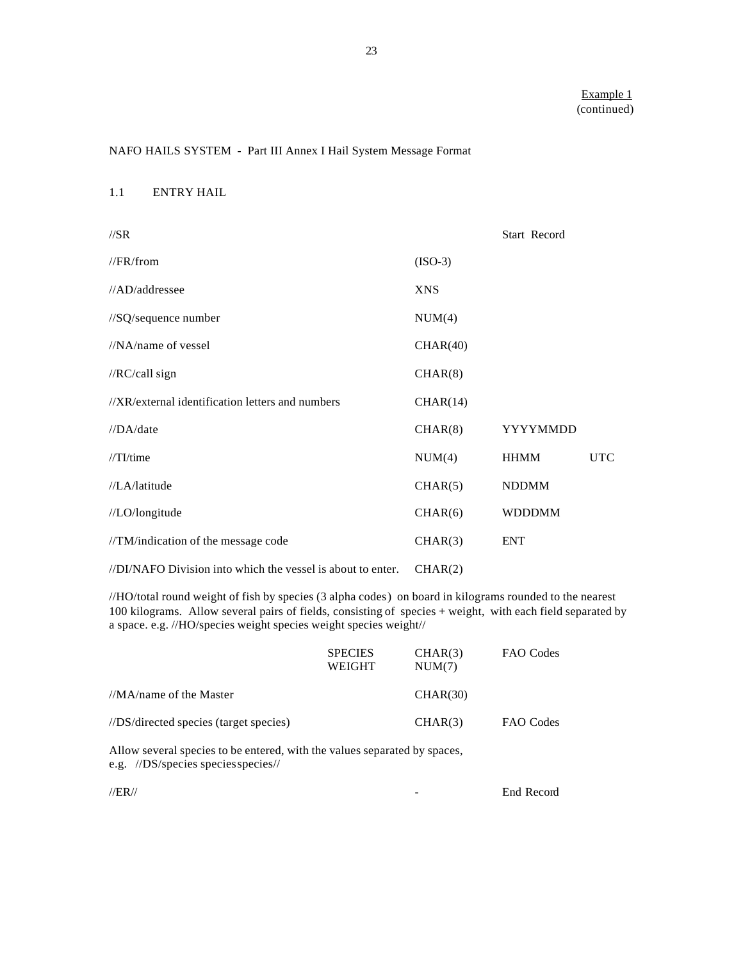# NAFO HAILS SYSTEM - Part III Annex I Hail System Message Format

#### 1.1 ENTRY HAIL

| $\frac{\text{7}}{S}$                                        |            | Start Record  |            |
|-------------------------------------------------------------|------------|---------------|------------|
| //FR/from                                                   | $(ISO-3)$  |               |            |
| //AD/addressee                                              | <b>XNS</b> |               |            |
| //SQ/sequence number                                        | NUM(4)     |               |            |
| $//NA$ /name of vessel                                      | CHAR(40)   |               |            |
| //RC/call sign                                              | CHAR(8)    |               |            |
| //XR/external identification letters and numbers            | CHAR(14)   |               |            |
| //DA/date                                                   | CHAR(8)    | YYYYMMDD      |            |
| $//TI$ /time                                                | NUM(4)     | <b>HHMM</b>   | <b>UTC</b> |
| //LA/latitude                                               | CHAR(5)    | <b>NDDMM</b>  |            |
| //LO/longitude                                              | CHAR(6)    | <b>WDDDMM</b> |            |
| //TM/indication of the message code                         | CHAR(3)    | <b>ENT</b>    |            |
| //DI/NAFO Division into which the vessel is about to enter. | CHAR(2)    |               |            |

//HO/total round weight of fish by species (3 alpha codes) on board in kilograms rounded to the nearest 100 kilograms. Allow several pairs of fields, consisting of species + weight, with each field separated by a space. e.g. //HO/species weight species weight species weight//

|                                                                                                                                                                                                                                                                                                                                                                                                | <b>SPECIES</b><br>WEIGHT | CHAR(3)<br>NUM(7) | FAO Codes |
|------------------------------------------------------------------------------------------------------------------------------------------------------------------------------------------------------------------------------------------------------------------------------------------------------------------------------------------------------------------------------------------------|--------------------------|-------------------|-----------|
| //MA/name of the Master                                                                                                                                                                                                                                                                                                                                                                        |                          | CHAR(30)          |           |
| //DS/directed species (target species)                                                                                                                                                                                                                                                                                                                                                         |                          | CHAR(3)           | FAO Codes |
| $\lambda$ 11 $\lambda$ 1 $\lambda$ 1 $\lambda$ 1 $\lambda$ 1 $\lambda$ 1 $\lambda$ 1 $\lambda$ 1 $\lambda$ 1 $\lambda$ 1 $\lambda$ 1 $\lambda$ 1 $\lambda$ 1 $\lambda$ 1 $\lambda$ 1 $\lambda$ 1 $\lambda$ 1 $\lambda$ 1 $\lambda$ 1 $\lambda$ 2 $\lambda$ 1 $\lambda$ 2 $\lambda$ 2 $\lambda$ 2 $\lambda$ 2 $\lambda$ 2 $\lambda$ 2 $\lambda$ 2 $\lambda$ 2 $\lambda$ 2 $\lambda$ 2 $\lambda$ |                          |                   |           |

Allow several species to be entered, with the values separated by spaces, e.g. //DS/species species species//

| $\sqrt{ ER }$ | End Record |
|---------------|------------|
|               |            |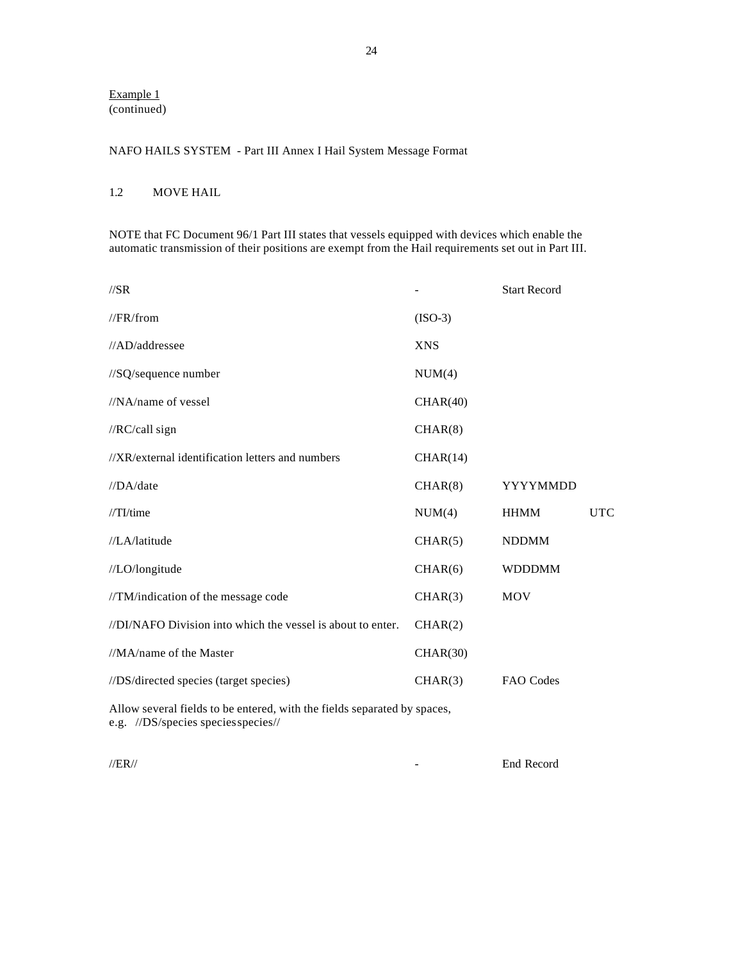# Example 1 (continued)

# NAFO HAILS SYSTEM - Part III Annex I Hail System Message Format

# 1.2 MOVE HAIL

NOTE that FC Document 96/1 Part III states that vessels equipped with devices which enable the automatic transmission of their positions are exempt from the Hail requirements set out in Part III.

| $\frac{\text{7}}{\text{8R}}$                                |            | <b>Start Record</b> |            |
|-------------------------------------------------------------|------------|---------------------|------------|
| //FR/from                                                   | $(ISO-3)$  |                     |            |
| //AD/addressee                                              | <b>XNS</b> |                     |            |
| //SQ/sequence number                                        | NUM(4)     |                     |            |
| //NA/name of vessel                                         | CHAR(40)   |                     |            |
| //RC/call sign                                              | CHAR(8)    |                     |            |
| //XR/external identification letters and numbers            | CHAR(14)   |                     |            |
| //DA/date                                                   | CHAR(8)    | YYYYMMDD            |            |
| $//TI$ time                                                 | NUM(4)     | <b>HHMM</b>         | <b>UTC</b> |
| //LA/latitude                                               | CHAR(5)    | <b>NDDMM</b>        |            |
| //LO/longitude                                              | CHAR(6)    | <b>WDDDMM</b>       |            |
| //TM/indication of the message code                         | CHAR(3)    | <b>MOV</b>          |            |
| //DI/NAFO Division into which the vessel is about to enter. | CHAR(2)    |                     |            |
| //MA/name of the Master                                     | CHAR(30)   |                     |            |
| //DS/directed species (target species)                      | CHAR(3)    | FAO Codes           |            |
|                                                             |            |                     |            |

Allow several fields to be entered, with the fields separated by spaces, e.g. //DS/species species species//

//ER// - End Record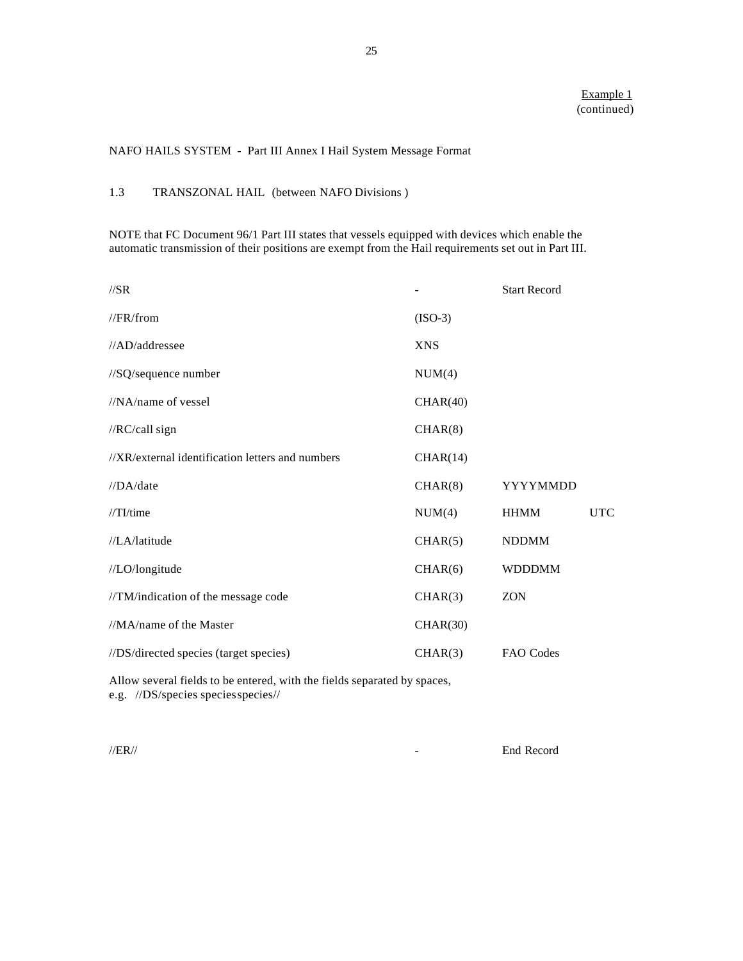# NAFO HAILS SYSTEM - Part III Annex I Hail System Message Format

# 1.3 TRANSZONAL HAIL (between NAFO Divisions )

NOTE that FC Document 96/1 Part III states that vessels equipped with devices which enable the automatic transmission of their positions are exempt from the Hail requirements set out in Part III.

| $\frac{\text{7}}{S}$                             |            | <b>Start Record</b> |            |
|--------------------------------------------------|------------|---------------------|------------|
| //FR/from                                        | $(ISO-3)$  |                     |            |
| //AD/addressee                                   | <b>XNS</b> |                     |            |
| //SQ/sequence number                             | NUM(4)     |                     |            |
| $//NA$ /name of vessel                           | CHAR(40)   |                     |            |
| //RC/call sign                                   | CHAR(8)    |                     |            |
| //XR/external identification letters and numbers | CHAR(14)   |                     |            |
| //DA/date                                        | CHAR(8)    | YYYYMMDD            |            |
| $//TI$ time                                      | NUM(4)     | <b>HHMM</b>         | <b>UTC</b> |
| //LA/latitude                                    | CHAR(5)    | <b>NDDMM</b>        |            |
| //LO/longitude                                   | CHAR(6)    | <b>WDDDMM</b>       |            |
| //TM/indication of the message code              | CHAR(3)    | <b>ZON</b>          |            |
| //MA/name of the Master                          | CHAR(30)   |                     |            |
| //DS/directed species (target species)           | CHAR(3)    | FAO Codes           |            |

Allow several fields to be entered, with the fields separated by spaces, e.g. //DS/species species species//

 $\angle$  //ER//  $\angle$  End Record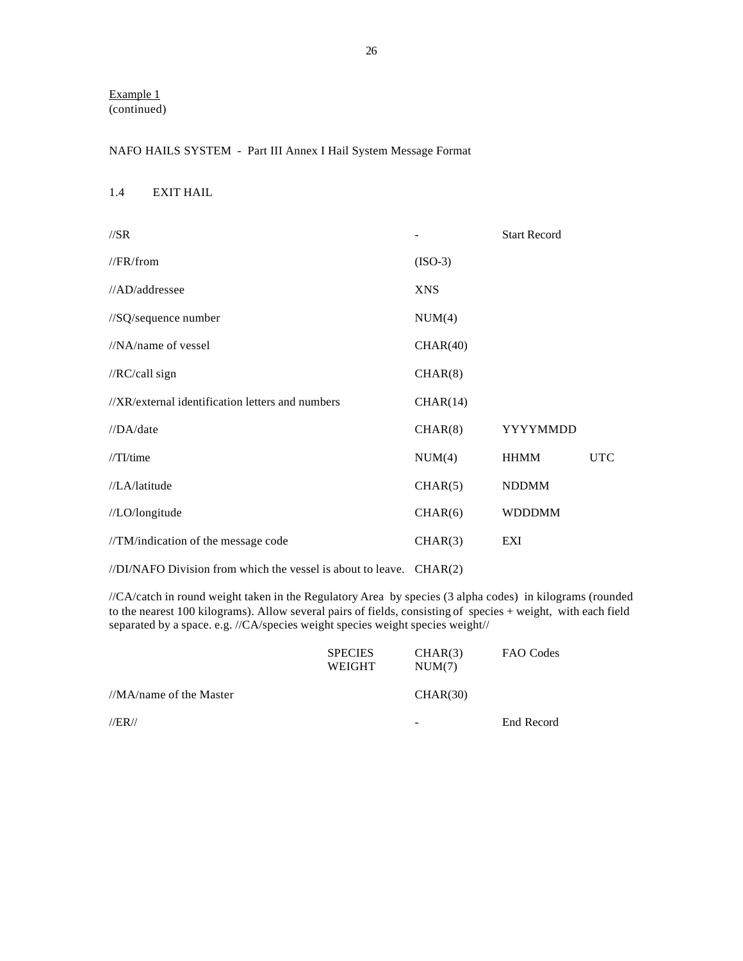Example 1 (continued)

# NAFO HAILS SYSTEM - Part III Annex I Hail System Message Format

# 1.4 EXIT HAIL

| $\sqrt{SR}$                                      |            | <b>Start Record</b> |            |
|--------------------------------------------------|------------|---------------------|------------|
| //FR/from                                        | $(ISO-3)$  |                     |            |
| //AD/addressee                                   | <b>XNS</b> |                     |            |
| //SQ/sequence number                             | NUM(4)     |                     |            |
| //NA/name of vessel                              | CHAR(40)   |                     |            |
| //RC/call sign                                   | CHAR(8)    |                     |            |
| //XR/external identification letters and numbers | CHAR(14)   |                     |            |
| //DA/date                                        | CHAR(8)    | YYYYMMDD            |            |
| $\sqrt{T}$ I/time                                | NUM(4)     | <b>HHMM</b>         | <b>UTC</b> |
| //LA/latitude                                    | CHAR(5)    | <b>NDDMM</b>        |            |
| //LO/longitude                                   | CHAR(6)    | <b>WDDDMM</b>       |            |
| //TM/indication of the message code              | CHAR(3)    | EXI                 |            |
|                                                  |            |                     |            |

//DI/NAFO Division from which the vessel is about to leave. CHAR(2)

//CA/catch in round weight taken in the Regulatory Area by species (3 alpha codes) in kilograms (rounded to the nearest 100 kilograms). Allow several pairs of fields, consisting of species + weight, with each field separated by a space. e.g. //CA/species weight species weight species weight//

|                         | <b>SPECIES</b><br>WEIGHT | CHAR(3)<br>NUM(7) | FAO Codes  |
|-------------------------|--------------------------|-------------------|------------|
| //MA/name of the Master |                          | CHAR(30)          |            |
| $\sqrt{ ER }$           |                          | -                 | End Record |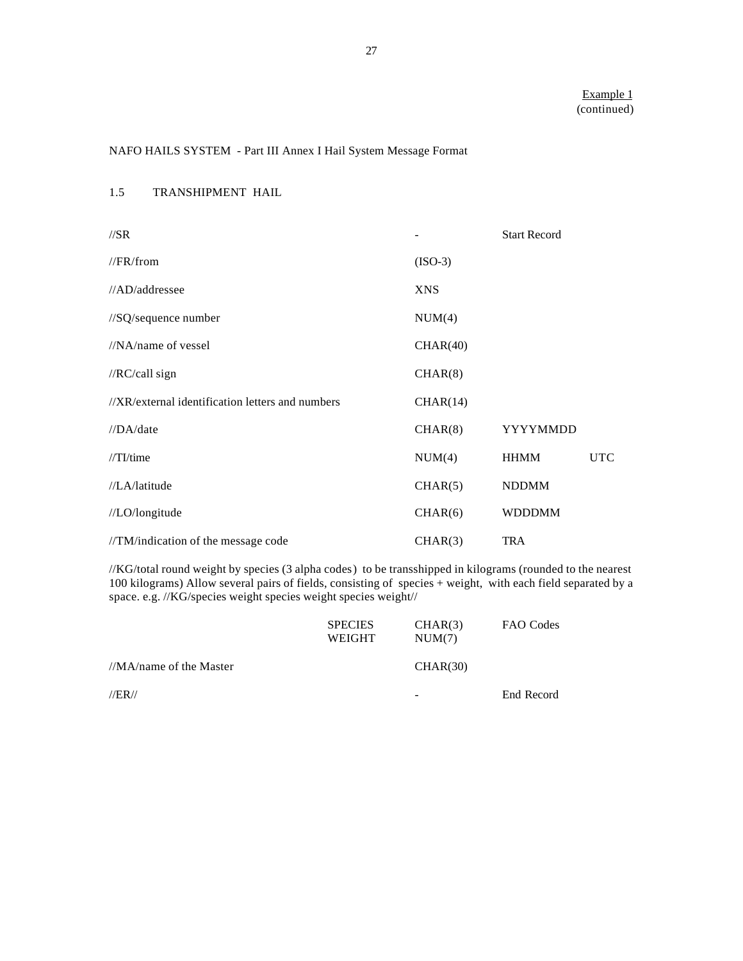# NAFO HAILS SYSTEM - Part III Annex I Hail System Message Format

|  | 1.5 | TRANSHIPMENT HAIL |  |
|--|-----|-------------------|--|
|--|-----|-------------------|--|

| $\sqrt{SR}$                                      |            | <b>Start Record</b> |            |
|--------------------------------------------------|------------|---------------------|------------|
| //FR/from                                        | $(ISO-3)$  |                     |            |
| //AD/addressee                                   | <b>XNS</b> |                     |            |
| //SQ/sequence number                             | NUM(4)     |                     |            |
| $//NA$ /name of vessel                           | CHAR(40)   |                     |            |
| //RC/call sign                                   | CHAR(8)    |                     |            |
| //XR/external identification letters and numbers | CHAR(14)   |                     |            |
| //DA/date                                        | CHAR(8)    | YYYYMMDD            |            |
| $//TI$ time                                      | NUM(4)     | <b>HHMM</b>         | <b>UTC</b> |
| //LA/latitude                                    | CHAR(5)    | <b>NDDMM</b>        |            |
| //LO/longitude                                   | CHAR(6)    | <b>WDDDMM</b>       |            |
| //TM/indication of the message code              | CHAR(3)    | <b>TRA</b>          |            |

//KG/total round weight by species (3 alpha codes) to be transshipped in kilograms (rounded to the nearest 100 kilograms) Allow several pairs of fields, consisting of species + weight, with each field separated by a space. e.g. //KG/species weight species weight species weight//

|                         | <b>SPECIES</b><br>WEIGHT | CHAR(3)<br>NUM(7) | FAO Codes  |
|-------------------------|--------------------------|-------------------|------------|
| //MA/name of the Master |                          | CHAR(30)          |            |
| $\sqrt{ ER }$           |                          | -                 | End Record |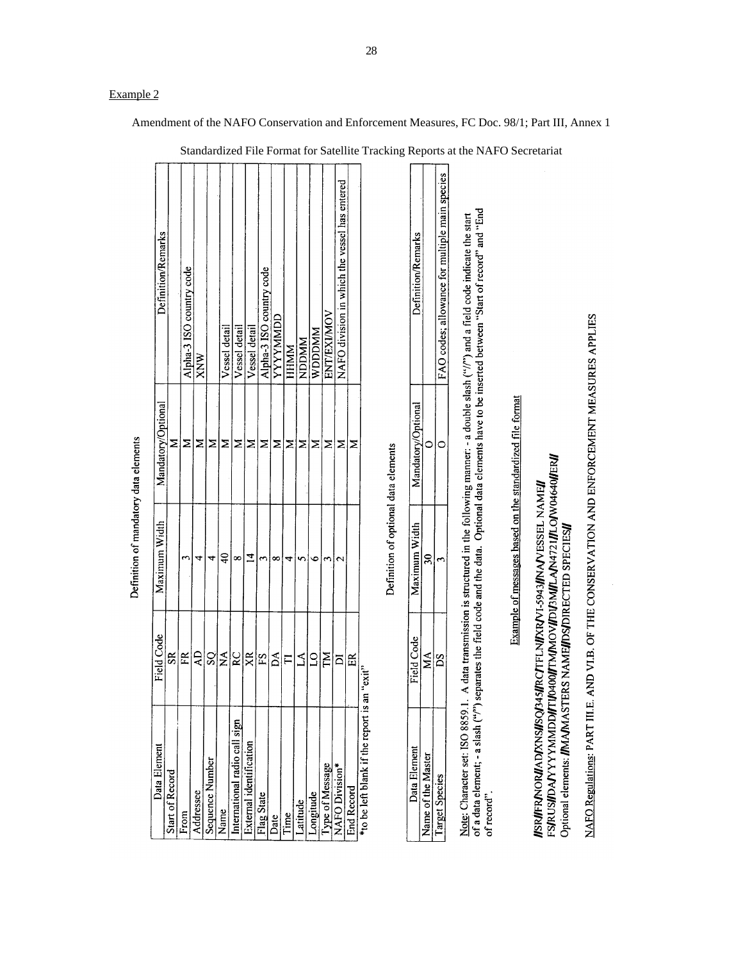| Data Element                                 | Field Code       | Maximum Width                                                                                             | Mandatory/Optional | Definition/Remarks                                                                                                                                                                                                                                                                                                |
|----------------------------------------------|------------------|-----------------------------------------------------------------------------------------------------------|--------------------|-------------------------------------------------------------------------------------------------------------------------------------------------------------------------------------------------------------------------------------------------------------------------------------------------------------------|
| Start of Record                              | $\mathbf{g}$     |                                                                                                           | ⋝                  |                                                                                                                                                                                                                                                                                                                   |
|                                              | FR               | 3                                                                                                         | Σ                  | Alpha-3 ISO country code                                                                                                                                                                                                                                                                                          |
| Addressee                                    | ĄD               | 4                                                                                                         | Σ                  | XNW                                                                                                                                                                                                                                                                                                               |
| Sequence Number                              | $\frac{S}{Z}$    | 4                                                                                                         | Σ                  |                                                                                                                                                                                                                                                                                                                   |
|                                              |                  | $\overline{40}$                                                                                           | Σ                  | Vessel detail                                                                                                                                                                                                                                                                                                     |
| International radio call sign                | RC               | $\infty$                                                                                                  | Σ                  | Vessel detail                                                                                                                                                                                                                                                                                                     |
| External identification                      | $X^{\mathsf{R}}$ | 4                                                                                                         | ⋝                  | Vessel detail                                                                                                                                                                                                                                                                                                     |
| Flag State                                   | $\frac{S}{15}$   | ς                                                                                                         | ⋝                  | Alpha-3 ISO country code                                                                                                                                                                                                                                                                                          |
|                                              | Å                | $\infty$                                                                                                  | Σ                  | YYYYMMDD                                                                                                                                                                                                                                                                                                          |
|                                              | $\overline{E}$   | ᡪ                                                                                                         | Σ                  | <b>HHMM</b>                                                                                                                                                                                                                                                                                                       |
|                                              | 2                | S                                                                                                         | ⋝                  | <b>NDDMM</b>                                                                                                                                                                                                                                                                                                      |
| Longitude                                    | $\frac{1}{2}$    | $\bullet$                                                                                                 | ⋝                  | <b>WDDDMM</b>                                                                                                                                                                                                                                                                                                     |
| Type of Message                              | ZМ               | 3                                                                                                         | ⋝                  | ENT/EXIMOV                                                                                                                                                                                                                                                                                                        |
| NAFO Division*                               | ā                | $\mathbf{\hat{c}}$                                                                                        | ⋝                  | NAFO division in which the vessel has entered                                                                                                                                                                                                                                                                     |
| End Record                                   | E                |                                                                                                           | ⋝                  |                                                                                                                                                                                                                                                                                                                   |
| *to be left blank if the report is an "exit" |                  |                                                                                                           |                    |                                                                                                                                                                                                                                                                                                                   |
|                                              |                  | Definition of optional data elements                                                                      |                    |                                                                                                                                                                                                                                                                                                                   |
| Data Element                                 | Field Code       | Maximum Width                                                                                             | Mandatory/Optional | <b>Definition/Remarks</b>                                                                                                                                                                                                                                                                                         |
| Name of the Master                           | ХŅ               | నె                                                                                                        | っ                  |                                                                                                                                                                                                                                                                                                                   |
| Target Species                               | SQ               | $\mathbf{\tilde{c}}$                                                                                      | $\circ$            | FAO codes; allowance for multiple main species                                                                                                                                                                                                                                                                    |
| of record"                                   |                  |                                                                                                           |                    | of a data element; - a slash ("") separates the field code and the data. Optional data elements have to be inserted between "Start of record" and "End<br>Note: Character set: ISO 8859.1. A data transmission is structured in the following manner: - a double slash ("//") and a field code indicate the start |
|                                              |                  | Example of messages based on the standardized file format                                                 |                    |                                                                                                                                                                                                                                                                                                                   |
| <b>IISRIFRNORIIADIXNSIISOI345II</b>          |                  | FS/RUS/JOANYYYYMADDI/TIV0400//TM/MOV/JDU3M/JLAN4721/JLO/W04640/JER/J<br>RCITELNIXRVI-5943I/NAVESSEL NAMEI |                    |                                                                                                                                                                                                                                                                                                                   |

Definition of mandatory data elements

Example of messages based on the standardized file format *IISRÍFERNORIA DIXNSI/SQ345JRCTE EMIXRVI-5943JINAVESSEL NAMEJI<br>FSIRUSI/DAIYYYYMMDDI/FIJ0400I/FMIAOVI/DI/3MJLAJA4721I/LO/W04640J/ERI/<br>Optional elemens: IMAJMASTERS NAMEJ/DSIDIRECTED SPECIESJI* 

NAFO Regulations: PART III.E. AND VI.B. OF THE CONSERVATION AND ENFORCEMENT MEASURES APPLIES

Amendment of the NAFO Conservation and Enforcement Measures, FC Doc. 98/1; Part III, Annex 1

Example 2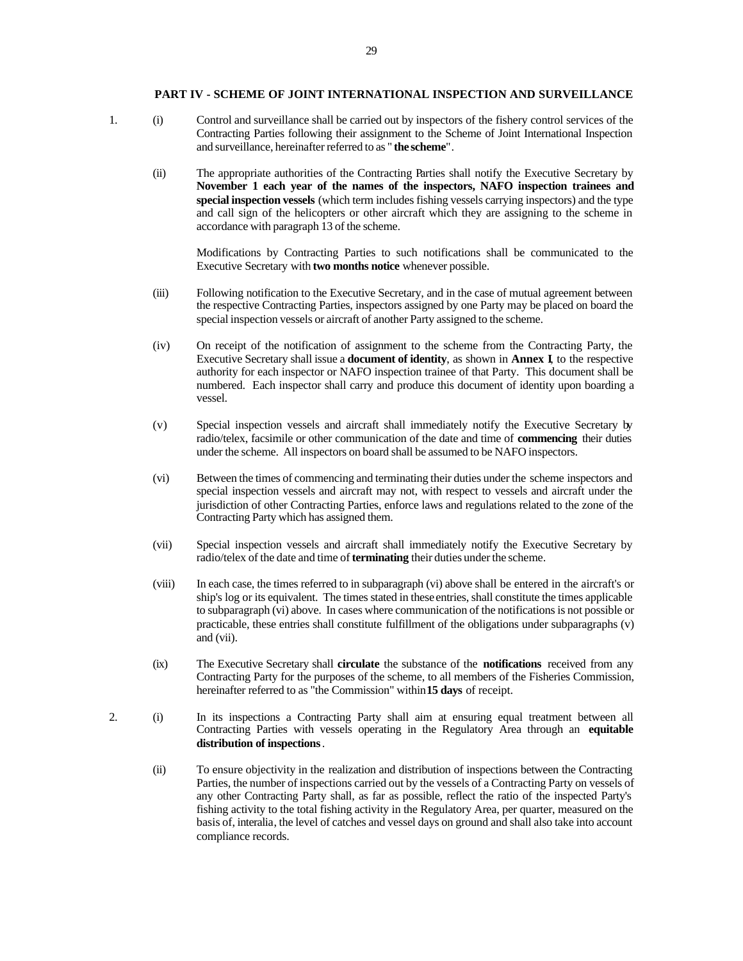# **PART IV - SCHEME OF JOINT INTERNATIONAL INSPECTION AND SURVEILLANCE**

1. (i) Control and surveillance shall be carried out by inspectors of the fishery control services of the Contracting Parties following their assignment to the Scheme of Joint International Inspection and surveillance, hereinafter referred to as " **the scheme**".

(ii) The appropriate authorities of the Contracting Parties shall notify the Executive Secretary by **November 1 each year of the names of the inspectors, NAFO inspection trainees and special inspection vessels** (which term includes fishing vessels carrying inspectors) and the type and call sign of the helicopters or other aircraft which they are assigning to the scheme in accordance with paragraph 13 of the scheme.

Modifications by Contracting Parties to such notifications shall be communicated to the Executive Secretary with **two months notice** whenever possible.

- (iii) Following notification to the Executive Secretary, and in the case of mutual agreement between the respective Contracting Parties, inspectors assigned by one Party may be placed on board the special inspection vessels or aircraft of another Party assigned to the scheme.
- (iv) On receipt of the notification of assignment to the scheme from the Contracting Party, the Executive Secretary shall issue a **document of identity**, as shown in **Annex I**, to the respective authority for each inspector or NAFO inspection trainee of that Party. This document shall be numbered. Each inspector shall carry and produce this document of identity upon boarding a vessel.
- (v) Special inspection vessels and aircraft shall immediately notify the Executive Secretary by radio/telex, facsimile or other communication of the date and time of **commencing** their duties under the scheme. All inspectors on board shall be assumed to be NAFO inspectors.
- (vi) Between the times of commencing and terminating their duties under the scheme inspectors and special inspection vessels and aircraft may not, with respect to vessels and aircraft under the jurisdiction of other Contracting Parties, enforce laws and regulations related to the zone of the Contracting Party which has assigned them.
- (vii) Special inspection vessels and aircraft shall immediately notify the Executive Secretary by radio/telex of the date and time of **terminating** their duties under the scheme.
- (viii) In each case, the times referred to in subparagraph (vi) above shall be entered in the aircraft's or ship's log or its equivalent. The times stated in these entries, shall constitute the times applicable to subparagraph (vi) above. In cases where communication of the notifications is not possible or practicable, these entries shall constitute fulfillment of the obligations under subparagraphs (v) and (vii).
- (ix) The Executive Secretary shall **circulate** the substance of the **notifications** received from any Contracting Party for the purposes of the scheme, to all members of the Fisheries Commission, hereinafter referred to as "the Commission" within **15 days** of receipt.
- 2. (i) In its inspections a Contracting Party shall aim at ensuring equal treatment between all Contracting Parties with vessels operating in the Regulatory Area through an **equitable distribution of inspections**.
	- (ii) To ensure objectivity in the realization and distribution of inspections between the Contracting Parties, the number of inspections carried out by the vessels of a Contracting Party on vessels of any other Contracting Party shall, as far as possible, reflect the ratio of the inspected Party's fishing activity to the total fishing activity in the Regulatory Area, per quarter, measured on the basis of, interalia, the level of catches and vessel days on ground and shall also take into account compliance records.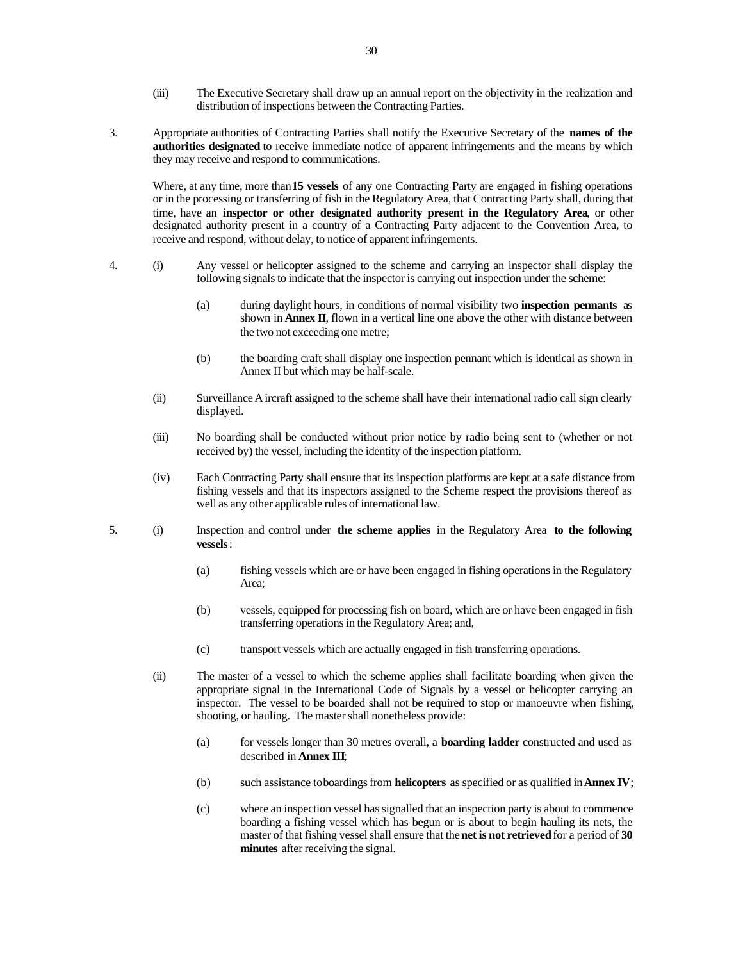- (iii) The Executive Secretary shall draw up an annual report on the objectivity in the realization and distribution of inspections between the Contracting Parties.
- 3. Appropriate authorities of Contracting Parties shall notify the Executive Secretary of the **names of the authorities designated** to receive immediate notice of apparent infringements and the means by which they may receive and respond to communications.

Where, at any time, more than **15 vessels** of any one Contracting Party are engaged in fishing operations or in the processing or transferring of fish in the Regulatory Area, that Contracting Party shall, during that time, have an **inspector or other designated authority present in the Regulatory Area**, or other designated authority present in a country of a Contracting Party adjacent to the Convention Area, to receive and respond, without delay, to notice of apparent infringements.

- 4. (i) Any vessel or helicopter assigned to the scheme and carrying an inspector shall display the following signals to indicate that the inspector is carrying out inspection under the scheme:
	- (a) during daylight hours, in conditions of normal visibility two **inspection pennants** as shown in **Annex II**, flown in a vertical line one above the other with distance between the two not exceeding one metre;
	- (b) the boarding craft shall display one inspection pennant which is identical as shown in Annex II but which may be half-scale.
	- (ii) Surveillance Aircraft assigned to the scheme shall have their international radio call sign clearly displayed.
	- (iii) No boarding shall be conducted without prior notice by radio being sent to (whether or not received by) the vessel, including the identity of the inspection platform.
	- (iv) Each Contracting Party shall ensure that its inspection platforms are kept at a safe distance from fishing vessels and that its inspectors assigned to the Scheme respect the provisions thereof as well as any other applicable rules of international law.
- 5. (i) Inspection and control under **the scheme applies** in the Regulatory Area **to the following vessels**:
	- (a) fishing vessels which are or have been engaged in fishing operations in the Regulatory Area;
	- (b) vessels, equipped for processing fish on board, which are or have been engaged in fish transferring operations in the Regulatory Area; and,
	- (c) transport vessels which are actually engaged in fish transferring operations.
	- (ii) The master of a vessel to which the scheme applies shall facilitate boarding when given the appropriate signal in the International Code of Signals by a vessel or helicopter carrying an inspector. The vessel to be boarded shall not be required to stop or manoeuvre when fishing, shooting, or hauling. The master shall nonetheless provide:
		- (a) for vessels longer than 30 metres overall, a **boarding ladder** constructed and used as described in **Annex III**;
		- (b) such assistance to boardings from **helicopters** as specified or as qualified in **Annex IV**;
		- (c) where an inspection vessel has signalled that an inspection party is about to commence boarding a fishing vessel which has begun or is about to begin hauling its nets, the master of that fishing vessel shall ensure that the **net is not retrieved** for a period of **30 minutes** after receiving the signal.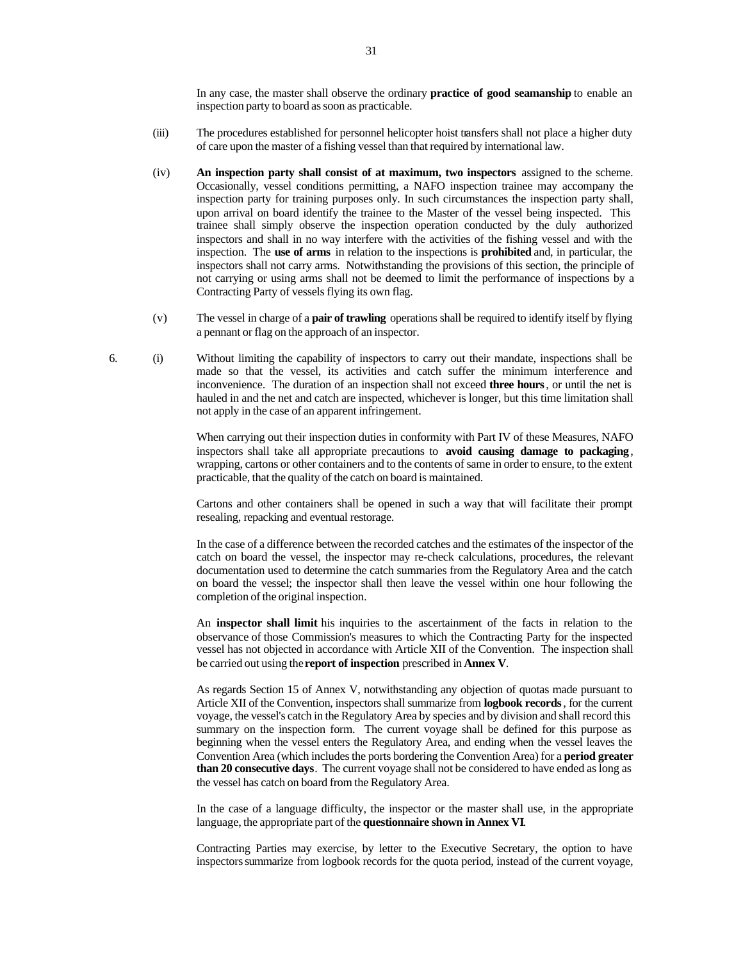In any case, the master shall observe the ordinary **practice of good seamanship** to enable an inspection party to board as soon as practicable.

- (iii) The procedures established for personnel helicopter hoist transfers shall not place a higher duty of care upon the master of a fishing vessel than that required by international law.
- (iv) **An inspection party shall consist of at maximum, two inspectors** assigned to the scheme. Occasionally, vessel conditions permitting, a NAFO inspection trainee may accompany the inspection party for training purposes only. In such circumstances the inspection party shall, upon arrival on board identify the trainee to the Master of the vessel being inspected. This trainee shall simply observe the inspection operation conducted by the duly authorized inspectors and shall in no way interfere with the activities of the fishing vessel and with the inspection. The **use of arms** in relation to the inspections is **prohibited** and, in particular, the inspectors shall not carry arms. Notwithstanding the provisions of this section, the principle of not carrying or using arms shall not be deemed to limit the performance of inspections by a Contracting Party of vessels flying its own flag.
- (v) The vessel in charge of a **pair of trawling** operations shall be required to identify itself by flying a pennant or flag on the approach of an inspector.
- 6. (i) Without limiting the capability of inspectors to carry out their mandate, inspections shall be made so that the vessel, its activities and catch suffer the minimum interference and inconvenience. The duration of an inspection shall not exceed **three hours**, or until the net is hauled in and the net and catch are inspected, whichever is longer, but this time limitation shall not apply in the case of an apparent infringement.

When carrying out their inspection duties in conformity with Part IV of these Measures, NAFO inspectors shall take all appropriate precautions to **avoid causing damage to packaging** , wrapping, cartons or other containers and to the contents of same in order to ensure, to the extent practicable, that the quality of the catch on board is maintained.

Cartons and other containers shall be opened in such a way that will facilitate their prompt resealing, repacking and eventual restorage.

In the case of a difference between the recorded catches and the estimates of the inspector of the catch on board the vessel, the inspector may re-check calculations, procedures, the relevant documentation used to determine the catch summaries from the Regulatory Area and the catch on board the vessel; the inspector shall then leave the vessel within one hour following the completion of the original inspection.

An **inspector shall limit** his inquiries to the ascertainment of the facts in relation to the observance of those Commission's measures to which the Contracting Party for the inspected vessel has not objected in accordance with Article XII of the Convention. The inspection shall be carried out using the **report of inspection** prescribed in **Annex V**.

As regards Section 15 of Annex V, notwithstanding any objection of quotas made pursuant to Article XII of the Convention, inspectors shall summarize from **logbook records**, for the current voyage, the vessel's catch in the Regulatory Area by species and by division and shall record this summary on the inspection form. The current voyage shall be defined for this purpose as beginning when the vessel enters the Regulatory Area, and ending when the vessel leaves the Convention Area (which includes the ports bordering the Convention Area) for a **period greater than 20 consecutive days**. The current voyage shall not be considered to have ended as long as the vessel has catch on board from the Regulatory Area.

In the case of a language difficulty, the inspector or the master shall use, in the appropriate language, the appropriate part of the **questionnaire shown in Annex VI**.

Contracting Parties may exercise, by letter to the Executive Secretary, the option to have inspectors summarize from logbook records for the quota period, instead of the current voyage,

31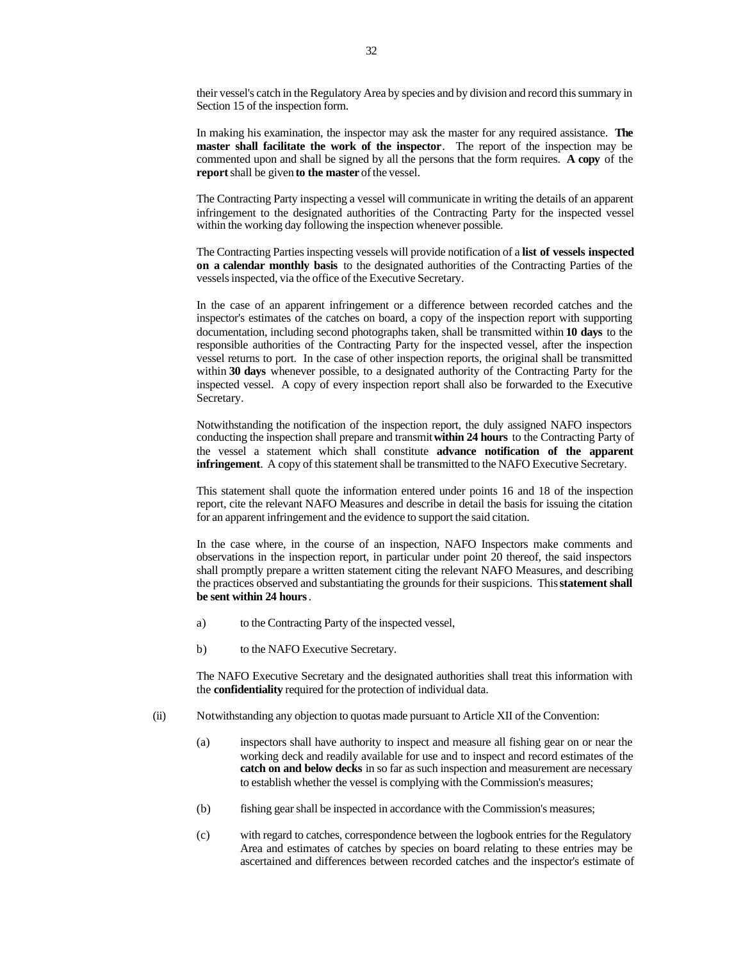their vessel's catch in the Regulatory Area by species and by division and record this summary in Section 15 of the inspection form.

In making his examination, the inspector may ask the master for any required assistance. **The master shall facilitate the work of the inspector**. The report of the inspection may be commented upon and shall be signed by all the persons that the form requires. **A copy** of the **report** shall be given **to the master** of the vessel.

The Contracting Party inspecting a vessel will communicate in writing the details of an apparent infringement to the designated authorities of the Contracting Party for the inspected vessel within the working day following the inspection whenever possible.

The Contracting Parties inspecting vessels will provide notification of a **list of vessels inspected on a calendar monthly basis** to the designated authorities of the Contracting Parties of the vessels inspected, via the office of the Executive Secretary.

In the case of an apparent infringement or a difference between recorded catches and the inspector's estimates of the catches on board, a copy of the inspection report with supporting documentation, including second photographs taken, shall be transmitted within **10 days** to the responsible authorities of the Contracting Party for the inspected vessel, after the inspection vessel returns to port. In the case of other inspection reports, the original shall be transmitted within **30 days** whenever possible, to a designated authority of the Contracting Party for the inspected vessel. A copy of every inspection report shall also be forwarded to the Executive Secretary.

Notwithstanding the notification of the inspection report, the duly assigned NAFO inspectors conducting the inspection shall prepare and transmit **within 24 hours** to the Contracting Party of the vessel a statement which shall constitute **advance notification of the apparent infringement**. A copy of this statement shall be transmitted to the NAFO Executive Secretary.

This statement shall quote the information entered under points 16 and 18 of the inspection report, cite the relevant NAFO Measures and describe in detail the basis for issuing the citation for an apparent infringement and the evidence to support the said citation.

In the case where, in the course of an inspection, NAFO Inspectors make comments and observations in the inspection report, in particular under point 20 thereof, the said inspectors shall promptly prepare a written statement citing the relevant NAFO Measures, and describing the practices observed and substantiating the grounds for their suspicions. This **statement shall be sent within 24 hours**.

- a) to the Contracting Party of the inspected vessel,
- b) to the NAFO Executive Secretary.

The NAFO Executive Secretary and the designated authorities shall treat this information with the **confidentiality** required for the protection of individual data.

- (ii) Notwithstanding any objection to quotas made pursuant to Article XII of the Convention:
	- (a) inspectors shall have authority to inspect and measure all fishing gear on or near the working deck and readily available for use and to inspect and record estimates of the **catch on and below decks** in so far as such inspection and measurement are necessary to establish whether the vessel is complying with the Commission's measures;
	- (b) fishing gear shall be inspected in accordance with the Commission's measures;
	- (c) with regard to catches, correspondence between the logbook entries for the Regulatory Area and estimates of catches by species on board relating to these entries may be ascertained and differences between recorded catches and the inspector's estimate of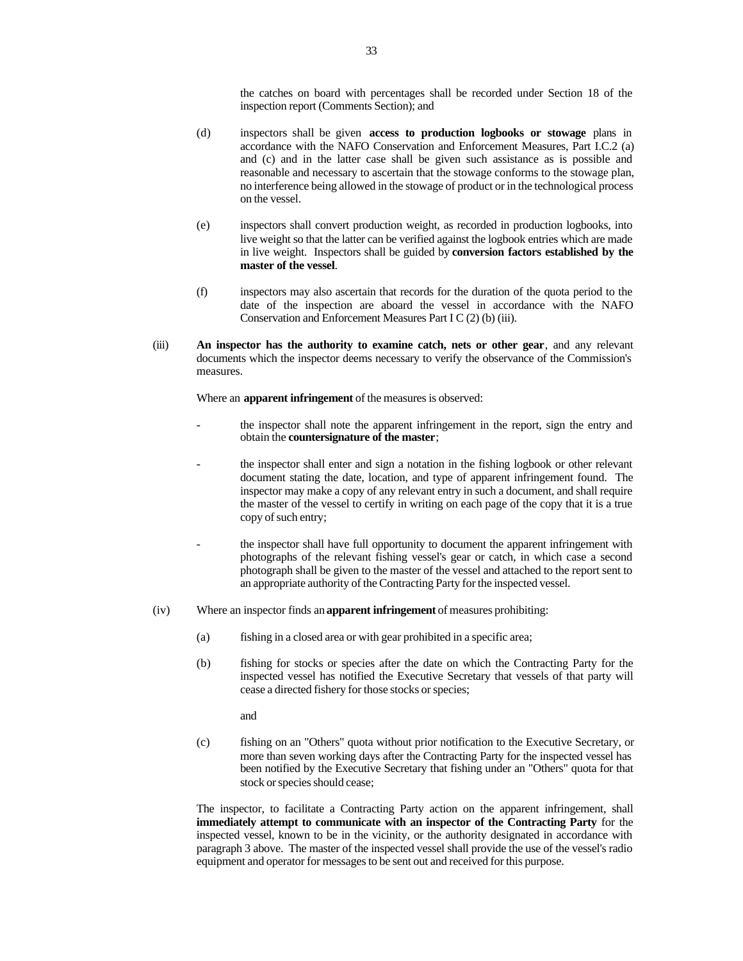the catches on board with percentages shall be recorded under Section 18 of the inspection report (Comments Section); and

- (d) inspectors shall be given **access to production logbooks or stowage** plans in accordance with the NAFO Conservation and Enforcement Measures, Part I.C.2 (a) and (c) and in the latter case shall be given such assistance as is possible and reasonable and necessary to ascertain that the stowage conforms to the stowage plan, no interference being allowed in the stowage of product or in the technological process on the vessel.
- (e) inspectors shall convert production weight, as recorded in production logbooks, into live weight so that the latter can be verified against the logbook entries which are made in live weight. Inspectors shall be guided by **conversion factors established by the master of the vessel**.
- (f) inspectors may also ascertain that records for the duration of the quota period to the date of the inspection are aboard the vessel in accordance with the NAFO Conservation and Enforcement Measures Part I C (2) (b) (iii).
- (iii) **An inspector has the authority to examine catch, nets or other gear**, and any relevant documents which the inspector deems necessary to verify the observance of the Commission's measures.

Where an **apparent infringement** of the measures is observed:

- the inspector shall note the apparent infringement in the report, sign the entry and obtain the **countersignature of the master**;
- the inspector shall enter and sign a notation in the fishing logbook or other relevant document stating the date, location, and type of apparent infringement found. The inspector may make a copy of any relevant entry in such a document, and shall require the master of the vessel to certify in writing on each page of the copy that it is a true copy of such entry;
- the inspector shall have full opportunity to document the apparent infringement with photographs of the relevant fishing vessel's gear or catch, in which case a second photograph shall be given to the master of the vessel and attached to the report sent to an appropriate authority of the Contracting Party for the inspected vessel.
- (iv) Where an inspector finds an **apparent infringement** of measures prohibiting:
	- (a) fishing in a closed area or with gear prohibited in a specific area;
	- (b) fishing for stocks or species after the date on which the Contracting Party for the inspected vessel has notified the Executive Secretary that vessels of that party will cease a directed fishery for those stocks or species;
		- and
	- (c) fishing on an "Others" quota without prior notification to the Executive Secretary, or more than seven working days after the Contracting Party for the inspected vessel has been notified by the Executive Secretary that fishing under an "Others" quota for that stock or species should cease;

The inspector, to facilitate a Contracting Party action on the apparent infringement, shall **immediately attempt to communicate with an inspector of the Contracting Party** for the inspected vessel, known to be in the vicinity, or the authority designated in accordance with paragraph 3 above. The master of the inspected vessel shall provide the use of the vessel's radio equipment and operator for messages to be sent out and received for this purpose.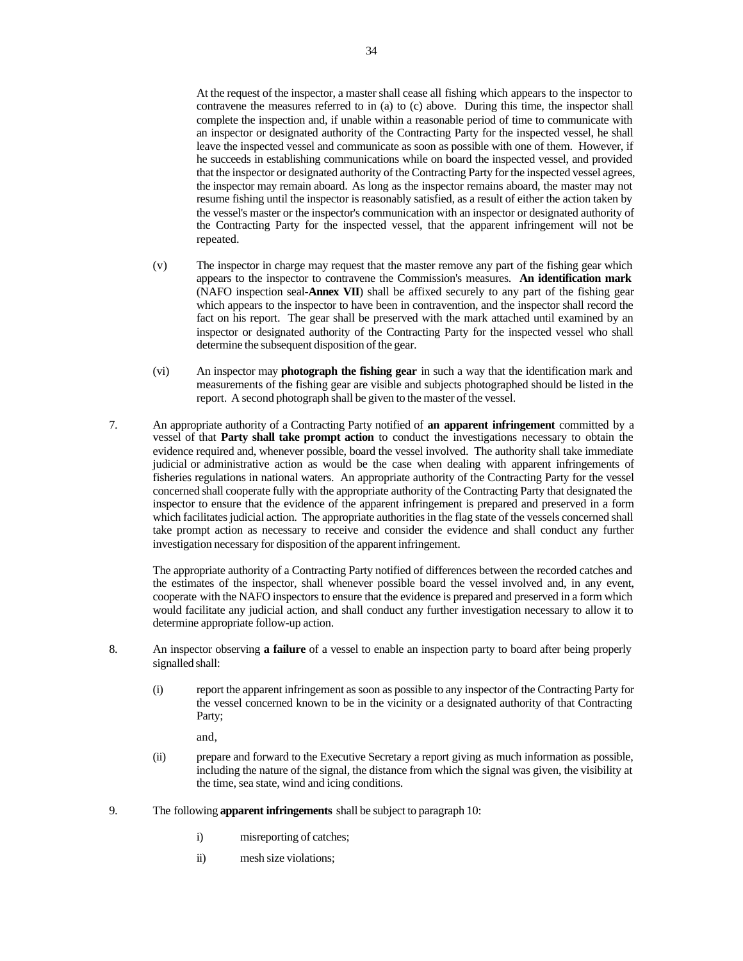At the request of the inspector, a master shall cease all fishing which appears to the inspector to contravene the measures referred to in (a) to (c) above. During this time, the inspector shall complete the inspection and, if unable within a reasonable period of time to communicate with an inspector or designated authority of the Contracting Party for the inspected vessel, he shall leave the inspected vessel and communicate as soon as possible with one of them. However, if he succeeds in establishing communications while on board the inspected vessel, and provided that the inspector or designated authority of the Contracting Party for the inspected vessel agrees, the inspector may remain aboard. As long as the inspector remains aboard, the master may not resume fishing until the inspector is reasonably satisfied, as a result of either the action taken by the vessel's master or the inspector's communication with an inspector or designated authority of the Contracting Party for the inspected vessel, that the apparent infringement will not be repeated.

- (v) The inspector in charge may request that the master remove any part of the fishing gear which appears to the inspector to contravene the Commission's measures. **An identification mark** (NAFO inspection seal-**Annex VII**) shall be affixed securely to any part of the fishing gear which appears to the inspector to have been in contravention, and the inspector shall record the fact on his report. The gear shall be preserved with the mark attached until examined by an inspector or designated authority of the Contracting Party for the inspected vessel who shall determine the subsequent disposition of the gear.
- (vi) An inspector may **photograph the fishing gear** in such a way that the identification mark and measurements of the fishing gear are visible and subjects photographed should be listed in the report. A second photograph shall be given to the master of the vessel.
- 7. An appropriate authority of a Contracting Party notified of **an apparent infringement** committed by a vessel of that **Party shall take prompt action** to conduct the investigations necessary to obtain the evidence required and, whenever possible, board the vessel involved. The authority shall take immediate judicial or administrative action as would be the case when dealing with apparent infringements of fisheries regulations in national waters. An appropriate authority of the Contracting Party for the vessel concerned shall cooperate fully with the appropriate authority of the Contracting Party that designated the inspector to ensure that the evidence of the apparent infringement is prepared and preserved in a form which facilitates judicial action. The appropriate authorities in the flag state of the vessels concerned shall take prompt action as necessary to receive and consider the evidence and shall conduct any further investigation necessary for disposition of the apparent infringement.

The appropriate authority of a Contracting Party notified of differences between the recorded catches and the estimates of the inspector, shall whenever possible board the vessel involved and, in any event, cooperate with the NAFO inspectors to ensure that the evidence is prepared and preserved in a form which would facilitate any judicial action, and shall conduct any further investigation necessary to allow it to determine appropriate follow-up action.

- 8. An inspector observing **a failure** of a vessel to enable an inspection party to board after being properly signalled shall:
	- (i) report the apparent infringement as soon as possible to any inspector of the Contracting Party for the vessel concerned known to be in the vicinity or a designated authority of that Contracting Party;

and,

- (ii) prepare and forward to the Executive Secretary a report giving as much information as possible, including the nature of the signal, the distance from which the signal was given, the visibility at the time, sea state, wind and icing conditions.
- 9. The following **apparent infringements** shall be subject to paragraph 10:
	- i) misreporting of catches;
	- ii) mesh size violations;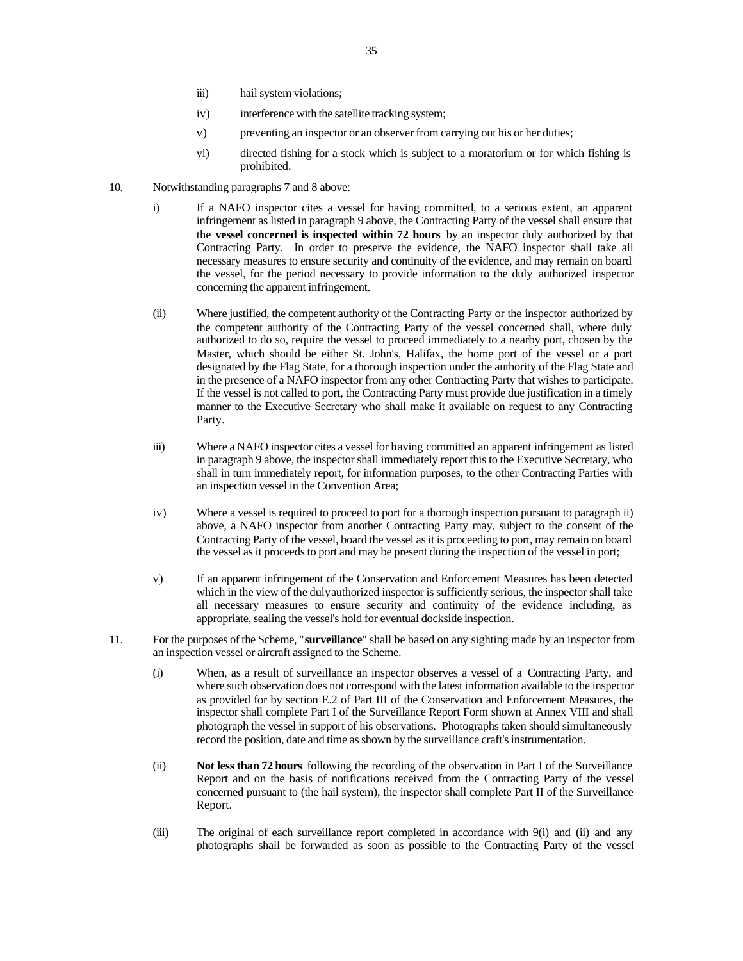- iii) hail system violations;
- iv) interference with the satellite tracking system;
- v) preventing an inspector or an observer from carrying out his or her duties;
- vi) directed fishing for a stock which is subject to a moratorium or for which fishing is prohibited.
- 10. Notwithstanding paragraphs 7 and 8 above:
	- i) If a NAFO inspector cites a vessel for having committed, to a serious extent, an apparent infringement as listed in paragraph 9 above, the Contracting Party of the vessel shall ensure that the **vessel concerned is inspected within 72 hours** by an inspector duly authorized by that Contracting Party. In order to preserve the evidence, the NAFO inspector shall take all necessary measures to ensure security and continuity of the evidence, and may remain on board the vessel, for the period necessary to provide information to the duly authorized inspector concerning the apparent infringement.
	- (ii) Where justified, the competent authority of the Contracting Party or the inspector authorized by the competent authority of the Contracting Party of the vessel concerned shall, where duly authorized to do so, require the vessel to proceed immediately to a nearby port, chosen by the Master, which should be either St. John's, Halifax, the home port of the vessel or a port designated by the Flag State, for a thorough inspection under the authority of the Flag State and in the presence of a NAFO inspector from any other Contracting Party that wishes to participate. If the vessel is not called to port, the Contracting Party must provide due justification in a timely manner to the Executive Secretary who shall make it available on request to any Contracting Party.
	- iii) Where a NAFO inspector cites a vessel for having committed an apparent infringement as listed in paragraph 9 above, the inspector shall immediately report this to the Executive Secretary, who shall in turn immediately report, for information purposes, to the other Contracting Parties with an inspection vessel in the Convention Area;
	- iv) Where a vessel is required to proceed to port for a thorough inspection pursuant to paragraph ii) above, a NAFO inspector from another Contracting Party may, subject to the consent of the Contracting Party of the vessel, board the vessel as it is proceeding to port, may remain on board the vessel as it proceeds to port and may be present during the inspection of the vessel in port;
	- v) If an apparent infringement of the Conservation and Enforcement Measures has been detected which in the view of the duly authorized inspector is sufficiently serious, the inspector shall take all necessary measures to ensure security and continuity of the evidence including, as appropriate, sealing the vessel's hold for eventual dockside inspection.
- 11. For the purposes of the Scheme, "**surveillance**" shall be based on any sighting made by an inspector from an inspection vessel or aircraft assigned to the Scheme.
	- (i) When, as a result of surveillance an inspector observes a vessel of a Contracting Party, and where such observation does not correspond with the latest information available to the inspector as provided for by section E.2 of Part III of the Conservation and Enforcement Measures, the inspector shall complete Part I of the Surveillance Report Form shown at Annex VIII and shall photograph the vessel in support of his observations. Photographs taken should simultaneously record the position, date and time as shown by the surveillance craft's instrumentation.
	- (ii) **Not less than 72 hours** following the recording of the observation in Part I of the Surveillance Report and on the basis of notifications received from the Contracting Party of the vessel concerned pursuant to (the hail system), the inspector shall complete Part II of the Surveillance Report.
	- (iii) The original of each surveillance report completed in accordance with 9(i) and (ii) and any photographs shall be forwarded as soon as possible to the Contracting Party of the vessel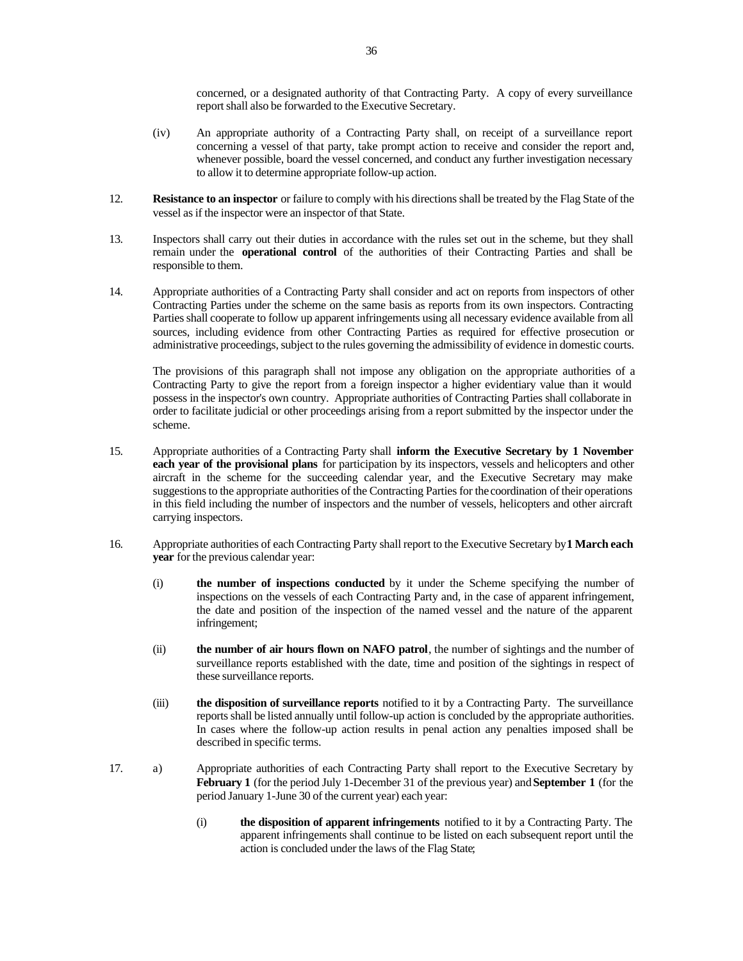concerned, or a designated authority of that Contracting Party. A copy of every surveillance report shall also be forwarded to the Executive Secretary.

- (iv) An appropriate authority of a Contracting Party shall, on receipt of a surveillance report concerning a vessel of that party, take prompt action to receive and consider the report and, whenever possible, board the vessel concerned, and conduct any further investigation necessary to allow it to determine appropriate follow-up action.
- 12. **Resistance to an inspector** or failure to comply with his directions shall be treated by the Flag State of the vessel as if the inspector were an inspector of that State.
- 13. Inspectors shall carry out their duties in accordance with the rules set out in the scheme, but they shall remain under the **operational control** of the authorities of their Contracting Parties and shall be responsible to them.
- 14. Appropriate authorities of a Contracting Party shall consider and act on reports from inspectors of other Contracting Parties under the scheme on the same basis as reports from its own inspectors. Contracting Parties shall cooperate to follow up apparent infringements using all necessary evidence available from all sources, including evidence from other Contracting Parties as required for effective prosecution or administrative proceedings, subject to the rules governing the admissibility of evidence in domestic courts.

The provisions of this paragraph shall not impose any obligation on the appropriate authorities of a Contracting Party to give the report from a foreign inspector a higher evidentiary value than it would possess in the inspector's own country. Appropriate authorities of Contracting Parties shall collaborate in order to facilitate judicial or other proceedings arising from a report submitted by the inspector under the scheme.

- 15. Appropriate authorities of a Contracting Party shall **inform the Executive Secretary by 1 November each year of the provisional plans** for participation by its inspectors, vessels and helicopters and other aircraft in the scheme for the succeeding calendar year, and the Executive Secretary may make suggestions to the appropriate authorities of the Contracting Parties for the coordination of their operations in this field including the number of inspectors and the number of vessels, helicopters and other aircraft carrying inspectors.
- 16. Appropriate authorities of each Contracting Party shall report to the Executive Secretary by **1 March each year** for the previous calendar year:
	- (i) **the number of inspections conducted** by it under the Scheme specifying the number of inspections on the vessels of each Contracting Party and, in the case of apparent infringement, the date and position of the inspection of the named vessel and the nature of the apparent infringement;
	- (ii) **the number of air hours flown on NAFO patrol**, the number of sightings and the number of surveillance reports established with the date, time and position of the sightings in respect of these surveillance reports.
	- (iii) **the disposition of surveillance reports** notified to it by a Contracting Party. The surveillance reports shall be listed annually until follow-up action is concluded by the appropriate authorities. In cases where the follow-up action results in penal action any penalties imposed shall be described in specific terms.
- 17. a) Appropriate authorities of each Contracting Party shall report to the Executive Secretary by **February 1** (for the period July 1-December 31 of the previous year) and **September 1** (for the period January 1-June 30 of the current year) each year:
	- (i) **the disposition of apparent infringements** notified to it by a Contracting Party. The apparent infringements shall continue to be listed on each subsequent report until the action is concluded under the laws of the Flag State;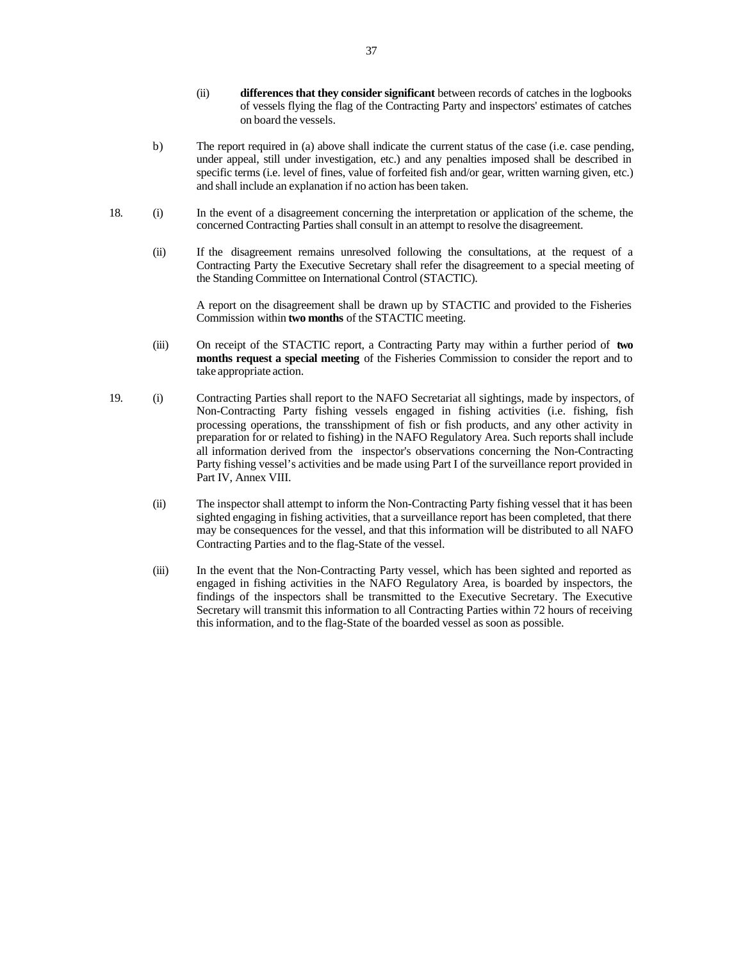- (ii) **differences that they consider significant** between records of catches in the logbooks of vessels flying the flag of the Contracting Party and inspectors' estimates of catches on board the vessels.
- b) The report required in (a) above shall indicate the current status of the case (i.e. case pending, under appeal, still under investigation, etc.) and any penalties imposed shall be described in specific terms (i.e. level of fines, value of forfeited fish and/or gear, written warning given, etc.) and shall include an explanation if no action has been taken.
- 18. (i) In the event of a disagreement concerning the interpretation or application of the scheme, the concerned Contracting Parties shall consult in an attempt to resolve the disagreement.
	- (ii) If the disagreement remains unresolved following the consultations, at the request of a Contracting Party the Executive Secretary shall refer the disagreement to a special meeting of the Standing Committee on International Control (STACTIC).

A report on the disagreement shall be drawn up by STACTIC and provided to the Fisheries Commission within **two months** of the STACTIC meeting.

- (iii) On receipt of the STACTIC report, a Contracting Party may within a further period of **two months request a special meeting** of the Fisheries Commission to consider the report and to take appropriate action.
- 19. (i) Contracting Parties shall report to the NAFO Secretariat all sightings, made by inspectors, of Non-Contracting Party fishing vessels engaged in fishing activities (i.e. fishing, fish processing operations, the transshipment of fish or fish products, and any other activity in preparation for or related to fishing) in the NAFO Regulatory Area. Such reports shall include all information derived from the inspector's observations concerning the Non-Contracting Party fishing vessel's activities and be made using Part I of the surveillance report provided in Part IV, Annex VIII.
	- (ii) The inspector shall attempt to inform the Non-Contracting Party fishing vessel that it has been sighted engaging in fishing activities, that a surveillance report has been completed, that there may be consequences for the vessel, and that this information will be distributed to all NAFO Contracting Parties and to the flag-State of the vessel.
	- (iii) In the event that the Non-Contracting Party vessel, which has been sighted and reported as engaged in fishing activities in the NAFO Regulatory Area, is boarded by inspectors, the findings of the inspectors shall be transmitted to the Executive Secretary. The Executive Secretary will transmit this information to all Contracting Parties within 72 hours of receiving this information, and to the flag-State of the boarded vessel as soon as possible.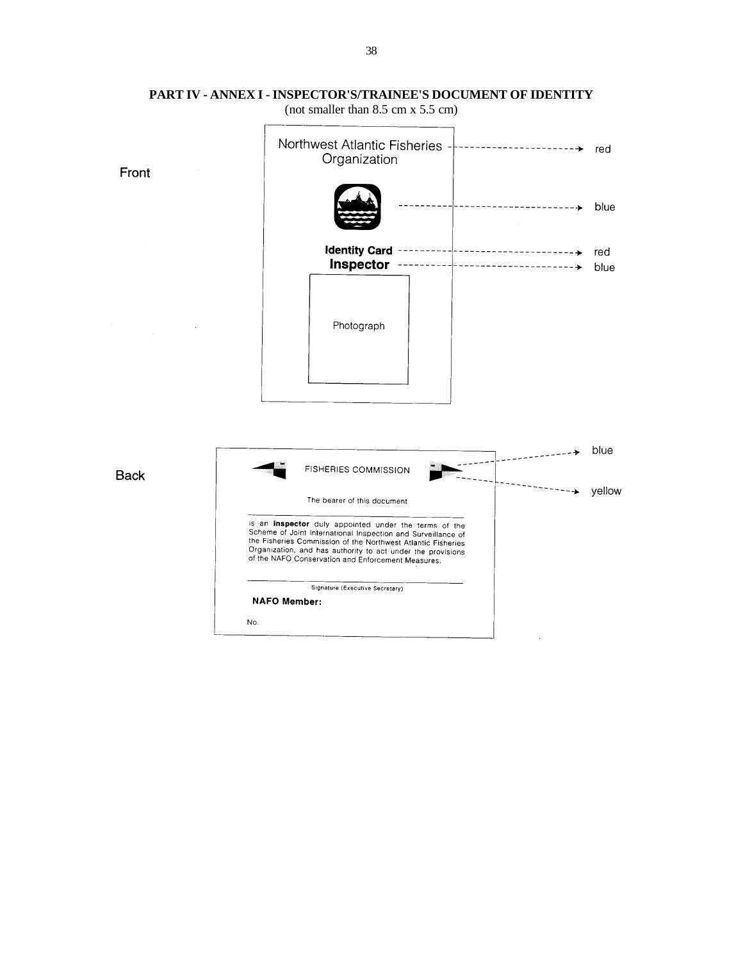

## **PART IV - ANNEX I - INSPECTOR'S/TRAINEE'S DOCUMENT OF IDENTITY**

(not smaller than 8.5 cm x 5.5 cm)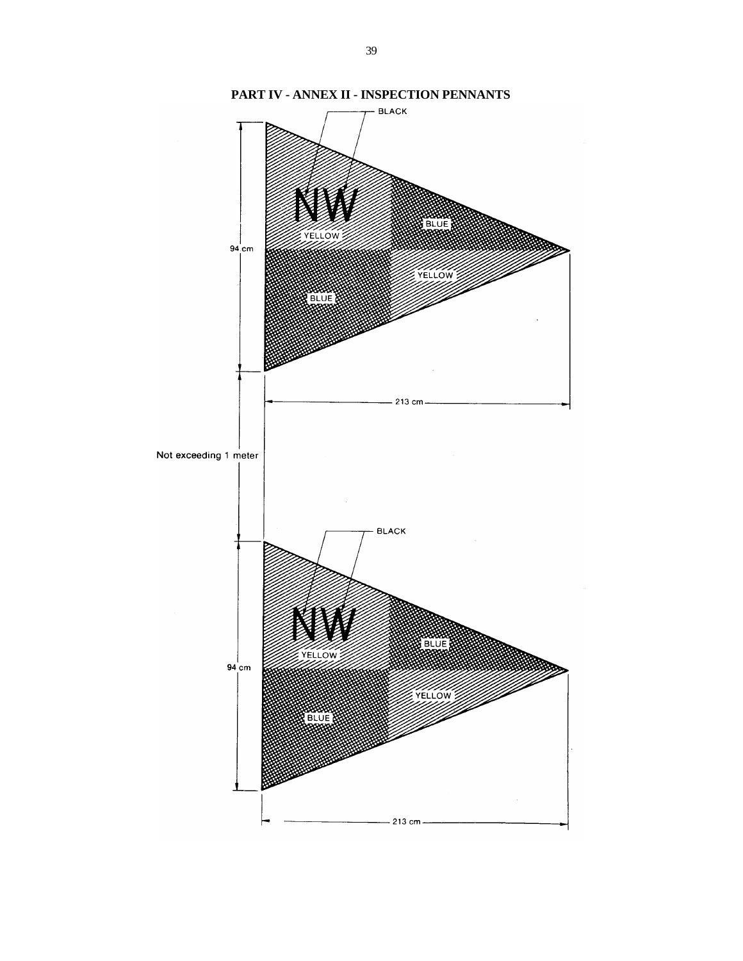

**PART IV - ANNEX II - INSPECTION PENNANTS**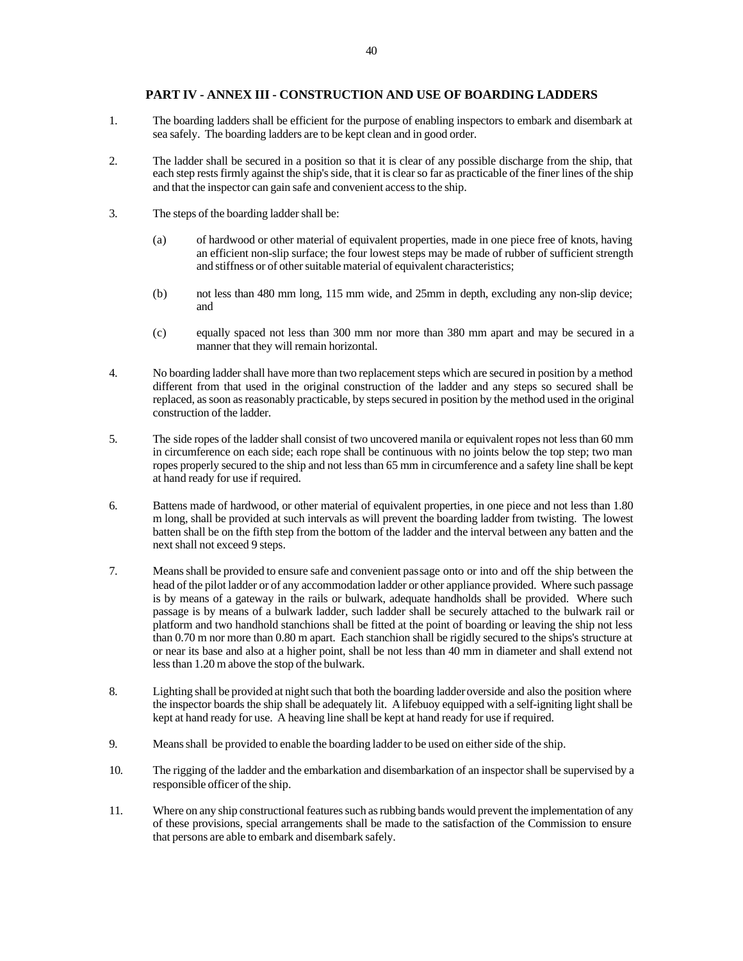## **PART IV - ANNEX III - CONSTRUCTION AND USE OF BOARDING LADDERS**

- 1. The boarding ladders shall be efficient for the purpose of enabling inspectors to embark and disembark at sea safely. The boarding ladders are to be kept clean and in good order.
- 2. The ladder shall be secured in a position so that it is clear of any possible discharge from the ship, that each step rests firmly against the ship's side, that it is clear so far as practicable of the finer lines of the ship and that the inspector can gain safe and convenient access to the ship.
- 3. The steps of the boarding ladder shall be:
	- (a) of hardwood or other material of equivalent properties, made in one piece free of knots, having an efficient non-slip surface; the four lowest steps may be made of rubber of sufficient strength and stiffness or of other suitable material of equivalent characteristics;
	- (b) not less than 480 mm long, 115 mm wide, and 25mm in depth, excluding any non-slip device; and
	- (c) equally spaced not less than 300 mm nor more than 380 mm apart and may be secured in a manner that they will remain horizontal.
- 4. No boarding ladder shall have more than two replacement steps which are secured in position by a method different from that used in the original construction of the ladder and any steps so secured shall be replaced, as soon as reasonably practicable, by steps secured in position by the method used in the original construction of the ladder.
- 5. The side ropes of the ladder shall consist of two uncovered manila or equivalent ropes not less than 60 mm in circumference on each side; each rope shall be continuous with no joints below the top step; two man ropes properly secured to the ship and not less than 65 mm in circumference and a safety line shall be kept at hand ready for use if required.
- 6. Battens made of hardwood, or other material of equivalent properties, in one piece and not less than 1.80 m long, shall be provided at such intervals as will prevent the boarding ladder from twisting. The lowest batten shall be on the fifth step from the bottom of the ladder and the interval between any batten and the next shall not exceed 9 steps.
- 7. Means shall be provided to ensure safe and convenient passage onto or into and off the ship between the head of the pilot ladder or of any accommodation ladder or other appliance provided. Where such passage is by means of a gateway in the rails or bulwark, adequate handholds shall be provided. Where such passage is by means of a bulwark ladder, such ladder shall be securely attached to the bulwark rail or platform and two handhold stanchions shall be fitted at the point of boarding or leaving the ship not less than 0.70 m nor more than 0.80 m apart. Each stanchion shall be rigidly secured to the ships's structure at or near its base and also at a higher point, shall be not less than 40 mm in diameter and shall extend not less than 1.20 m above the stop of the bulwark.
- 8. Lighting shall be provided at night such that both the boarding ladder overside and also the position where the inspector boards the ship shall be adequately lit. A lifebuoy equipped with a self-igniting light shall be kept at hand ready for use. A heaving line shall be kept at hand ready for use if required.
- 9. Means shall be provided to enable the boarding ladder to be used on either side of the ship.
- 10. The rigging of the ladder and the embarkation and disembarkation of an inspector shall be supervised by a responsible officer of the ship.
- 11. Where on any ship constructional features such as rubbing bands would prevent the implementation of any of these provisions, special arrangements shall be made to the satisfaction of the Commission to ensure that persons are able to embark and disembark safely.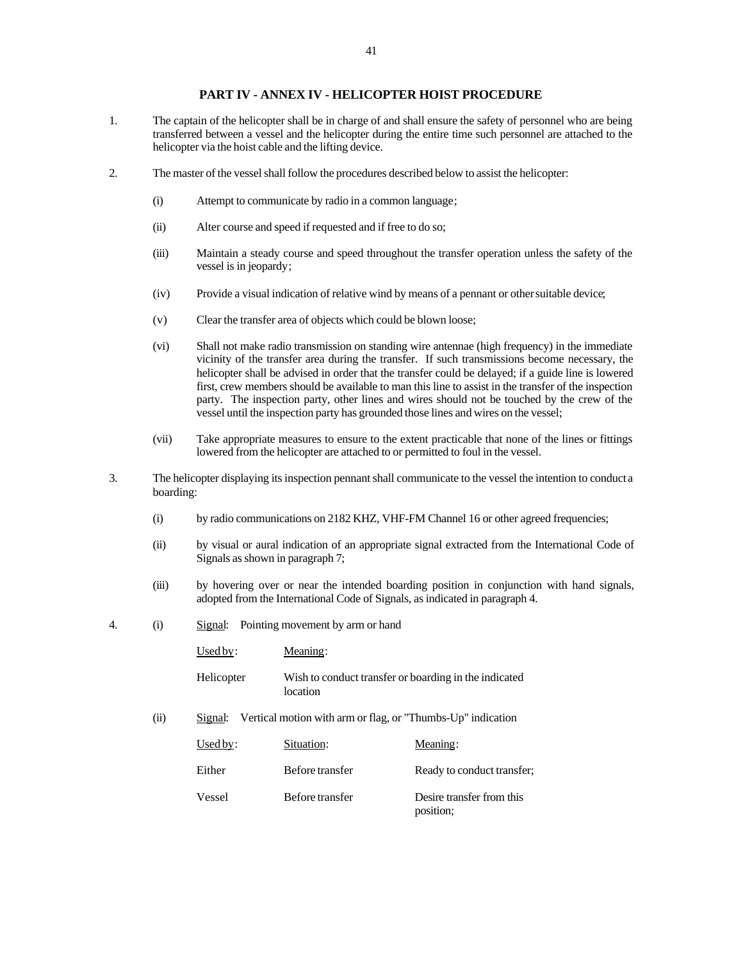#### **PART IV - ANNEX IV - HELICOPTER HOIST PROCEDURE**

- 1. The captain of the helicopter shall be in charge of and shall ensure the safety of personnel who are being transferred between a vessel and the helicopter during the entire time such personnel are attached to the helicopter via the hoist cable and the lifting device.
- 2. The master of the vessel shall follow the procedures described below to assist the helicopter:
	- (i) Attempt to communicate by radio in a common language;
	- (ii) Alter course and speed if requested and if free to do so;
	- (iii) Maintain a steady course and speed throughout the transfer operation unless the safety of the vessel is in jeopardy;
	- (iv) Provide a visual indication of relative wind by means of a pennant or other suitable device;
	- (v) Clear the transfer area of objects which could be blown loose;
	- (vi) Shall not make radio transmission on standing wire antennae (high frequency) in the immediate vicinity of the transfer area during the transfer. If such transmissions become necessary, the helicopter shall be advised in order that the transfer could be delayed; if a guide line is lowered first, crew members should be available to man this line to assist in the transfer of the inspection party. The inspection party, other lines and wires should not be touched by the crew of the vessel until the inspection party has grounded those lines and wires on the vessel;
	- (vii) Take appropriate measures to ensure to the extent practicable that none of the lines or fittings lowered from the helicopter are attached to or permitted to foul in the vessel.
- 3. The helicopter displaying its inspection pennant shall communicate to the vessel the intention to conduct a boarding:
	- (i) by radio communications on 2182 KHZ, VHF-FM Channel 16 or other agreed frequencies;
	- (ii) by visual or aural indication of an appropriate signal extracted from the International Code of Signals as shown in paragraph 7;
	- (iii) by hovering over or near the intended boarding position in conjunction with hand signals, adopted from the International Code of Signals, as indicated in paragraph 4.
- 4. (i) Signal: Pointing movement by arm or hand

|      | Used by:   | Meaning:                                                    |                                                       |
|------|------------|-------------------------------------------------------------|-------------------------------------------------------|
|      | Helicopter | location                                                    | Wish to conduct transfer or boarding in the indicated |
| (ii) | Signal:    | Vertical motion with arm or flag, or "Thumbs-Up" indication |                                                       |
|      | Used by:   | Situation:                                                  | Meaning:                                              |
|      | Either     | Before transfer                                             | Ready to conduct transfer;                            |
|      | Vessel     | Before transfer                                             | Desire transfer from this<br>position;                |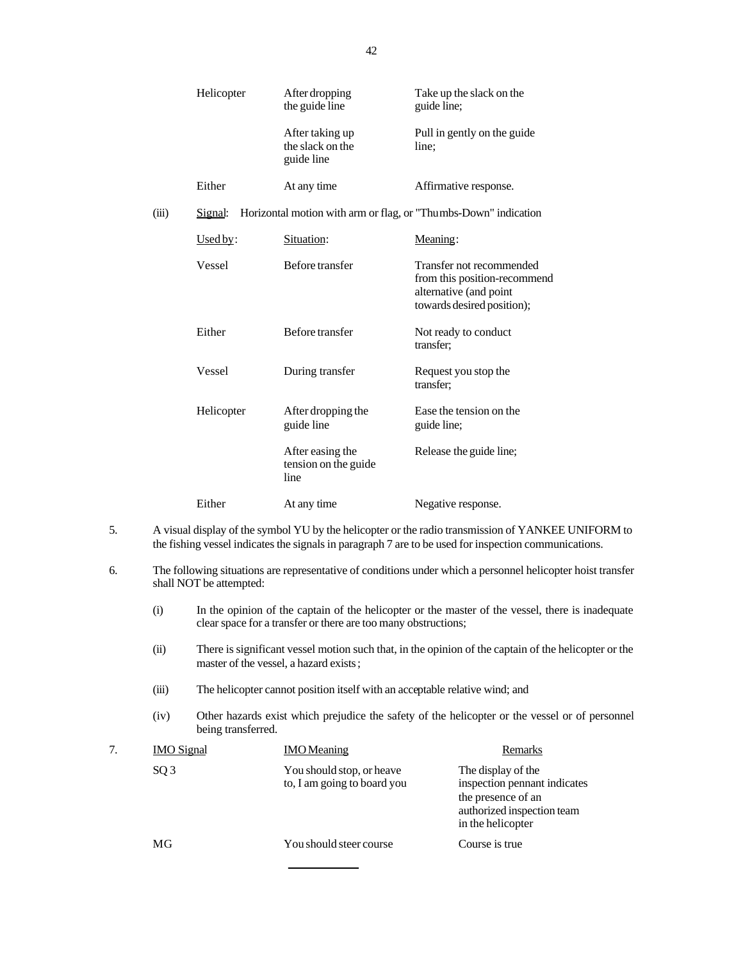|       | Helicopter  | After dropping<br>the guide line                  | Take up the slack on the<br>guide line;                                                                          |
|-------|-------------|---------------------------------------------------|------------------------------------------------------------------------------------------------------------------|
|       |             | After taking up<br>the slack on the<br>guide line | Pull in gently on the guide<br>line;                                                                             |
|       | Either      | At any time                                       | Affirmative response.                                                                                            |
| (iii) | Signal:     |                                                   | Horizontal motion with arm or flag, or "Thumbs-Down" indication                                                  |
|       | $U sed by:$ | Situation:                                        | Meaning:                                                                                                         |
|       | Vessel      | Before transfer                                   | Transfer not recommended<br>from this position-recommend<br>alternative (and point<br>towards desired position); |
|       | Either      | Before transfer                                   | Not ready to conduct<br>transfer:                                                                                |
|       | Vessel      | During transfer                                   | Request you stop the<br>transfer;                                                                                |
|       | Helicopter  | After dropping the<br>guide line                  | Ease the tension on the<br>guide line;                                                                           |
|       |             | After easing the<br>tension on the guide<br>line  | Release the guide line;                                                                                          |
|       | Either      | At any time                                       | Negative response.                                                                                               |

- 5. A visual display of the symbol YU by the helicopter or the radio transmission of YANKEE UNIFORM to the fishing vessel indicates the signals in paragraph 7 are to be used for inspection communications.
- 6. The following situations are representative of conditions under which a personnel helicopter hoist transfer shall NOT be attempted:
	- (i) In the opinion of the captain of the helicopter or the master of the vessel, there is inadequate clear space for a transfer or there are too many obstructions;
	- (ii) There is significant vessel motion such that, in the opinion of the captain of the helicopter or the master of the vessel, a hazard exists;
	- (iii) The helicopter cannot position itself with an acceptable relative wind; and
	- (iv) Other hazards exist which prejudice the safety of the helicopter or the vessel or of personnel being transferred.

| <b>IMO</b> Signal | <b>IMO</b> Meaning                                       | Remarks                                                                                                                     |
|-------------------|----------------------------------------------------------|-----------------------------------------------------------------------------------------------------------------------------|
| SQ <sub>3</sub>   | You should stop, or heave<br>to, I am going to board you | The display of the<br>inspection pennant indicates<br>the presence of an<br>authorized inspection team<br>in the helicopter |
| MG                | You should steer course                                  | Course is true                                                                                                              |
|                   |                                                          |                                                                                                                             |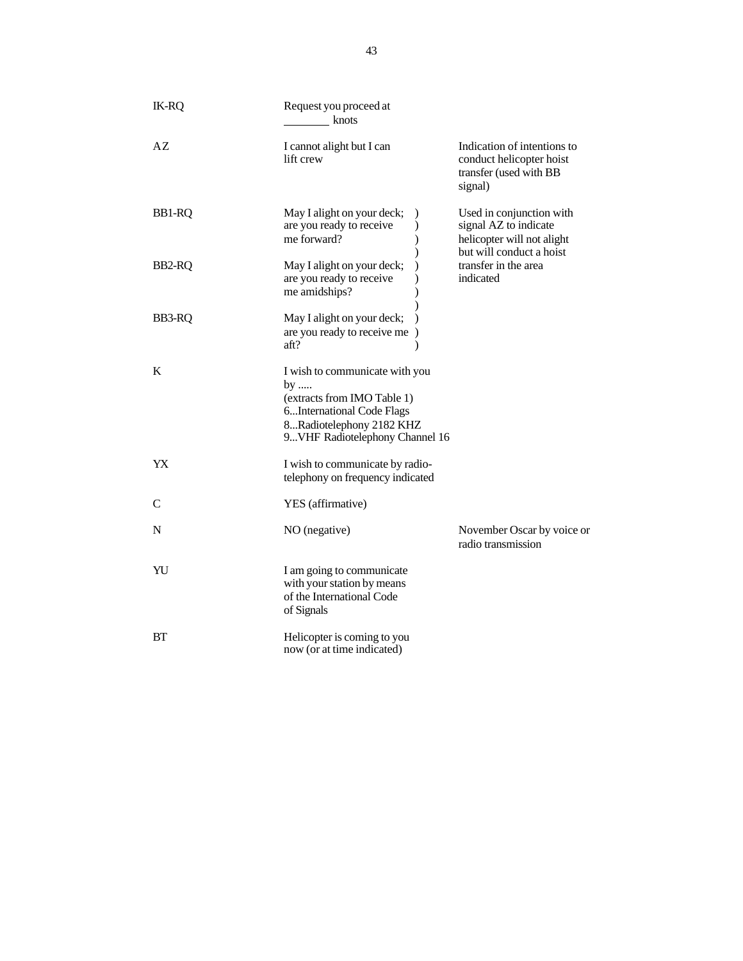| <b>IK-RQ</b> | Request you proceed at<br>knots                                                                                                                                         |                                                                                                             |
|--------------|-------------------------------------------------------------------------------------------------------------------------------------------------------------------------|-------------------------------------------------------------------------------------------------------------|
| AZ           | I cannot alight but I can<br>lift crew                                                                                                                                  | Indication of intentions to<br>conduct helicopter hoist<br>transfer (used with BB<br>signal)                |
| BB1-RQ       | May I alight on your deck;<br>are you ready to receive<br>me forward?                                                                                                   | Used in conjunction with<br>signal AZ to indicate<br>helicopter will not alight<br>but will conduct a hoist |
| BB2-RQ       | May I alight on your deck;<br>are you ready to receive<br>me amidships?                                                                                                 | transfer in the area<br>indicated                                                                           |
| BB3-RQ       | May I alight on your deck;<br>are you ready to receive me<br>$\lambda$<br>aft?                                                                                          |                                                                                                             |
| $\bf K$      | I wish to communicate with you<br>by $\ldots$<br>(extracts from IMO Table 1)<br>6International Code Flags<br>8Radiotelephony 2182 KHZ<br>9VHF Radiotelephony Channel 16 |                                                                                                             |
| YX           | I wish to communicate by radio-<br>telephony on frequency indicated                                                                                                     |                                                                                                             |
| $\mathbf C$  | YES (affirmative)                                                                                                                                                       |                                                                                                             |
| $\mathbf N$  | NO (negative)                                                                                                                                                           | November Oscar by voice or<br>radio transmission                                                            |
| YU           | I am going to communicate<br>with your station by means<br>of the International Code<br>of Signals                                                                      |                                                                                                             |
| <b>BT</b>    | Helicopter is coming to you<br>now (or at time indicated)                                                                                                               |                                                                                                             |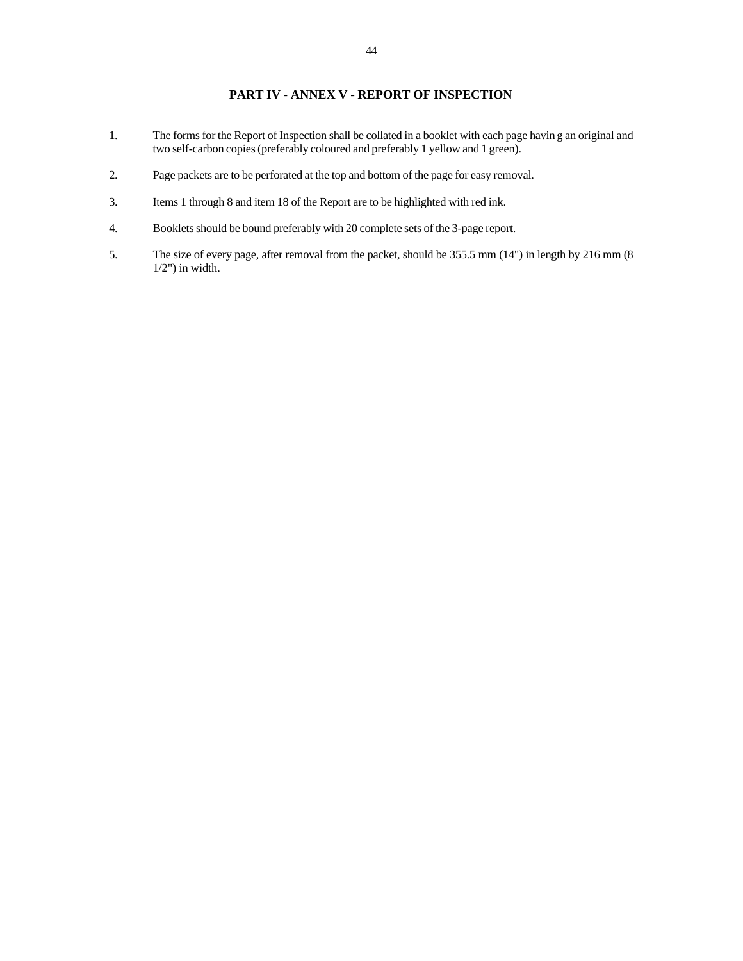## **PART IV - ANNEX V - REPORT OF INSPECTION**

- 1. The forms for the Report of Inspection shall be collated in a booklet with each page havin g an original and two self-carbon copies (preferably coloured and preferably 1 yellow and 1 green).
- 2. Page packets are to be perforated at the top and bottom of the page for easy removal.
- 3. Items 1 through 8 and item 18 of the Report are to be highlighted with red ink.
- 4. Booklets should be bound preferably with 20 complete sets of the 3-page report.
- 5. The size of every page, after removal from the packet, should be 355.5 mm (14") in length by 216 mm (8  $1/2$ ") in width.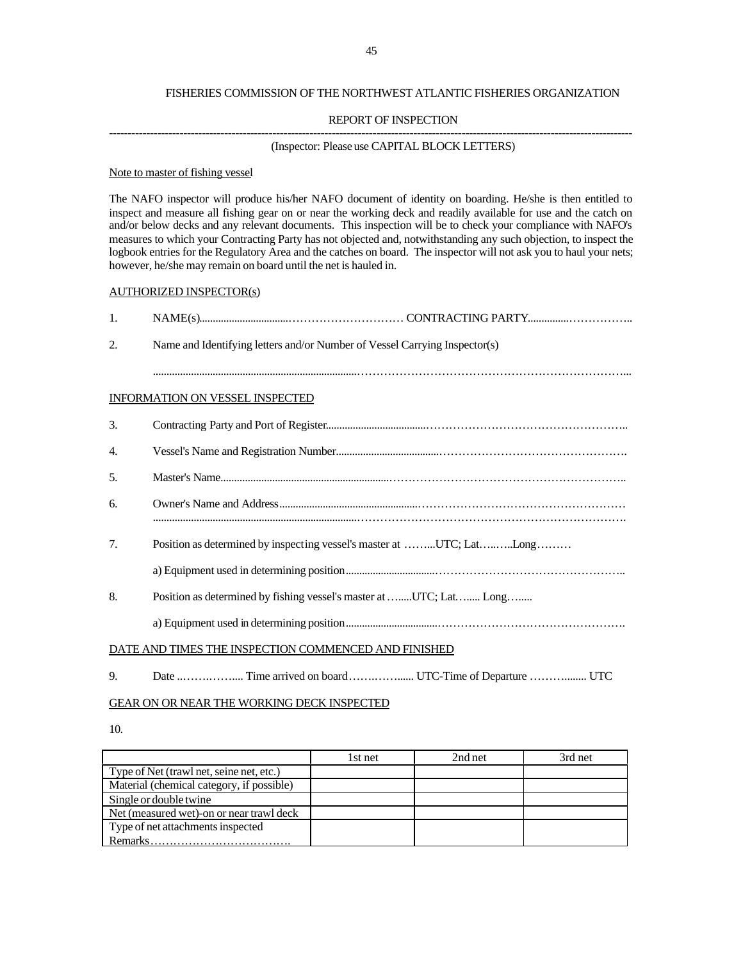#### FISHERIES COMMISSION OF THE NORTHWEST ATLANTIC FISHERIES ORGANIZATION

#### REPORT OF INSPECTION

# ---------------------------------------------------------------------------------------------------------------------------------------------

## (Inspector: Please use CAPITAL BLOCK LETTERS)

#### Note to master of fishing vessel

The NAFO inspector will produce his/her NAFO document of identity on boarding. He/she is then entitled to inspect and measure all fishing gear on or near the working deck and readily available for use and the catch on and/or below decks and any relevant documents. This inspection will be to check your compliance with NAFO's measures to which your Contracting Party has not objected and, notwithstanding any such objection, to inspect the logbook entries for the Regulatory Area and the catches on board. The inspector will not ask you to haul your nets; however, he/she may remain on board until the net is hauled in.

#### AUTHORIZED INSPECTOR(s)

| 1.  |                                                                            |
|-----|----------------------------------------------------------------------------|
| 2.  | Name and Identifying letters and/or Number of Vessel Carrying Inspector(s) |
|     |                                                                            |
|     | <b>INFORMATION ON VESSEL INSPECTED</b>                                     |
| 3.  |                                                                            |
| 4.  |                                                                            |
| .5. |                                                                            |
| 6.  |                                                                            |
| 7.  | Position as determined by inspecting vessel's master at UTC; LatLong       |
|     |                                                                            |
| 8.  | Position as determined by fishing vessel's master at UTC; Lat Long         |
|     |                                                                            |
|     | DATE AND TIMES THE INSPECTION COMMENCED AND FINISHED                       |

9. Date ..…….…….... Time arrived on board …….……...... UTC-Time of Departure ………........ UTC

#### GEAR ON OR NEAR THE WORKING DECK INSPECTED

10.

|                                           | 1st net | 2nd net | 3rd net |
|-------------------------------------------|---------|---------|---------|
| Type of Net (trawl net, seine net, etc.)  |         |         |         |
| Material (chemical category, if possible) |         |         |         |
| Single or double twine                    |         |         |         |
| Net (measured wet)-on or near trawl deck  |         |         |         |
| Type of net attachments inspected         |         |         |         |
| Remarks                                   |         |         |         |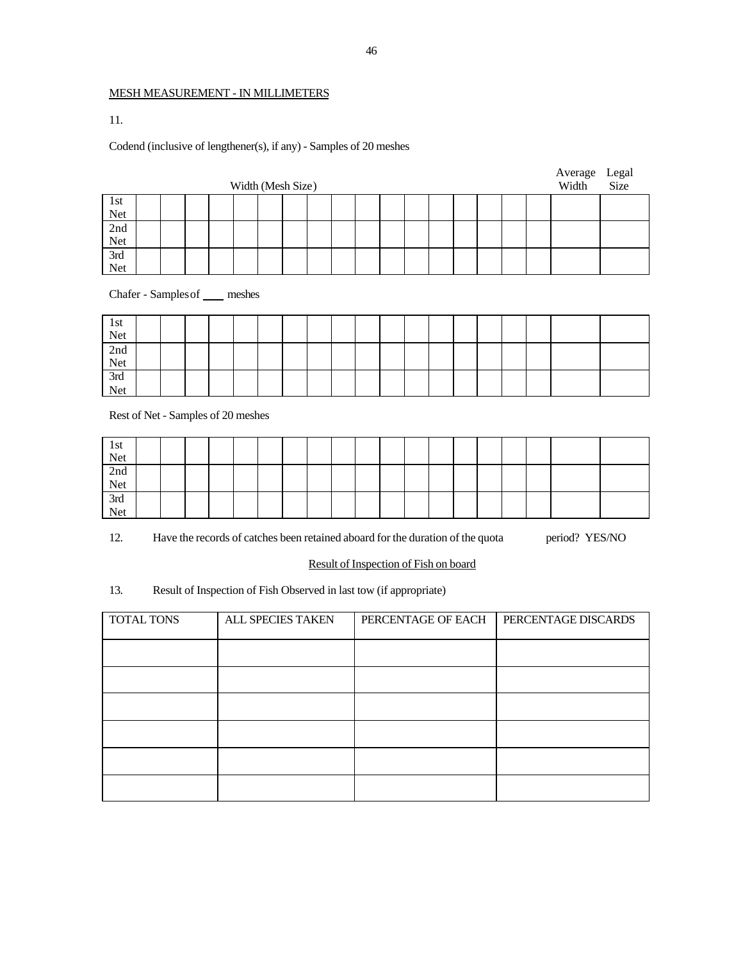## MESH MEASUREMENT - IN MILLIMETERS

11.

## Codend (inclusive of lengthener(s), if any) - Samples of 20 meshes

|                                    |  |  | Width (Mesh Size) |  |  |  |  |  |  | Average<br>Width | Legal<br>Size |
|------------------------------------|--|--|-------------------|--|--|--|--|--|--|------------------|---------------|
| 1st                                |  |  |                   |  |  |  |  |  |  |                  |               |
| Net                                |  |  |                   |  |  |  |  |  |  |                  |               |
| 2nd                                |  |  |                   |  |  |  |  |  |  |                  |               |
| Net                                |  |  |                   |  |  |  |  |  |  |                  |               |
| 3rd                                |  |  |                   |  |  |  |  |  |  |                  |               |
| Net                                |  |  |                   |  |  |  |  |  |  |                  |               |
| Chafer - Samples of ____ meshes    |  |  |                   |  |  |  |  |  |  |                  |               |
| 1st                                |  |  |                   |  |  |  |  |  |  |                  |               |
| Net                                |  |  |                   |  |  |  |  |  |  |                  |               |
| 2nd                                |  |  |                   |  |  |  |  |  |  |                  |               |
| Net                                |  |  |                   |  |  |  |  |  |  |                  |               |
| 3rd                                |  |  |                   |  |  |  |  |  |  |                  |               |
| Net                                |  |  |                   |  |  |  |  |  |  |                  |               |
| Rest of Net - Samples of 20 meshes |  |  |                   |  |  |  |  |  |  |                  |               |
| $1.4 - 1$                          |  |  |                   |  |  |  |  |  |  |                  |               |

| 1st<br>Net<br>2nd<br>2nd<br>Net<br>3rd<br>Net |  |  |  |  |  |  |  |  |  |  |
|-----------------------------------------------|--|--|--|--|--|--|--|--|--|--|
|                                               |  |  |  |  |  |  |  |  |  |  |
|                                               |  |  |  |  |  |  |  |  |  |  |
|                                               |  |  |  |  |  |  |  |  |  |  |
|                                               |  |  |  |  |  |  |  |  |  |  |

12. Have the records of catches been retained aboard for the duration of the quota period? YES/NO

Result of Inspection of Fish on board

13. Result of Inspection of Fish Observed in last tow (if appropriate)

| TOTAL TONS | ALL SPECIES TAKEN | PERCENTAGE OF EACH | PERCENTAGE DISCARDS |
|------------|-------------------|--------------------|---------------------|
|            |                   |                    |                     |
|            |                   |                    |                     |
|            |                   |                    |                     |
|            |                   |                    |                     |
|            |                   |                    |                     |
|            |                   |                    |                     |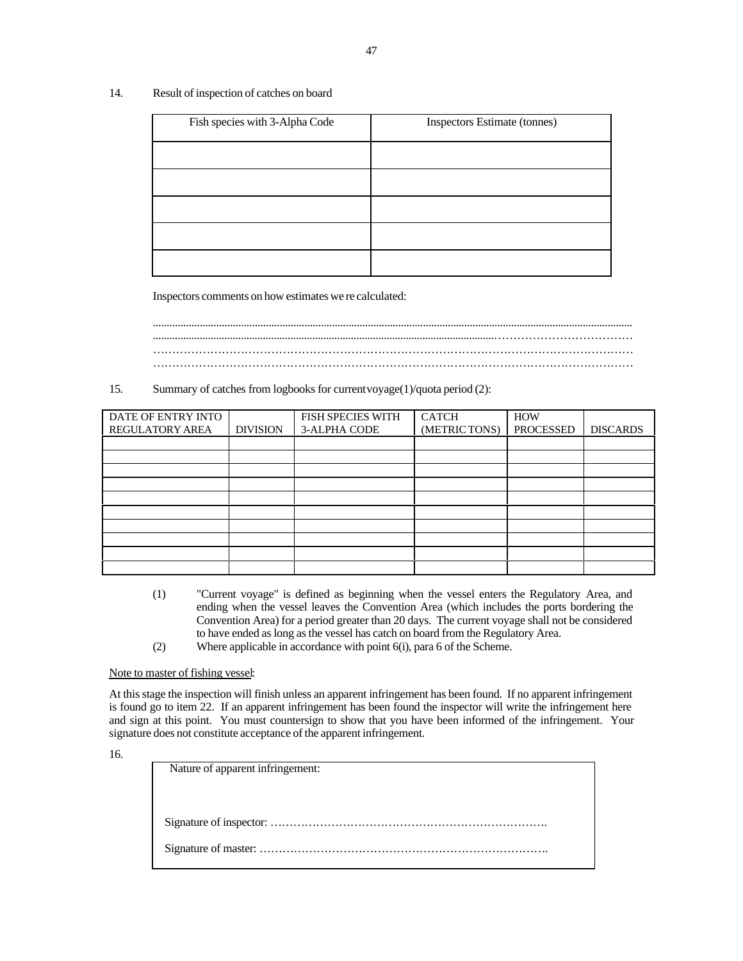## 14. Result of inspection of catches on board

| Fish species with 3-Alpha Code | Inspectors Estimate (tonnes) |
|--------------------------------|------------------------------|
|                                |                              |
|                                |                              |
|                                |                              |
|                                |                              |
|                                |                              |

Inspectors comments on how estimates we re calculated:

.............................................................................................................................................................................. ............................................................................................................................……………………………… ……………………………………………………………………………………………………………… ………………………………………………………………………………………………………………

15. Summary of catches from logbooks for current voyage(1)/quota period (2):

| DATE OF ENTRY INTO     |                 | <b>FISH SPECIES WITH</b> | <b>CATCH</b>  | <b>HOW</b> |                 |
|------------------------|-----------------|--------------------------|---------------|------------|-----------------|
| <b>REGULATORY AREA</b> | <b>DIVISION</b> | 3-ALPHA CODE             | (METRIC TONS) | PROCESSED  | <b>DISCARDS</b> |
|                        |                 |                          |               |            |                 |
|                        |                 |                          |               |            |                 |
|                        |                 |                          |               |            |                 |
|                        |                 |                          |               |            |                 |
|                        |                 |                          |               |            |                 |
|                        |                 |                          |               |            |                 |
|                        |                 |                          |               |            |                 |
|                        |                 |                          |               |            |                 |
|                        |                 |                          |               |            |                 |
|                        |                 |                          |               |            |                 |

- (1) "Current voyage" is defined as beginning when the vessel enters the Regulatory Area, and ending when the vessel leaves the Convention Area (which includes the ports bordering the Convention Area) for a period greater than 20 days. The current voyage shall not be considered to have ended as long as the vessel has catch on board from the Regulatory Area.
- (2) Where applicable in accordance with point 6(i), para 6 of the Scheme.

Note to master of fishing vessel:

At this stage the inspection will finish unless an apparent infringement has been found. If no apparent infringement is found go to item 22. If an apparent infringement has been found the inspector will write the infringement here and sign at this point. You must countersign to show that you have been informed of the infringement. Your signature does not constitute acceptance of the apparent infringement.

16.

| Nature of apparent infringement: |
|----------------------------------|
|                                  |
|                                  |
|                                  |
|                                  |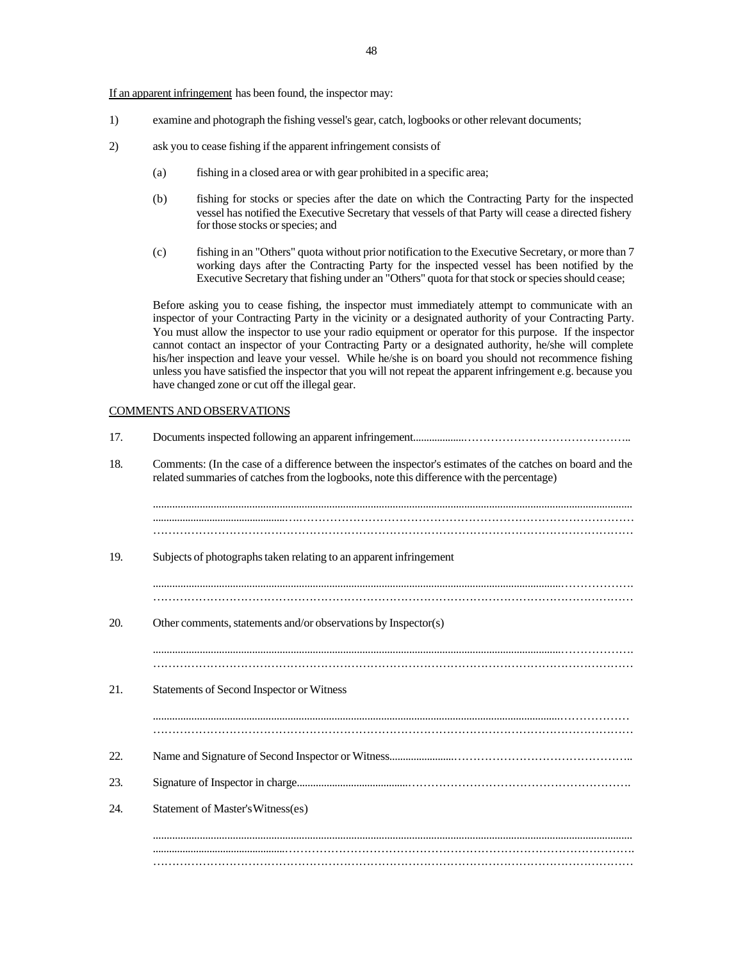If an apparent infringement has been found, the inspector may:

- 1) examine and photograph the fishing vessel's gear, catch, logbooks or other relevant documents;
- 2) ask you to cease fishing if the apparent infringement consists of
	- (a) fishing in a closed area or with gear prohibited in a specific area;
	- (b) fishing for stocks or species after the date on which the Contracting Party for the inspected vessel has notified the Executive Secretary that vessels of that Party will cease a directed fishery for those stocks or species; and
	- (c) fishing in an "Others" quota without prior notification to the Executive Secretary, or more than 7 working days after the Contracting Party for the inspected vessel has been notified by the Executive Secretary that fishing under an "Others" quota for that stock or species should cease;

Before asking you to cease fishing, the inspector must immediately attempt to communicate with an inspector of your Contracting Party in the vicinity or a designated authority of your Contracting Party. You must allow the inspector to use your radio equipment or operator for this purpose. If the inspector cannot contact an inspector of your Contracting Party or a designated authority, he/she will complete his/her inspection and leave your vessel. While he/she is on board you should not recommence fishing unless you have satisfied the inspector that you will not repeat the apparent infringement e.g. because you have changed zone or cut off the illegal gear.

#### COMMENTS AND OBSERVATIONS

| 17. |                                                                                                                                                                                                       |
|-----|-------------------------------------------------------------------------------------------------------------------------------------------------------------------------------------------------------|
| 18. | Comments: (In the case of a difference between the inspector's estimates of the catches on board and the<br>related summaries of catches from the logbooks, note this difference with the percentage) |
|     |                                                                                                                                                                                                       |
| 19. | Subjects of photographs taken relating to an apparent infringement                                                                                                                                    |
|     |                                                                                                                                                                                                       |
| 20. | Other comments, statements and/or observations by Inspector(s)                                                                                                                                        |
|     |                                                                                                                                                                                                       |
| 21. | Statements of Second Inspector or Witness                                                                                                                                                             |
|     |                                                                                                                                                                                                       |
| 22. |                                                                                                                                                                                                       |
| 23. |                                                                                                                                                                                                       |
| 24. | Statement of Master's Witness(es)                                                                                                                                                                     |
|     |                                                                                                                                                                                                       |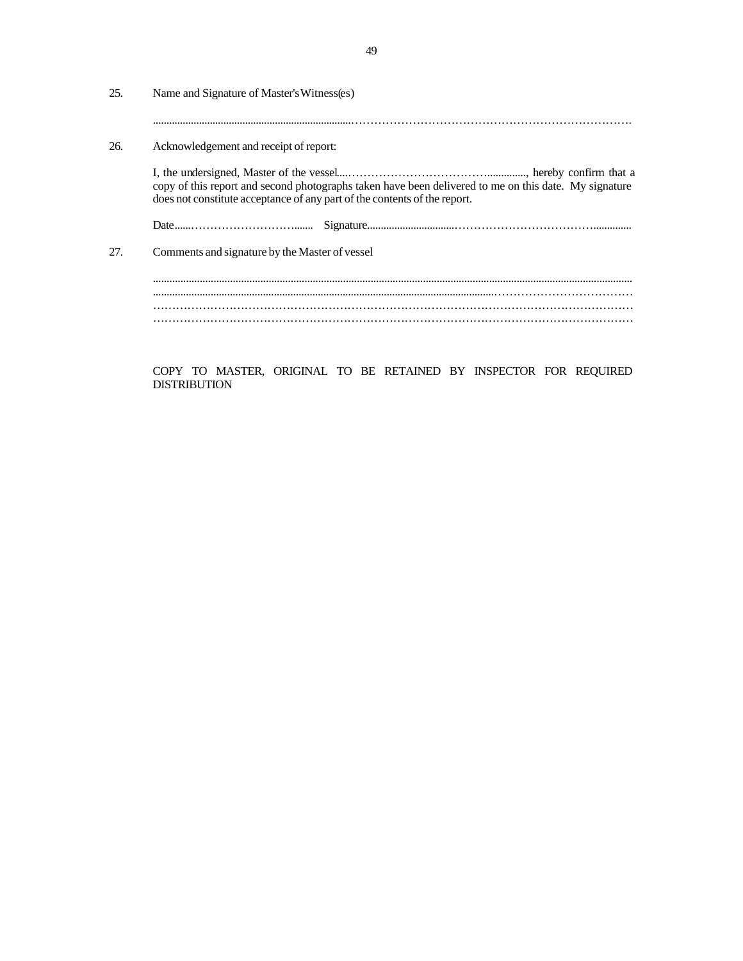| 25. | Name and Signature of Master's Witness(es)                                                                                                                                         |
|-----|------------------------------------------------------------------------------------------------------------------------------------------------------------------------------------|
| 26. | Acknowledgement and receipt of report:                                                                                                                                             |
|     | copy of this report and second photographs taken have been delivered to me on this date. My signature<br>does not constitute acceptance of any part of the contents of the report. |
|     |                                                                                                                                                                                    |
| 27. | Comments and signature by the Master of vessel                                                                                                                                     |
|     |                                                                                                                                                                                    |
|     |                                                                                                                                                                                    |
|     |                                                                                                                                                                                    |
|     |                                                                                                                                                                                    |

COPY TO MASTER, ORIGINAL TO BE RETAINED BY INSPECTOR FOR REQUIRED DISTRIBUTION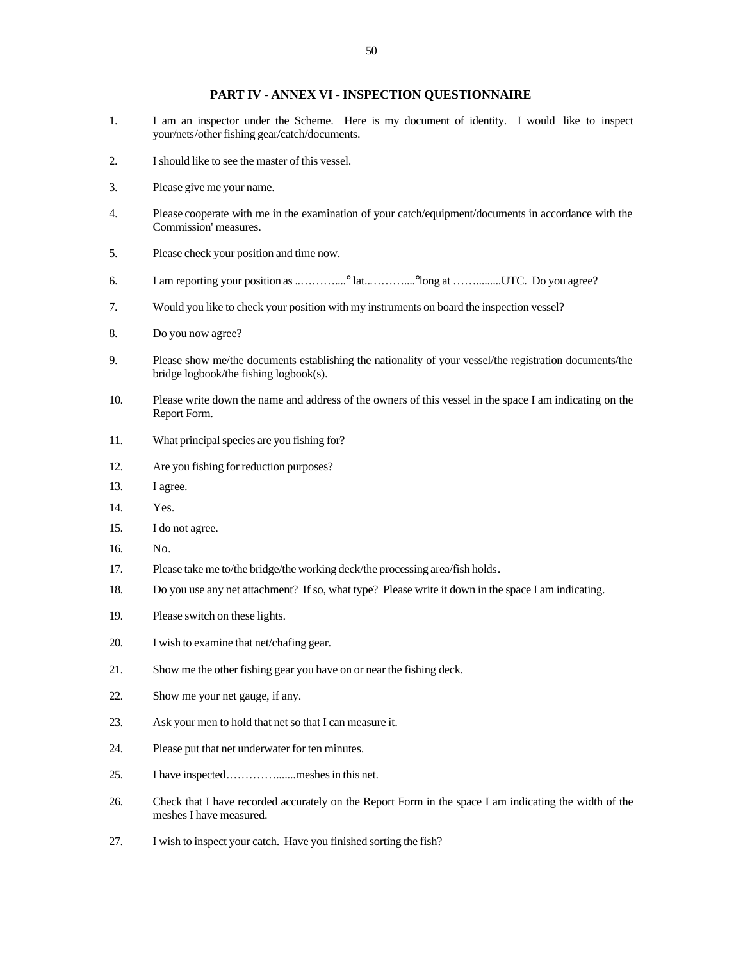#### **PART IV - ANNEX VI - INSPECTION QUESTIONNAIRE**

- 1. I am an inspector under the Scheme. Here is my document of identity. I would like to inspect your/nets/other fishing gear/catch/documents.
- 2. I should like to see the master of this vessel.
- 3. Please give me your name.
- 4. Please cooperate with me in the examination of your catch/equipment/documents in accordance with the Commission' measures.
- 5. Please check your position and time now.
- 6. I am reporting your position as ..………....° lat..………....°long at …….........UTC. Do you agree?
- 7. Would you like to check your position with my instruments on board the inspection vessel?
- 8. Do you now agree?
- 9. Please show me/the documents establishing the nationality of your vessel/the registration documents/the bridge logbook/the fishing logbook(s).
- 10. Please write down the name and address of the owners of this vessel in the space I am indicating on the Report Form.
- 11. What principal species are you fishing for?
- 12. Are you fishing for reduction purposes?
- 13. I agree.
- 14. Yes.
- 15. I do not agree.
- 16. No.
- 17. Please take me to/the bridge/the working deck/the processing area/fish holds.
- 18. Do you use any net attachment? If so, what type? Please write it down in the space I am indicating.
- 19. Please switch on these lights.
- 20. I wish to examine that net/chafing gear.
- 21. Show me the other fishing gear you have on or near the fishing deck.
- 22. Show me your net gauge, if any.
- 23. Ask your men to hold that net so that I can measure it.
- 24. Please put that net underwater for ten minutes.
- 25. I have inspected.………….......meshes in this net.
- 26. Check that I have recorded accurately on the Report Form in the space I am indicating the width of the meshes I have measured.
- 27. I wish to inspect your catch. Have you finished sorting the fish?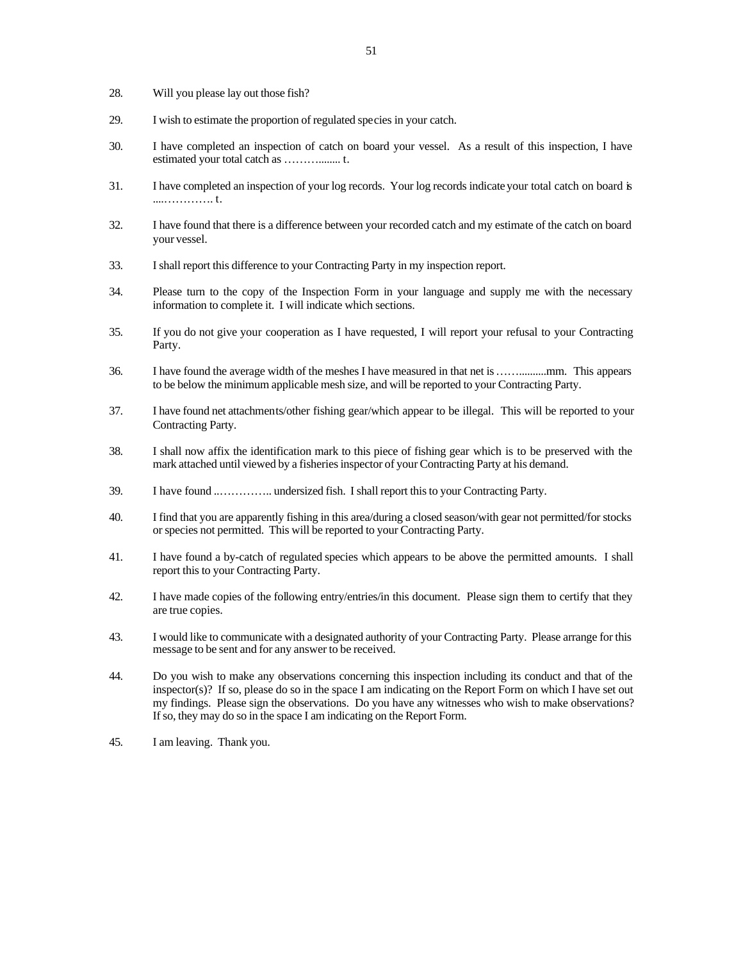- 28. Will you please lay out those fish?
- 29. I wish to estimate the proportion of regulated species in your catch.
- 30. I have completed an inspection of catch on board your vessel. As a result of this inspection, I have estimated your total catch as ………........ t.
- 31. I have completed an inspection of your log records. Your log records indicate your total catch on board is ....…………. t.
- 32. I have found that there is a difference between your recorded catch and my estimate of the catch on board your vessel.
- 33. I shall report this difference to your Contracting Party in my inspection report.
- 34. Please turn to the copy of the Inspection Form in your language and supply me with the necessary information to complete it. I will indicate which sections.
- 35. If you do not give your cooperation as I have requested, I will report your refusal to your Contracting Party.
- 36. I have found the average width of the meshes I have measured in that net is ……..........mm. This appears to be below the minimum applicable mesh size, and will be reported to your Contracting Party.
- 37. I have found net attachments/other fishing gear/which appear to be illegal. This will be reported to your Contracting Party.
- 38. I shall now affix the identification mark to this piece of fishing gear which is to be preserved with the mark attached until viewed by a fisheries inspector of your Contracting Party at his demand.
- 39. I have found ..………….. undersized fish. I shall report this to your Contracting Party.
- 40. I find that you are apparently fishing in this area/during a closed season/with gear not permitted/for stocks or species not permitted. This will be reported to your Contracting Party.
- 41. I have found a by-catch of regulated species which appears to be above the permitted amounts. I shall report this to your Contracting Party.
- 42. I have made copies of the following entry/entries/in this document. Please sign them to certify that they are true copies.
- 43. I would like to communicate with a designated authority of your Contracting Party. Please arrange for this message to be sent and for any answer to be received.
- 44. Do you wish to make any observations concerning this inspection including its conduct and that of the inspector(s)? If so, please do so in the space I am indicating on the Report Form on which I have set out my findings. Please sign the observations. Do you have any witnesses who wish to make observations? If so, they may do so in the space I am indicating on the Report Form.
- 45. I am leaving. Thank you.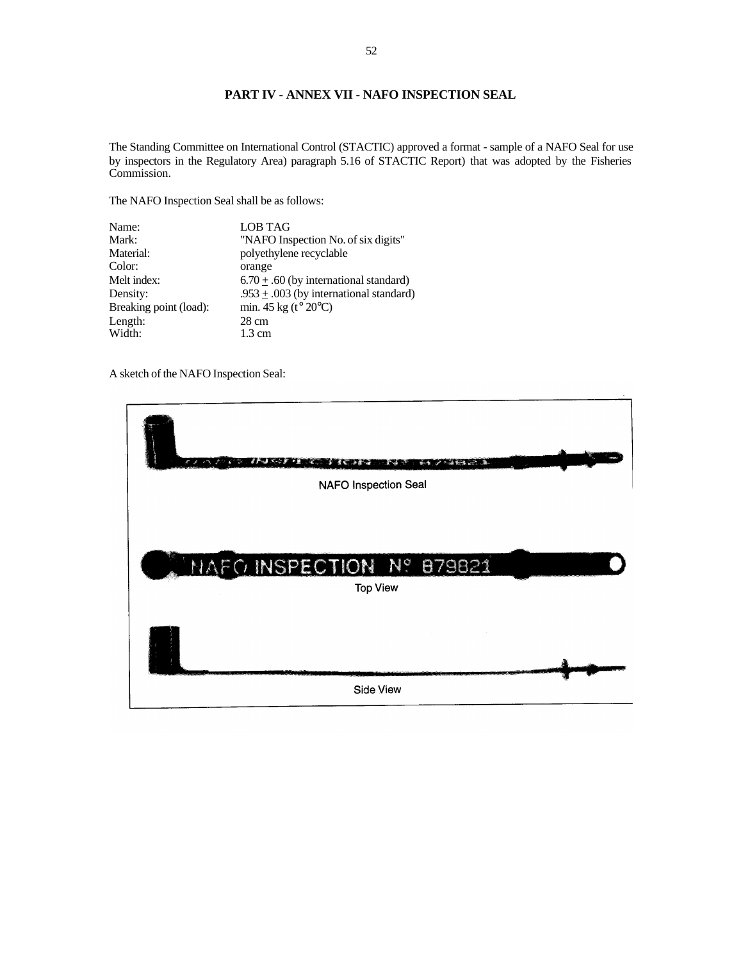## **PART IV - ANNEX VII - NAFO INSPECTION SEAL**

The Standing Committee on International Control (STACTIC) approved a format - sample of a NAFO Seal for use by inspectors in the Regulatory Area) paragraph 5.16 of STACTIC Report) that was adopted by the Fisheries Commission.

The NAFO Inspection Seal shall be as follows:

| Name:                  | <b>LOB TAG</b>                                          |
|------------------------|---------------------------------------------------------|
| Mark:                  | "NAFO Inspection No. of six digits"                     |
| Material:              | polyethylene recyclable                                 |
| Color:                 | orange                                                  |
| Melt index:            | $6.70 \pm .60$ (by international standard)              |
| Density:               | .953 $\pm$ .003 (by international standard)             |
| Breaking point (load): | min. $45 \text{ kg}$ (t <sup>o</sup> 20 <sup>o</sup> C) |
| Length:                | 28 cm                                                   |
| Width:                 | $1.3 \text{ cm}$                                        |

A sketch of the NAFO Inspection Seal:

| r<br>₽                   |
|--------------------------|
| NAFO Inspection Seal     |
| MARCINSPECTION Nº 879821 |
| <b>Top View</b>          |
|                          |
| Side View                |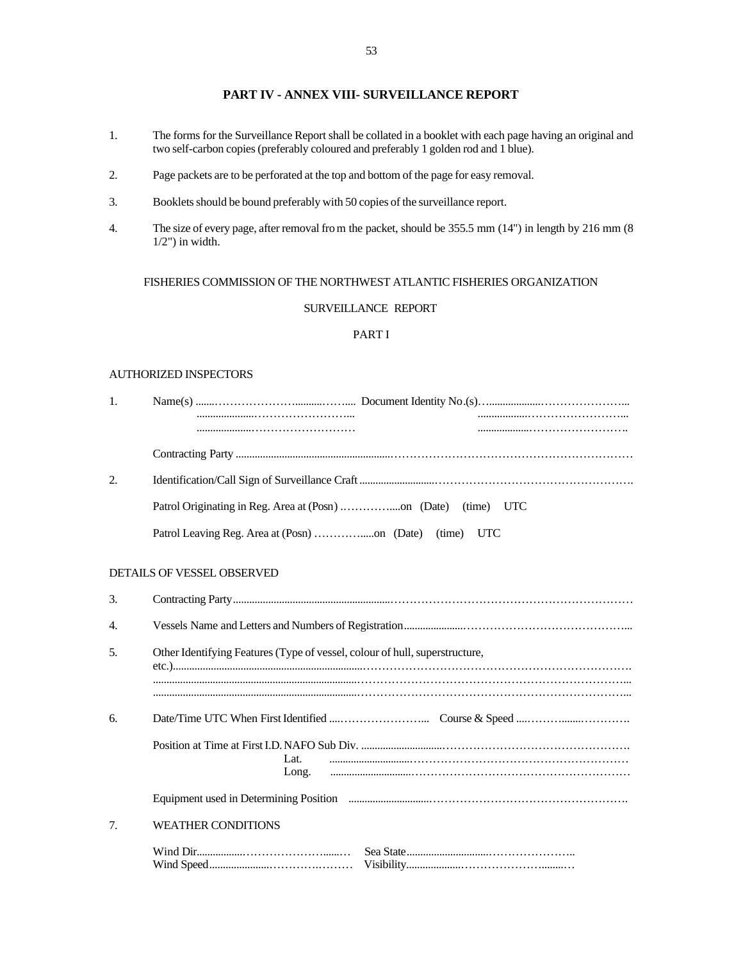## **PART IV - ANNEX VIII- SURVEILLANCE REPORT**

- 1. The forms for the Surveillance Report shall be collated in a booklet with each page having an original and two self-carbon copies (preferably coloured and preferably 1 golden rod and 1 blue).
- 2. Page packets are to be perforated at the top and bottom of the page for easy removal.
- 3. Booklets should be bound preferably with 50 copies of the surveillance report.
- 4. The size of every page, after removal from the packet, should be 355.5 mm (14") in length by 216 mm (8  $1/2$ ") in width.

## FISHERIES COMMISSION OF THE NORTHWEST ATLANTIC FISHERIES ORGANIZATION

## SURVEILLANCE REPORT

## PART I

#### AUTHORIZED INSPECTORS

| 1. |                                                                                       |            |
|----|---------------------------------------------------------------------------------------|------------|
|    |                                                                                       |            |
|    |                                                                                       |            |
| 2. |                                                                                       |            |
|    |                                                                                       | (time) UTC |
|    |                                                                                       |            |
|    | DETAILS OF VESSEL OBSERVED                                                            |            |
| 3. |                                                                                       |            |
| 4. |                                                                                       |            |
| 5. | Other Identifying Features (Type of vessel, colour of hull, superstructure,           |            |
|    |                                                                                       |            |
| 6. |                                                                                       |            |
|    | Lat.<br>Long.                                                                         |            |
|    | Equipment used in Determining Position <i>manual manual content content and meta-</i> |            |
| 7. | <b>WEATHER CONDITIONS</b>                                                             |            |
|    |                                                                                       |            |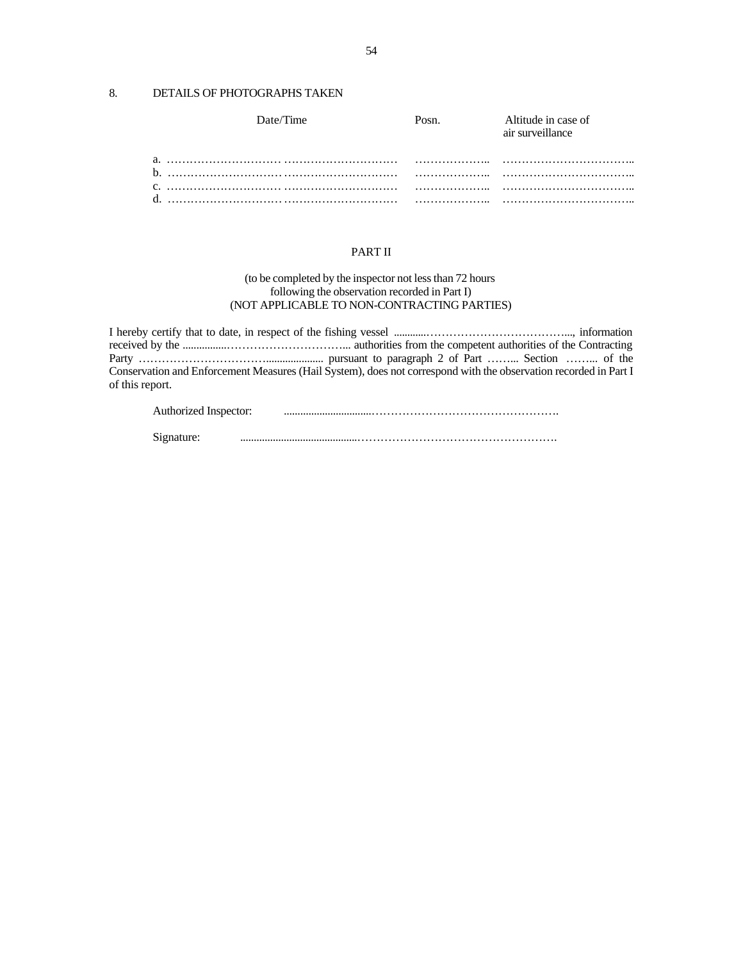## 8. DETAILS OF PHOTOGRAPHS TAKEN

| Date/Time | P <sub>OS</sub> n | Altitude in case of<br>air surveillance |
|-----------|-------------------|-----------------------------------------|
|           |                   |                                         |
|           |                   |                                         |
|           |                   |                                         |

## PART II

#### (to be completed by the inspector not less than 72 hours following the observation recorded in Part I) (NOT APPLICABLE TO NON-CONTRACTING PARTIES)

I hereby certify that to date, in respect of the fishing vessel ............………………………………..., information received by the ................…………………………... authorities from the competent authorities of the Contracting Party ……………………………..................... pursuant to paragraph 2 of Part ……... Section ……... of the Conservation and Enforcement Measures (Hail System), does not correspond with the observation recorded in Part I of this report.

| Authorized Inspector: |  |
|-----------------------|--|
|                       |  |

| Signature: |  |
|------------|--|
|------------|--|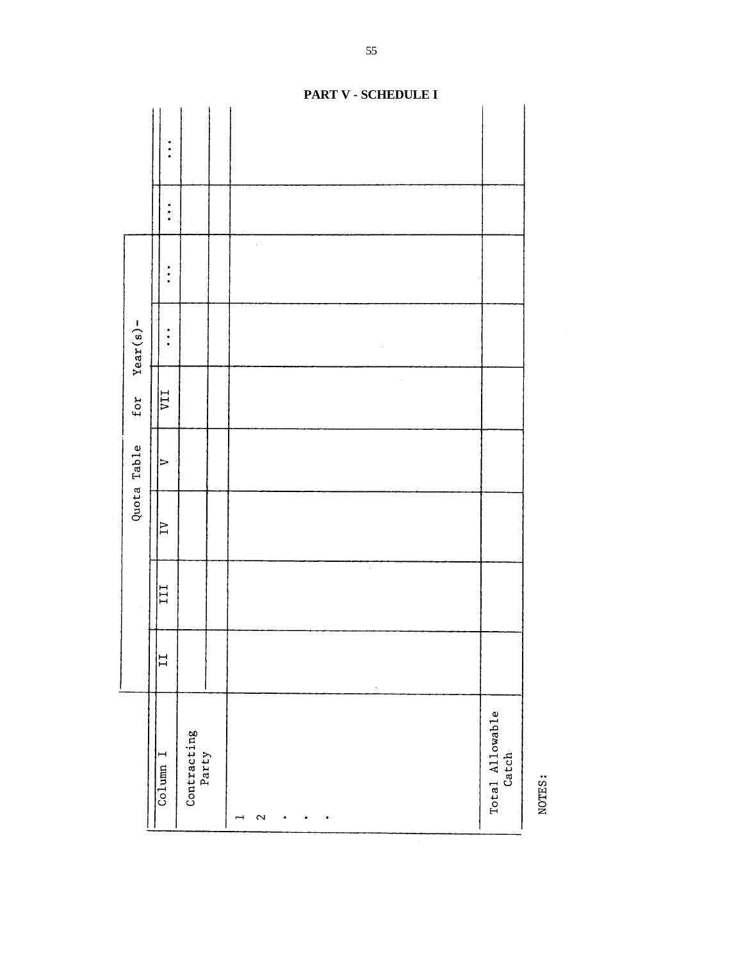|             |                                    |                      | PART V - SCHEDULE I |                          |
|-------------|------------------------------------|----------------------|---------------------|--------------------------|
|             | $\bullet$                          |                      |                     |                          |
|             | ٠                                  |                      |                     |                          |
|             | $\ddot{\cdot}$                     |                      |                     |                          |
| $Year(s) -$ | $\ddot{\cdot}$                     |                      |                     |                          |
| for         | $\overline{\text{LIA}}$            |                      |                     |                          |
| Quota Table | $\triangleright$                   |                      |                     |                          |
|             | $\overline{1}$                     |                      |                     |                          |
|             | III                                |                      | $\bar{z}$           |                          |
|             | $\overline{L}$                     |                      | $\epsilon$          |                          |
|             | $C_{\text{O}}$ lumn $\overline{I}$ | Contracting<br>Party | $\mathbf{\sim}$     | Total Allowable<br>Catch |

NOTES:

55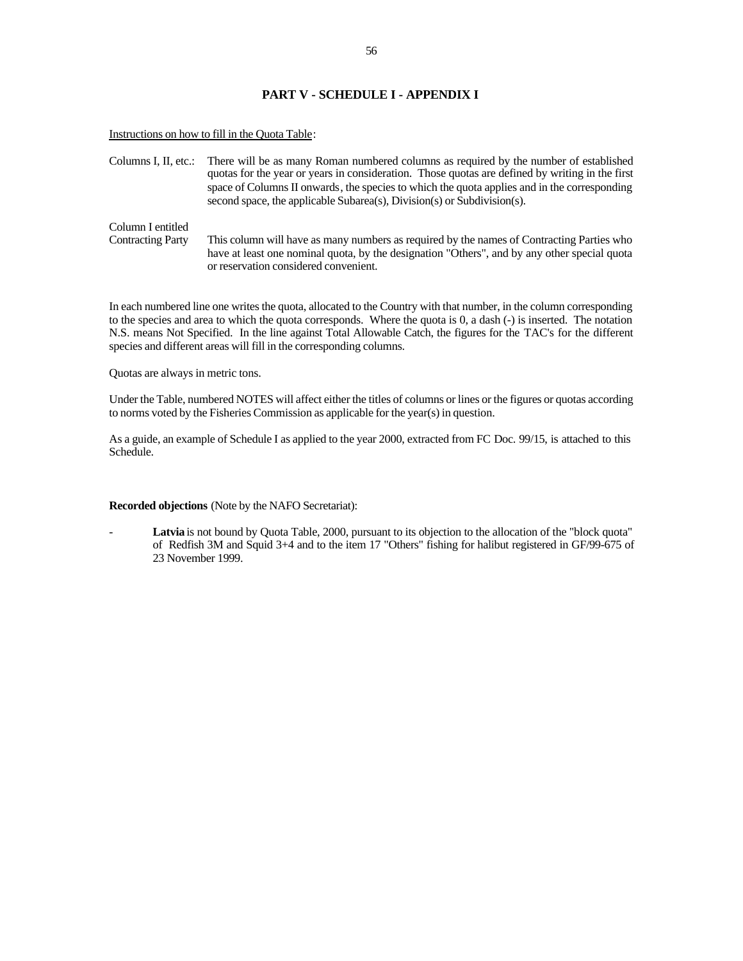#### **PART V - SCHEDULE I - APPENDIX I**

Instructions on how to fill in the Quota Table:

Columns I, II, etc.: There will be as many Roman numbered columns as required by the number of established quotas for the year or years in consideration. Those quotas are defined by writing in the first space of Columns II onwards, the species to which the quota applies and in the corresponding second space, the applicable Subarea(s), Division(s) or Subdivision(s). Column I entitled Contracting Party This column will have as many numbers as required by the names of Contracting Parties who have at least one nominal quota, by the designation "Others", and by any other special quota or reservation considered convenient.

In each numbered line one writes the quota, allocated to the Country with that number, in the column corresponding to the species and area to which the quota corresponds. Where the quota is 0, a dash (-) is inserted. The notation N.S. means Not Specified. In the line against Total Allowable Catch, the figures for the TAC's for the different species and different areas will fill in the corresponding columns.

Quotas are always in metric tons.

Under the Table, numbered NOTES will affect either the titles of columns or lines or the figures or quotas according to norms voted by the Fisheries Commission as applicable for the year(s) in question.

As a guide, an example of Schedule I as applied to the year 2000, extracted from FC Doc. 99/15, is attached to this Schedule.

#### **Recorded objections** (Note by the NAFO Secretariat):

Latvia is not bound by Quota Table, 2000, pursuant to its objection to the allocation of the "block quota" of Redfish 3M and Squid 3+4 and to the item 17 "Others" fishing for halibut registered in GF/99-675 of 23 November 1999.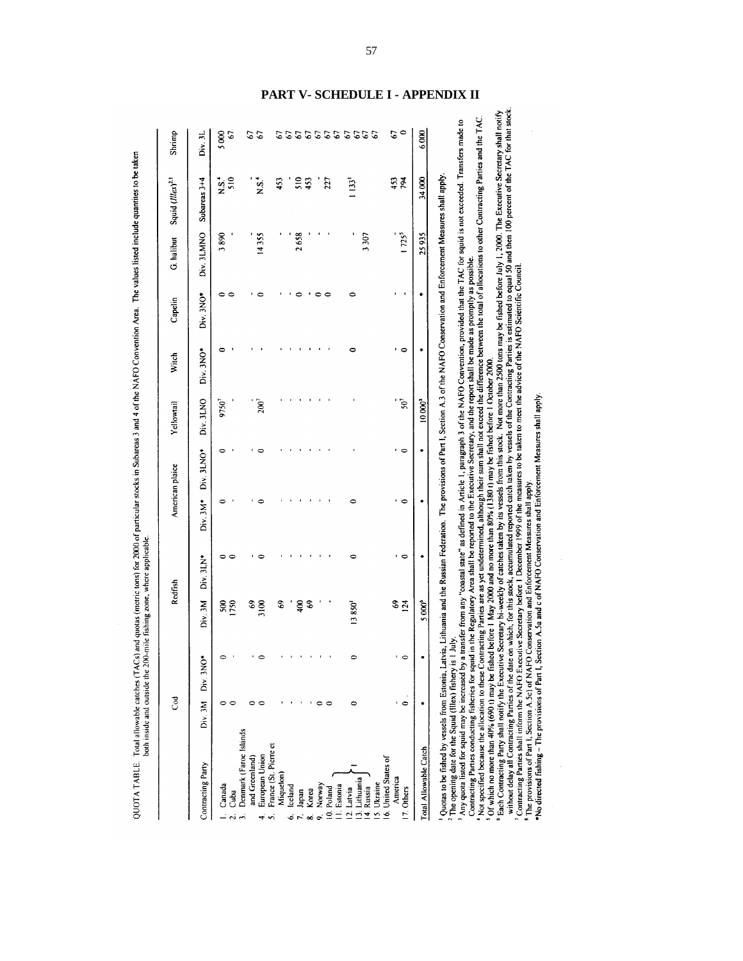|                                                       | ී             |          |               | Redfish                  | American plaice |              | Yellowail              | Witch          | Capelin      | G. halibut | Squid (Illex) <sup>2.3</sup> | Shrimp        |
|-------------------------------------------------------|---------------|----------|---------------|--------------------------|-----------------|--------------|------------------------|----------------|--------------|------------|------------------------------|---------------|
| Contracting Party                                     | Div. 3M       | Div. 3NO | Div. 3M       | Div. 3LN*                | $Div. 3M*$      | $Div. 3LNO*$ | Div. 3LNO              | $Div.$ $3NO^*$ | $Div. 3NO^*$ | Div. 3LMNO | Subareas 3+4                 | Div.3L        |
| Canada                                                | 0             |          | 500           | ≏                        |                 |              | 9750 <sup>7</sup>      | 0              | 00           | 3890       | $\frac{5}{2}$                | 5000          |
| Cuba<br>$\mathbf{a}$                                  | c             |          | 1750          |                          |                 |              |                        |                |              |            | 510                          | 67            |
| Denmark (Faroe Islands<br>and Greenland<br>$\ddot{ }$ | 0             |          | 69            |                          |                 |              |                        |                |              |            |                              | 67            |
| European Union<br>4Ì                                  | ∊             |          | 3100          |                          |                 |              | $200^7$                |                |              | 14355      | $\frac{1}{2}$                | $\mathcal{O}$ |
| France (St. Pierre et<br><sub>2</sub>                 |               |          |               |                          |                 |              |                        |                |              |            |                              |               |
| Miquelon                                              |               |          | $\mathbf{69}$ |                          |                 |              |                        |                |              |            | 453                          | 2             |
| lceland<br>ن<br>م ن                                   |               |          |               |                          |                 |              |                        |                |              |            |                              |               |
| Japan                                                 |               |          | 400           |                          |                 |              |                        |                |              | 2658       | 510                          |               |
| Korea<br>$\infty$                                     |               |          | $\mathbf{c}$  |                          |                 |              |                        |                |              |            | 453                          |               |
| Norway<br>$\ddot{\bullet}$                            | c             |          |               |                          |                 |              |                        |                | ∊            |            |                              |               |
| 10. Poland                                            | $\circ$       |          |               |                          |                 |              |                        |                | $\circ$      |            | 227                          | 353333        |
| II. Estonia                                           |               |          |               |                          |                 |              |                        |                |              |            |                              |               |
| 12. Latvia                                            | 0             |          | 13850'        | 0                        |                 |              |                        | $\circ$        | 0            |            | $1133$ <sup>1</sup>          |               |
| 13. Lithuania<br>14. Russia                           |               |          |               |                          |                 |              |                        |                |              | 3307       |                              | 5555          |
| 15. Ukraine                                           |               |          |               |                          |                 |              |                        |                |              |            |                              |               |
| 16. United States of                                  |               |          |               |                          |                 |              |                        |                |              |            |                              |               |
| America<br>17. Others                                 | $\Rightarrow$ |          | $rac{6}{24}$  | $\overline{\phantom{a}}$ | $\circ$         | $\circ$      | $\mathcal{S}^{\prime}$ | $\circ$        |              | $1725^5$   | 453<br>794                   | $\circ$<br>67 |
|                                                       |               |          |               |                          |                 |              |                        |                |              |            |                              |               |
| Total Allowable Catch                                 |               |          | 5000*         | ۰                        | ۰               | ۰            | $10000^{8}$            | ٠              |              | 25935      | 34000                        | 6000          |

QUOTA TABLE. Total allowable catches (TACs) and quotas (metric tons) for 2000 of particular stocks in Subareas 3 and 4 of the NAFO Convention Area. The values listed include quantites to be taken

<sup>5</sup> Of which no more than 40% (690 )) may be fished before 1 May 2000 and no more than 80% (1380 i) may be fished before 1 October 2000.<br><sup>6</sup> Each Contracting Party shall notify the Executive Secretary bi-weekly of catches

 $\frac{1}{\sqrt{2}}$ 

 $\ddot{\phantom{a}}$ 

## **PART V- SCHEDULE I - APPENDIX II**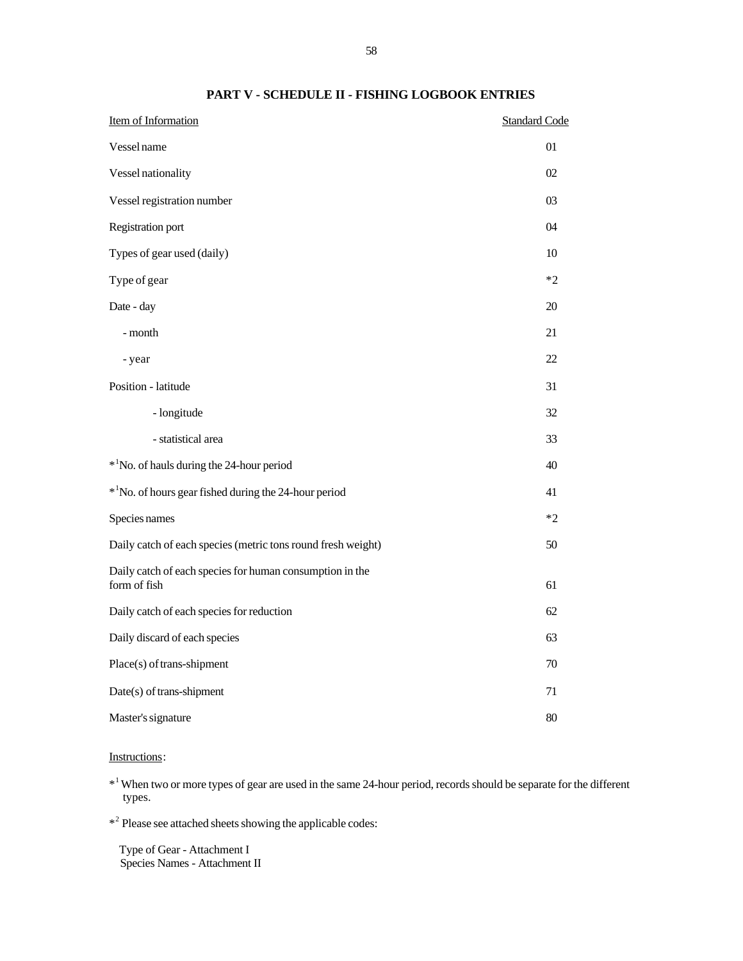| Item of Information                                                      | <b>Standard Code</b> |
|--------------------------------------------------------------------------|----------------------|
| Vessel name                                                              | 01                   |
| Vessel nationality                                                       | 02                   |
| Vessel registration number                                               | 03                   |
| Registration port                                                        | 04                   |
| Types of gear used (daily)                                               | 10                   |
| Type of gear                                                             | $*2$                 |
| Date - day                                                               | 20                   |
| - month                                                                  | 21                   |
| - year                                                                   | 22                   |
| Position - latitude                                                      | 31                   |
| - longitude                                                              | 32                   |
| - statistical area                                                       | 33                   |
| * <sup>1</sup> No. of hauls during the 24-hour period                    | 40                   |
| * <sup>1</sup> No. of hours gear fished during the 24-hour period        | 41                   |
| Species names                                                            | $*2$                 |
| Daily catch of each species (metric tons round fresh weight)             | 50                   |
| Daily catch of each species for human consumption in the<br>form of fish | 61                   |
| Daily catch of each species for reduction                                | 62                   |
| Daily discard of each species                                            | 63                   |
| Place(s) of trans-shipment                                               | 70                   |
| Date(s) of trans-shipment                                                | 71                   |
| Master's signature                                                       | 80                   |

## **PART V - SCHEDULE II - FISHING LOGBOOK ENTRIES**

## Instructions:

\*<sup>1</sup> When two or more types of gear are used in the same 24-hour period, records should be separate for the different types.

\*<sup>2</sup> Please see attached sheets showing the applicable codes:

 Type of Gear - Attachment I Species Names - Attachment II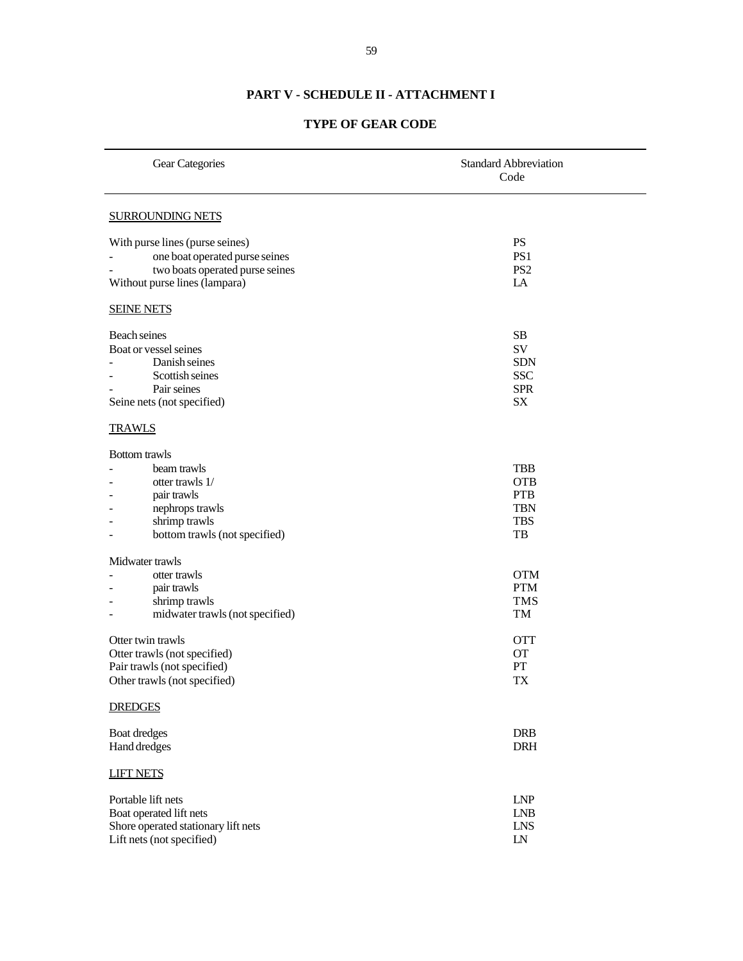# **PART V - SCHEDULE II - ATTACHMENT I**

# **TYPE OF GEAR CODE**

| Gear Categories                                                                                                                            | <b>Standard Abbreviation</b><br>Code                                     |  |  |
|--------------------------------------------------------------------------------------------------------------------------------------------|--------------------------------------------------------------------------|--|--|
| <b>SURROUNDING NETS</b>                                                                                                                    |                                                                          |  |  |
| With purse lines (purse seines)<br>one boat operated purse seines<br>two boats operated purse seines<br>Without purse lines (lampara)      | <b>PS</b><br>PS1<br>PS <sub>2</sub><br>LA                                |  |  |
| <b>SEINE NETS</b>                                                                                                                          |                                                                          |  |  |
| Beach seines<br>Boat or vessel seines<br>Danish seines<br>Scottish seines<br>Pair seines<br>Seine nets (not specified)                     | SB<br>SV<br><b>SDN</b><br><b>SSC</b><br><b>SPR</b><br>SX                 |  |  |
| <b>TRAWLS</b>                                                                                                                              |                                                                          |  |  |
| <b>Bottom</b> trawls<br>beam trawls<br>otter trawls 1/<br>pair trawls<br>nephrops trawls<br>shrimp trawls<br>bottom trawls (not specified) | <b>TBB</b><br><b>OTB</b><br><b>PTB</b><br><b>TBN</b><br><b>TBS</b><br>TB |  |  |
| Midwater trawls<br>otter trawls<br>pair trawls<br>shrimp trawls<br>midwater trawls (not specified)                                         | <b>OTM</b><br><b>PTM</b><br><b>TMS</b><br>TM                             |  |  |
| Otter twin trawls<br>Otter trawls (not specified)<br>Pair trawls (not specified)<br>Other trawls (not specified)                           | <b>OTT</b><br><b>OT</b><br>PT<br>TX                                      |  |  |
| <b>DREDGES</b>                                                                                                                             |                                                                          |  |  |
| Boat dredges<br>Hand dredges                                                                                                               | <b>DRB</b><br><b>DRH</b>                                                 |  |  |
| <b>LIFT NETS</b>                                                                                                                           |                                                                          |  |  |
| Portable lift nets<br>Boat operated lift nets<br>Shore operated stationary lift nets<br>Lift nets (not specified)                          | <b>LNP</b><br><b>LNB</b><br><b>LNS</b><br>${\rm LN}$                     |  |  |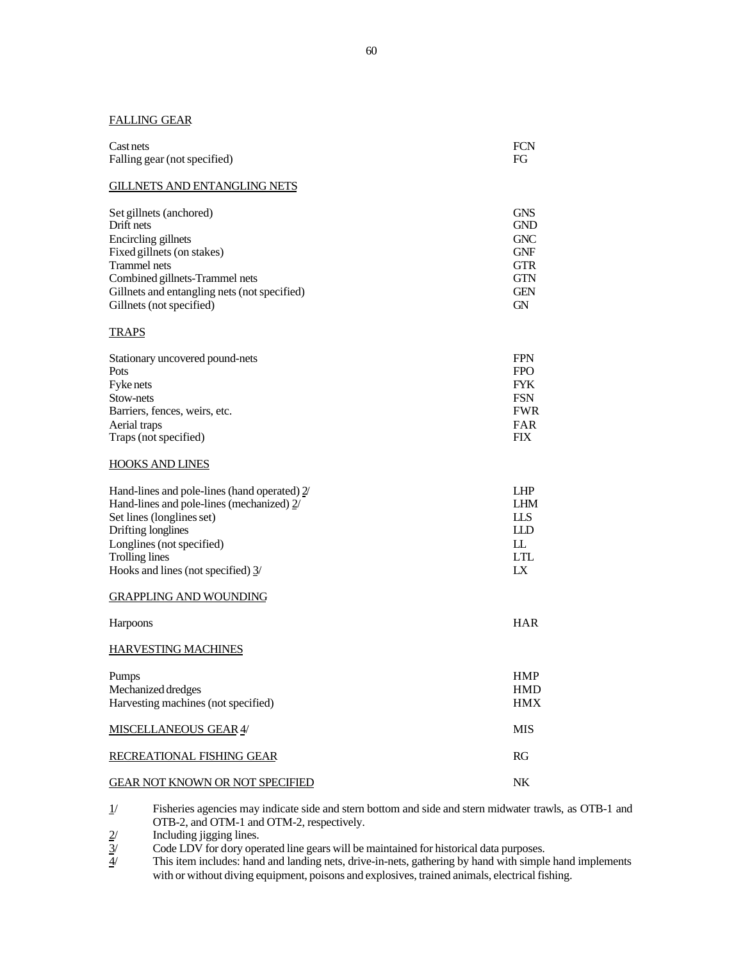## FALLING GEAR

| Cast nets                    | <b>FCN</b> |
|------------------------------|------------|
| Falling gear (not specified) | FG         |
|                              |            |

#### GILLNETS AND ENTANGLING NETS

| Set gillnets (anchored)                      | <b>GNS</b> |
|----------------------------------------------|------------|
| Drift nets                                   | <b>GND</b> |
| Encircling gillnets                          | <b>GNC</b> |
| Fixed gillnets (on stakes)                   | <b>GNF</b> |
| <b>Trammel</b> nets                          | <b>GTR</b> |
| Combined gillnets-Trammel nets               | <b>GTN</b> |
| Gillnets and entangling nets (not specified) | <b>GEN</b> |
| Gillnets (not specified)                     | <b>GN</b>  |

#### **TRAPS**

| Stationary uncovered pound-nets | <b>FPN</b> |
|---------------------------------|------------|
| Pots                            | <b>FPO</b> |
| Fyke nets                       | <b>FYK</b> |
| Stow-nets                       | <b>FSN</b> |
| Barriers, fences, weirs, etc.   | <b>FWR</b> |
| Aerial traps                    | FAR        |
| Traps (not specified)           | FIX        |

#### HOOKS AND LINES

| Hand-lines and pole-lines (hand operated) 2/  | LHP                     |
|-----------------------------------------------|-------------------------|
| Hand-lines and pole-lines (mechanized) $2/$   | <b>LHM</b>              |
| Set lines (longlines set)                     | LLS                     |
| Drifting longlines                            | HD                      |
| Longlines (not specified)                     | LL.                     |
| Trolling lines                                | <b>LTL</b>              |
| Hooks and lines (not specified) $\frac{3}{2}$ | $\mathbf{I} \mathbf{X}$ |

#### GRAPPLING AND WOUNDING

| Harpoons                                                           | <b>HAR</b>                             |
|--------------------------------------------------------------------|----------------------------------------|
| <b>HARVESTING MACHINES</b>                                         |                                        |
| Pumps<br>Mechanized dredges<br>Harvesting machines (not specified) | <b>HMP</b><br><b>HMD</b><br><b>HMX</b> |
| <b>MISCELLANEOUS GEAR 4/</b>                                       | <b>MIS</b>                             |
| RECREATIONAL FISHING GEAR                                          | RG                                     |
| <b>GEAR NOT KNOWN OR NOT SPECIFIED</b>                             | NK                                     |

1/ Fisheries agencies may indicate side and stern bottom and side and stern midwater trawls, as OTB-1 and OTB-2, and OTM-1 and OTM-2, respectively.

 $\frac{2}{3}$  Including jigging lines.<br>Code LDV for dory ope<br> $\frac{4}{3}$  This item includes: hand Code LDV for dory operated line gears will be maintained for historical data purposes.

This item includes: hand and landing nets, drive-in-nets, gathering by hand with simple hand implements with or without diving equipment, poisons and explosives, trained animals, electrical fishing.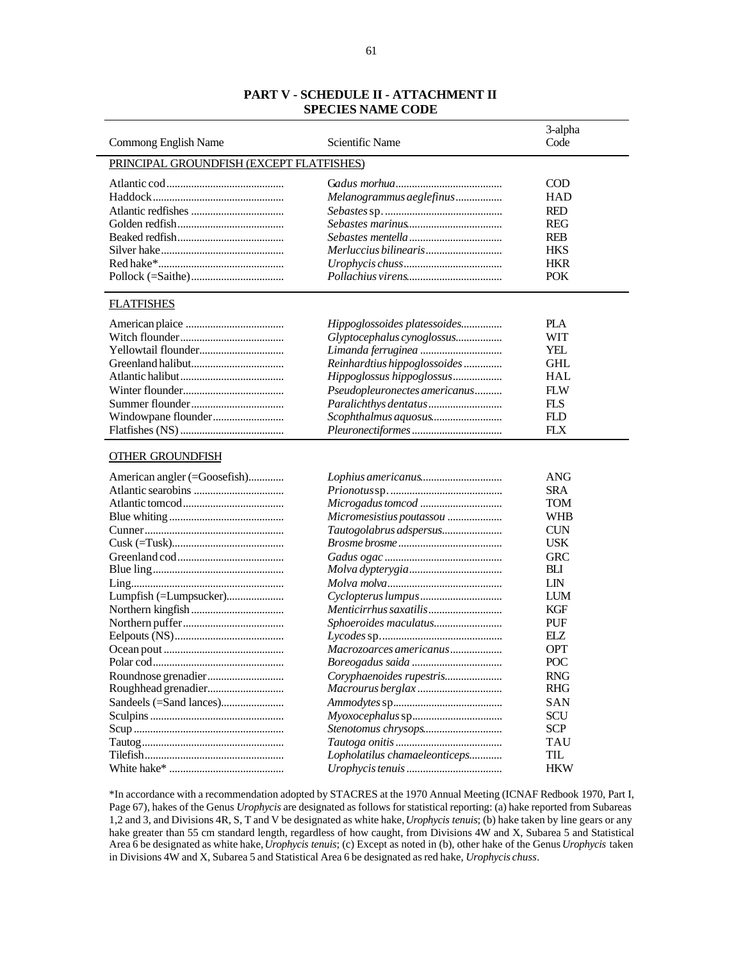## **PART V - SCHEDULE II - ATTACHMENT II SPECIES NAME CODE**

|                                          |                                         | 3-alpha    |
|------------------------------------------|-----------------------------------------|------------|
| Commong English Name                     | Scientific Name                         | Code       |
| PRINCIPAL GROUNDFISH (EXCEPT FLATFISHES) |                                         |            |
|                                          |                                         |            |
|                                          |                                         | <b>COD</b> |
|                                          | Melanogrammus aeglefinus                | HAD        |
|                                          |                                         | <b>RED</b> |
|                                          |                                         | <b>REG</b> |
|                                          |                                         | <b>REB</b> |
|                                          |                                         | <b>HKS</b> |
|                                          |                                         | <b>HKR</b> |
|                                          |                                         | <b>POK</b> |
| <b>FLATFISHES</b>                        |                                         |            |
|                                          | Hippoglossoides platessoides            | PLA        |
|                                          | Glyptocephalus cynoglossus              | <b>WIT</b> |
|                                          |                                         | <b>YEL</b> |
|                                          |                                         |            |
|                                          | Reinhardtius hippoglossoides            | <b>GHL</b> |
|                                          | Hippoglossus hippoglossus               | HAL        |
|                                          | Pseudopleuronectes americanus           | <b>FLW</b> |
|                                          |                                         | <b>FLS</b> |
| Windowpane flounder                      |                                         | <b>FLD</b> |
|                                          |                                         | <b>FLX</b> |
| <b>OTHER GROUNDFISH</b>                  |                                         |            |
| American angler (=Goosefish)             |                                         | ANG        |
|                                          | $\label{eq:1} Priorotus \, {\tt sp.}\,$ | <b>SRA</b> |
|                                          | Microgadus tomcod                       | TOM        |
|                                          | Micromesistius poutassou                | WHB        |
|                                          | Tautogolabrus adspersus                 | <b>CUN</b> |
|                                          |                                         | <b>USK</b> |
|                                          |                                         | <b>GRC</b> |
|                                          |                                         | BLI        |
|                                          |                                         | <b>LIN</b> |
| Lumpfish (=Lumpsucker)                   |                                         | LUM        |
|                                          |                                         | KGF        |
|                                          | Sphoeroides maculatus                   | <b>PUF</b> |
|                                          |                                         | ELZ        |
|                                          | Macrozoarces americanus                 | OPT        |
|                                          |                                         | POC        |
|                                          |                                         |            |
|                                          |                                         | <b>RNG</b> |
|                                          |                                         | <b>RHG</b> |
| Sandeels (=Sand lances)                  |                                         | SAN        |
|                                          |                                         | SCU        |
|                                          |                                         | <b>SCP</b> |
|                                          |                                         | <b>TAU</b> |
|                                          | Lopholatilus chamaeleonticeps           | TIL        |
|                                          |                                         | <b>HKW</b> |
|                                          |                                         |            |

\*In accordance with a recommendation adopted by STACRES at the 1970 Annual Meeting (ICNAF Redbook 1970, Part I, Page 67), hakes of the Genus *Urophycis* are designated as follows for statistical reporting: (a) hake reported from Subareas 1,2 and 3, and Divisions 4R, S, T and V be designated as white hake, *Urophycis tenuis*; (b) hake taken by line gears or any hake greater than 55 cm standard length, regardless of how caught, from Divisions 4W and X, Subarea 5 and Statistical Area 6 be designated as white hake, *Urophycis tenuis*; (c) Except as noted in (b), other hake of the Genus *Urophycis* taken in Divisions 4W and X, Subarea 5 and Statistical Area 6 be designated as red hake, *Urophycis chuss*.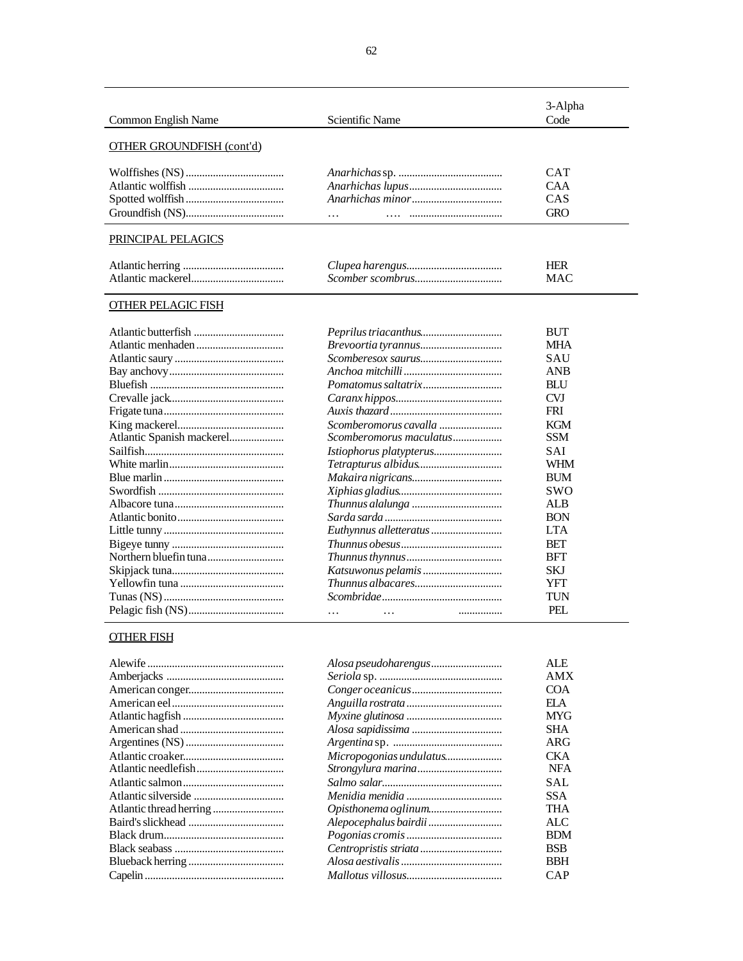| Common English Name              | Scientific Name | 3-Alpha<br>Code                               |
|----------------------------------|-----------------|-----------------------------------------------|
| <b>OTHER GROUNDFISH (cont'd)</b> |                 |                                               |
|                                  |                 | <b>CAT</b><br><b>CAA</b><br>CAS<br><b>GRO</b> |
| PRINCIPAL PELAGICS               |                 | <b>HER</b><br><b>MAC</b>                      |
| OTHER PELAGIC FISH               |                 |                                               |
|                                  |                 | <b>BUT</b><br><b>MHA</b><br>SAU<br><b>ANB</b> |

|                           |                         | BUT        |
|---------------------------|-------------------------|------------|
|                           |                         | <b>MHA</b> |
|                           |                         | SAU        |
|                           |                         | <b>ANB</b> |
|                           |                         | <b>BLU</b> |
|                           |                         | <b>CVJ</b> |
|                           |                         | <b>FRI</b> |
|                           | Scomberomorus cavalla   | <b>KGM</b> |
| Atlantic Spanish mackerel | Scomberomorus maculatus | <b>SSM</b> |
|                           |                         | <b>SAI</b> |
|                           |                         | WHM        |
|                           |                         | <b>BUM</b> |
|                           |                         | <b>SWO</b> |
|                           |                         | <b>ALB</b> |
|                           |                         | <b>BON</b> |
|                           |                         | <b>LTA</b> |
|                           |                         | <b>BET</b> |
|                           |                         | <b>BFT</b> |
|                           |                         | <b>SKJ</b> |
|                           |                         | YFT        |
|                           |                         | TUN        |
|                           | .<br>.                  | PEL.       |

# OTHER FISH

| Alosa pseudoharengus | ALE.       |
|----------------------|------------|
|                      | AMX        |
|                      | <b>COA</b> |
|                      | EI A       |
|                      | MYG        |
|                      | SHA.       |
|                      | ARG        |
|                      | CKA.       |
|                      | <b>NFA</b> |
|                      | SAL        |
|                      | SSA.       |
|                      | THA        |
|                      | ALC        |
|                      | <b>BDM</b> |
|                      | <b>BSB</b> |
|                      | <b>BBH</b> |
|                      | CAP        |
|                      |            |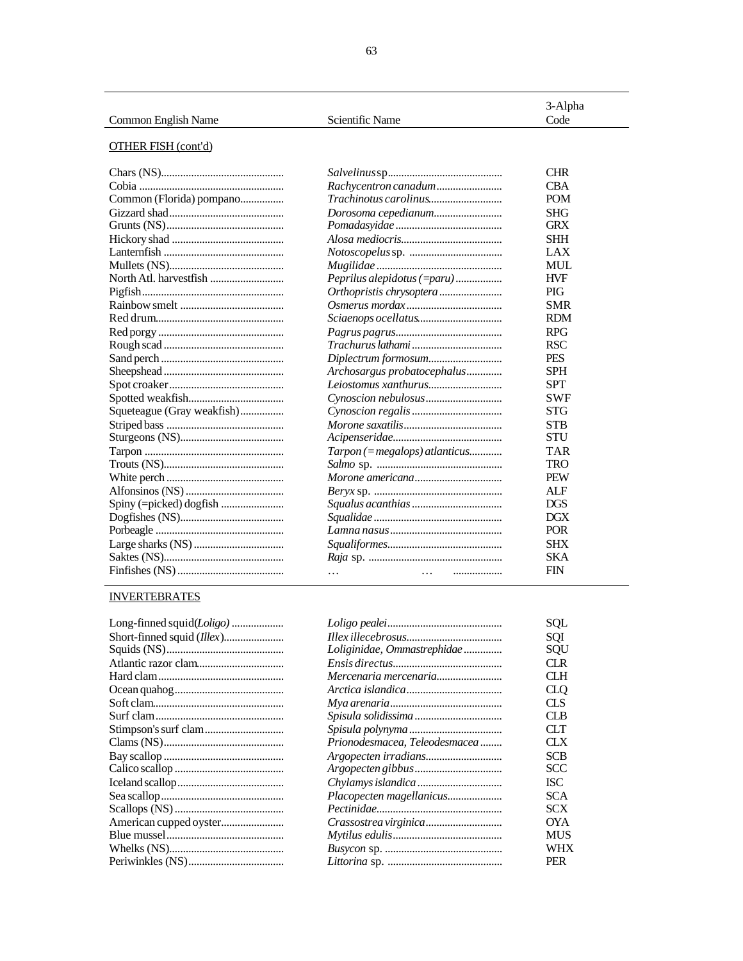|                     |                 | 3-Alpha |
|---------------------|-----------------|---------|
| Common English Name | Scientific Name | Code    |

# **OTHER FISH (cont'd)**

| Common (Florida) pompano   |
|----------------------------|
|                            |
|                            |
|                            |
|                            |
|                            |
|                            |
|                            |
|                            |
|                            |
|                            |
|                            |
|                            |
|                            |
|                            |
|                            |
| Squeteague (Gray weakfish) |
|                            |
|                            |
|                            |
|                            |
|                            |
|                            |
|                            |
|                            |
|                            |
|                            |
|                            |
|                            |
|                            |

|                                | <b>CHR</b> |
|--------------------------------|------------|
| Rachycentron canadum           | <b>CBA</b> |
| Trachinotus carolinus          | <b>POM</b> |
| Dorosoma cepedianum            | <b>SHG</b> |
|                                | <b>GRX</b> |
|                                | SHH        |
|                                | LAX        |
|                                | MUL.       |
| Peprilus alepidotus (=paru)    | <b>HVF</b> |
| Orthopristis chrysoptera       | PIG        |
|                                | SMR        |
|                                | <b>RDM</b> |
|                                | <b>RPG</b> |
|                                | <b>RSC</b> |
| Diplectrum formosum            | <b>PES</b> |
| Archosargus probatocephalus    | <b>SPH</b> |
| Leiostomus xanthurus           | <b>SPT</b> |
|                                | <b>SWF</b> |
|                                | <b>STG</b> |
|                                | <b>STB</b> |
|                                | STU        |
| Tarpon (= megalops) atlanticus | TAR        |
|                                | TRO        |
|                                | <b>PEW</b> |
|                                | <b>ALF</b> |
|                                | <b>DGS</b> |
|                                | DGX        |
|                                | <b>POR</b> |
|                                | <b>SHX</b> |
|                                | SKA        |
| $\cdots$                       | <b>FIN</b> |
|                                |            |

# **INVERTEBRATES**

|                               | SOL        |
|-------------------------------|------------|
|                               | SOI        |
| Loliginidae, Ommastrephidae   | SOU        |
|                               | CI R       |
| Mercenaria mercenaria         | CI H       |
|                               | CLO        |
|                               | CLS        |
|                               | CI B       |
|                               | CLT.       |
| Prionodesmacea, Teleodesmacea | CI X       |
|                               | <b>SCB</b> |
|                               | SCC        |
|                               | <b>ISC</b> |
| Placopecten magellanicus      | <b>SCA</b> |
|                               | SCX        |
|                               | OYA        |
|                               | <b>MUS</b> |
|                               | WHX        |
|                               | PER        |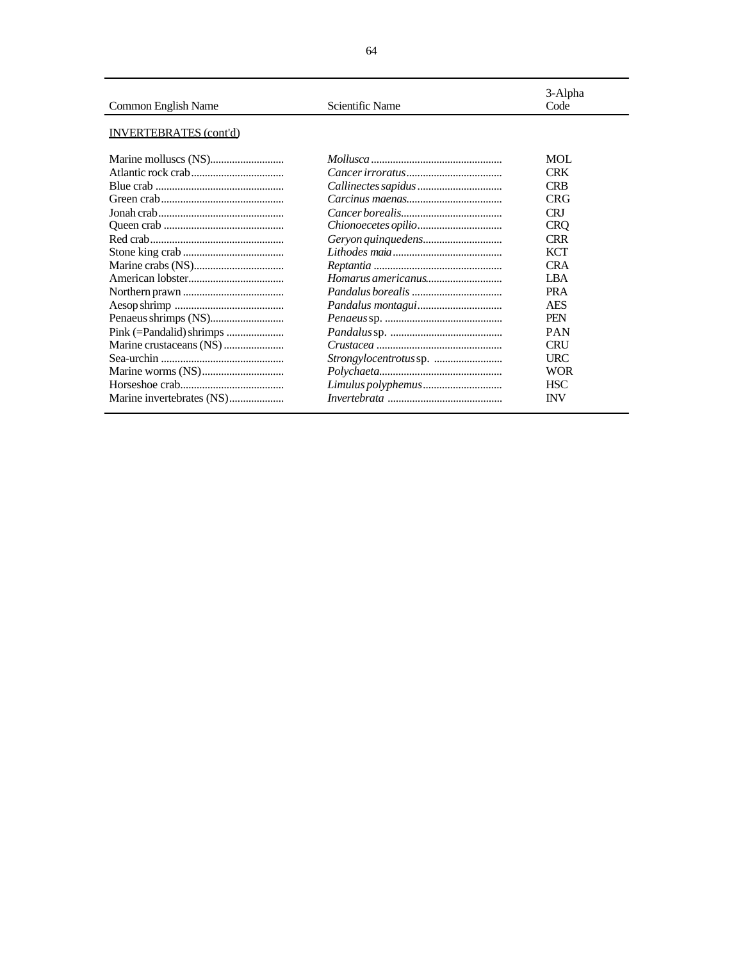| Common English Name           | Scientific Name | 3-Alpha<br>Code |
|-------------------------------|-----------------|-----------------|
| <b>INVERTEBRATES</b> (cont'd) |                 |                 |
|                               |                 | MOL             |
|                               |                 | <b>CRK</b>      |
|                               |                 | <b>CRB</b>      |
|                               |                 | <b>CRG</b>      |
|                               |                 | CRI             |
|                               |                 | <b>CRO</b>      |
|                               |                 | <b>CRR</b>      |
|                               |                 | <b>KCT</b>      |
|                               |                 | <b>CRA</b>      |
|                               |                 | <b>LBA</b>      |
|                               |                 | <b>PRA</b>      |
|                               |                 | AES             |
|                               |                 | <b>PEN</b>      |
|                               |                 | <b>PAN</b>      |
|                               |                 | <b>CRU</b>      |
|                               |                 | <b>URC</b>      |
|                               |                 | <b>WOR</b>      |
|                               |                 | <b>HSC</b>      |
|                               |                 | <b>INV</b>      |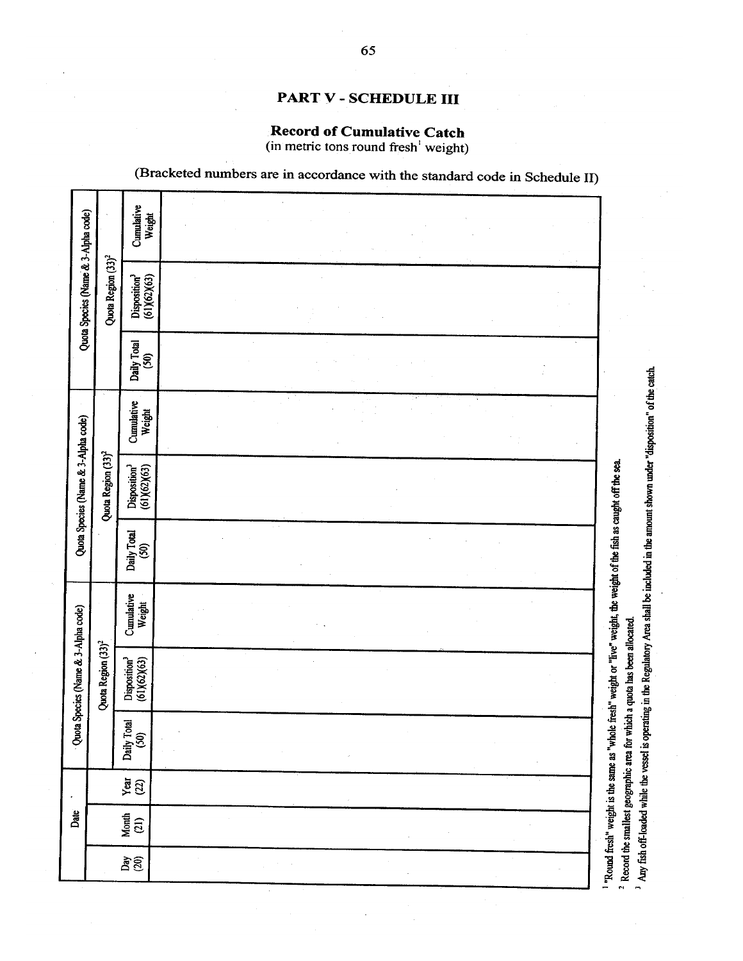# (Bracketed numbers are in accordance with the standard code in Schedule II) Cumulative<br>Weight Quota Species (Name & 3-Alpha code) Quota Region (33)<sup>2</sup>  $Disposition<sup>3</sup>$  (61)(62)(63) Daily Total<br>(50) Cumulative<br>Weight Quota Species (Name & 3-Alpha code) Quota Region (33)<sup>2</sup> "Round fresh" weight is the same as "whole fresh" weight or "live" weight, the weight of the fish as caught off the sea. Disposition<sup>3</sup><br>(61)(62)(63) Daily Total<br>(50) Cumulative<br>Weight Quota Species (Name & 3-Alpha code) <sup>2</sup> Record the smallest geographic area for which a quota has been allocated. Quota Region (33)<sup>2</sup> Disposition<sup>3</sup><br>(61)(62)(63) Daily Total<br>(50)  $\frac{1}{2}$ Date Month<br> $(21)$  $\frac{\delta}{20}$

PART V - SCHEDULE III

**Record of Cumulative Catch** 

(in metric tons round fresh<sup>1</sup> weight)

<sup>3</sup> Any fish off-loaded while the vessel is operating in the Regulatory Area shall be included in the amount shown under "disposition" of the catch.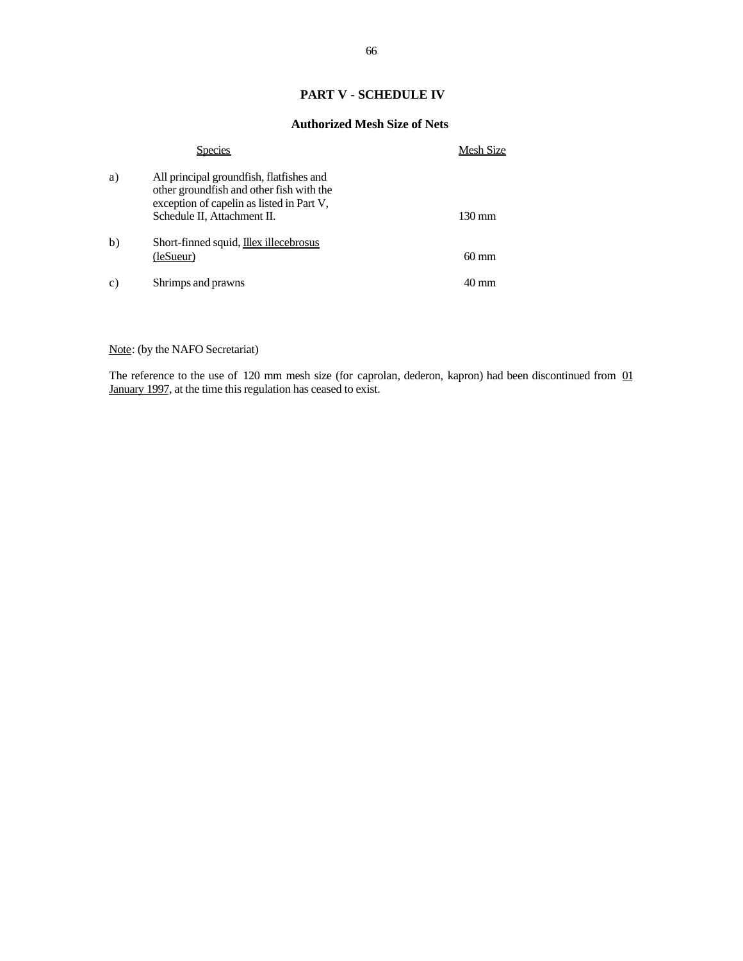## **PART V - SCHEDULE IV**

#### **Authorized Mesh Size of Nets**

|                 | <b>Species</b>                                                                                                                                                   | Mesh Size        |
|-----------------|------------------------------------------------------------------------------------------------------------------------------------------------------------------|------------------|
| a)              | All principal groundfish, flatfishes and<br>other groundfish and other fish with the<br>exception of capelin as listed in Part V,<br>Schedule II, Attachment II. | $130 \text{ mm}$ |
| b)              | Short-finned squid, <b>Illex</b> illecebrosus<br>(leSueur)                                                                                                       | $60 \text{ mm}$  |
| $\mathcal{C}$ ) | Shrimps and prawns                                                                                                                                               | $40 \text{ mm}$  |

Note: (by the NAFO Secretariat)

The reference to the use of 120 mm mesh size (for caprolan, dederon, kapron) had been discontinued from 01 January 1997, at the time this regulation has ceased to exist.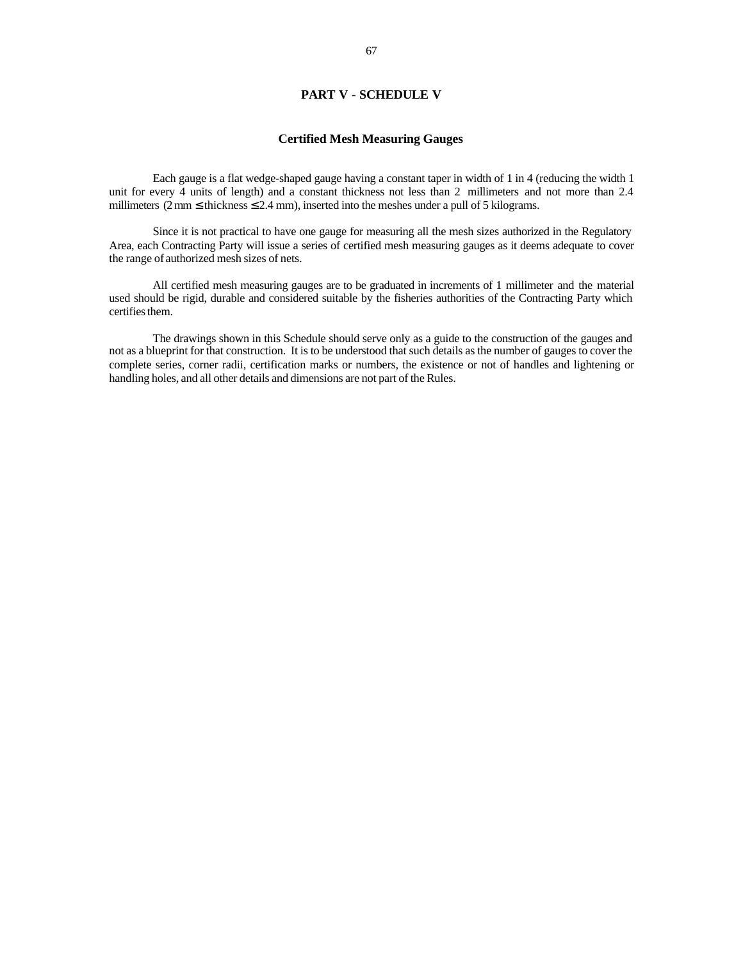## **PART V - SCHEDULE V**

#### **Certified Mesh Measuring Gauges**

Each gauge is a flat wedge-shaped gauge having a constant taper in width of 1 in 4 (reducing the width 1 unit for every 4 units of length) and a constant thickness not less than 2 millimeters and not more than 2.4 millimeters (2 mm  $\leq$  thickness  $\leq$  2.4 mm), inserted into the meshes under a pull of 5 kilograms.

Since it is not practical to have one gauge for measuring all the mesh sizes authorized in the Regulatory Area, each Contracting Party will issue a series of certified mesh measuring gauges as it deems adequate to cover the range of authorized mesh sizes of nets.

All certified mesh measuring gauges are to be graduated in increments of 1 millimeter and the material used should be rigid, durable and considered suitable by the fisheries authorities of the Contracting Party which certifies them.

The drawings shown in this Schedule should serve only as a guide to the construction of the gauges and not as a blueprint for that construction. It is to be understood that such details as the number of gauges to cover the complete series, corner radii, certification marks or numbers, the existence or not of handles and lightening or handling holes, and all other details and dimensions are not part of the Rules.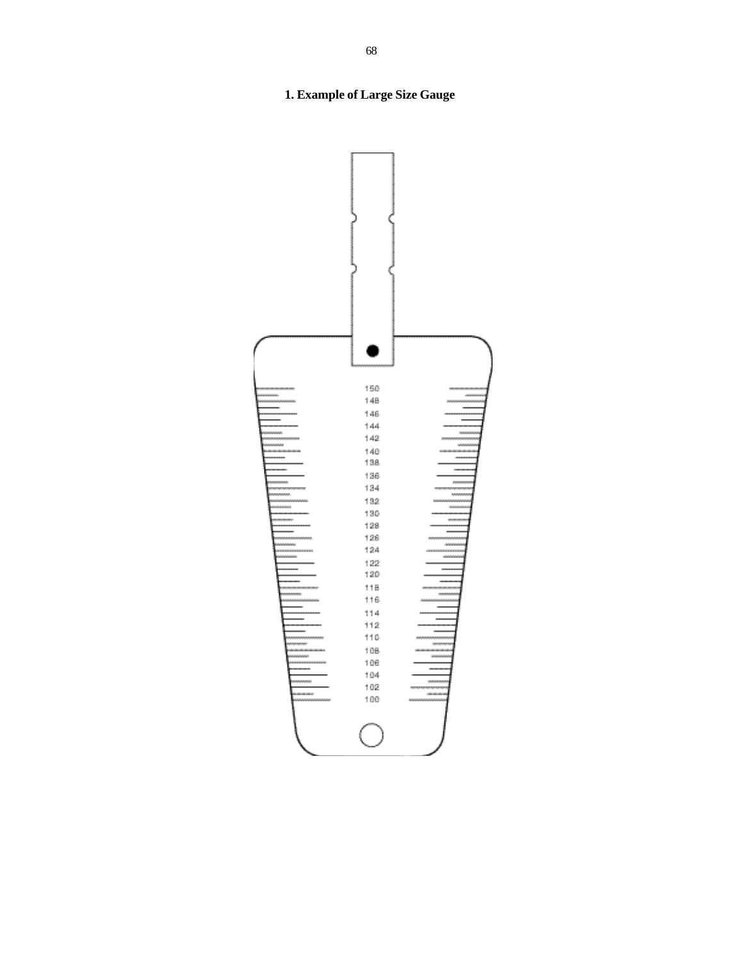# **1. Example of Large Size Gauge**

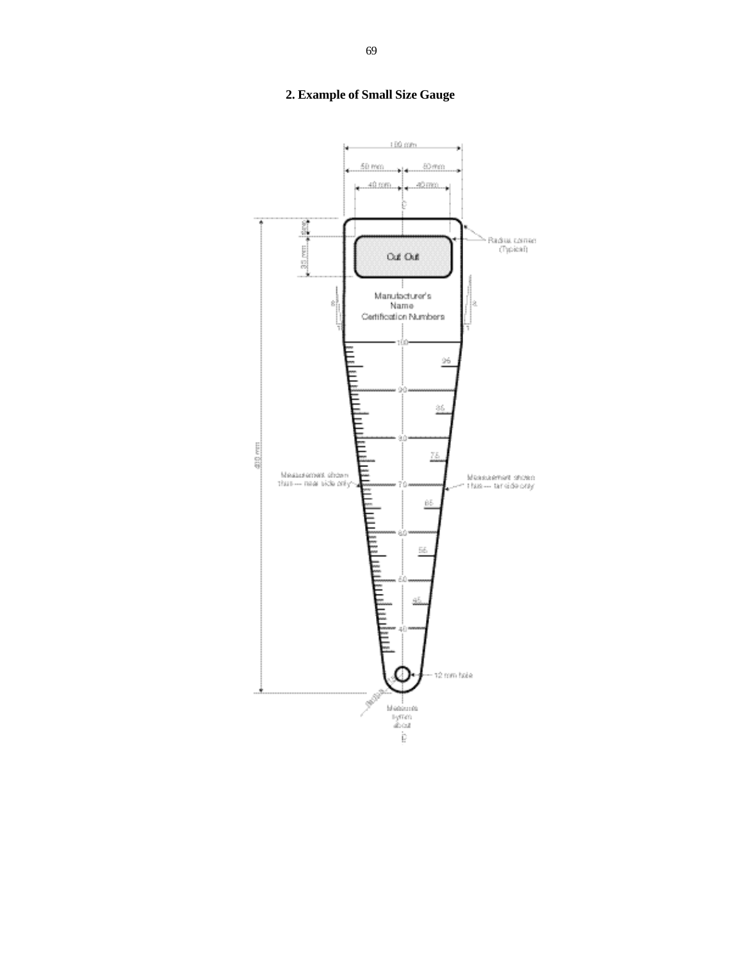# **2. Example of Small Size Gauge**

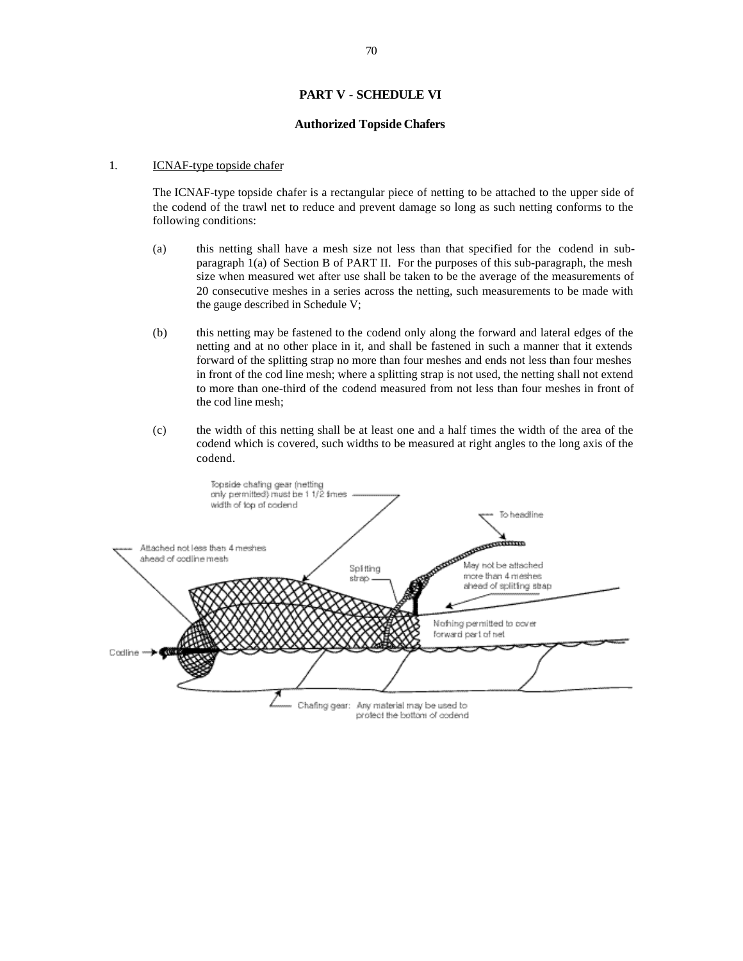## **PART V - SCHEDULE VI**

#### **Authorized Topside Chafers**

#### 1. **ICNAF-type topside chafer**

The ICNAF-type topside chafer is a rectangular piece of netting to be attached to the upper side of the codend of the trawl net to reduce and prevent damage so long as such netting conforms to the following conditions:

- (a) this netting shall have a mesh size not less than that specified for the codend in subparagraph 1(a) of Section B of PART II. For the purposes of this sub-paragraph, the mesh size when measured wet after use shall be taken to be the average of the measurements of 20 consecutive meshes in a series across the netting, such measurements to be made with the gauge described in Schedule V;
- (b) this netting may be fastened to the codend only along the forward and lateral edges of the netting and at no other place in it, and shall be fastened in such a manner that it extends forward of the splitting strap no more than four meshes and ends not less than four meshes in front of the cod line mesh; where a splitting strap is not used, the netting shall not extend to more than one-third of the codend measured from not less than four meshes in front of the cod line mesh;
- (c) the width of this netting shall be at least one and a half times the width of the area of the codend which is covered, such widths to be measured at right angles to the long axis of the codend.

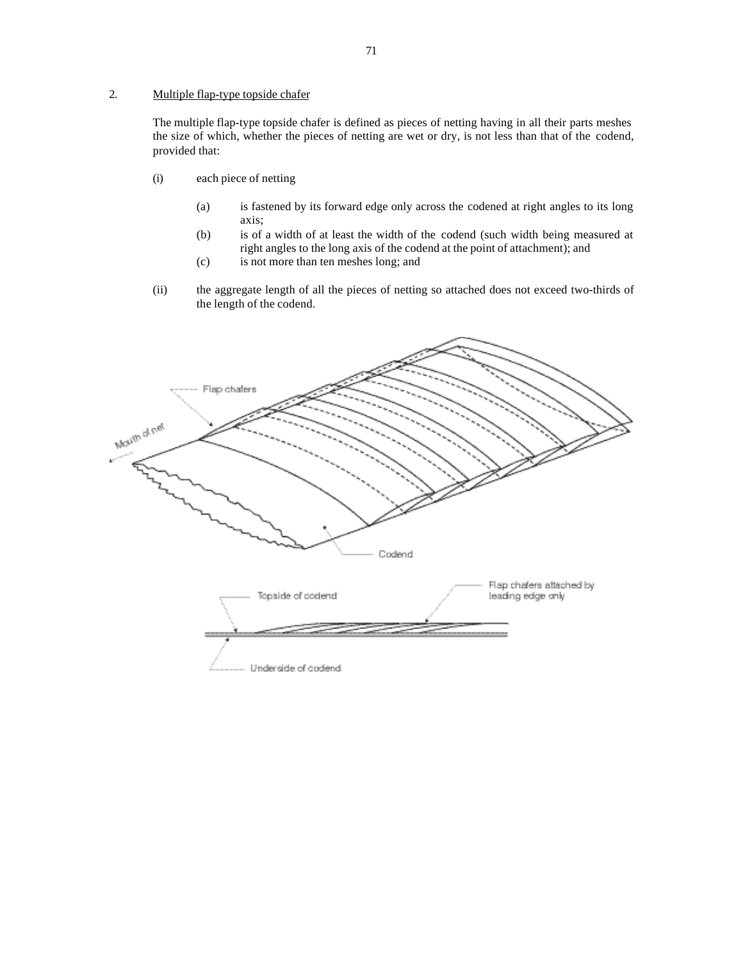## 2. Multiple flap-type topside chafer

The multiple flap-type topside chafer is defined as pieces of netting having in all their parts meshes the size of which, whether the pieces of netting are wet or dry, is not less than that of the codend, provided that:

- (i) each piece of netting
	- (a) is fastened by its forward edge only across the codened at right angles to its long axis;
	- (b) is of a width of at least the width of the codend (such width being measured at right angles to the long axis of the codend at the point of attachment); and
	- (c) is not more than ten meshes long; and
- (ii) the aggregate length of all the pieces of netting so attached does not exceed two-thirds of the length of the codend.

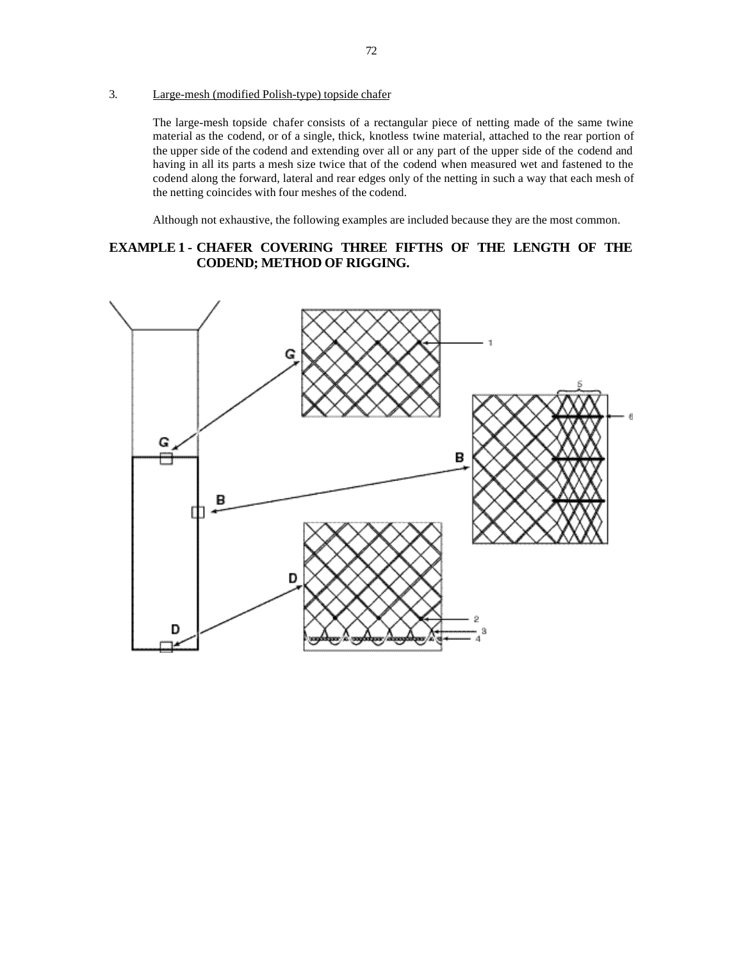3. Large-mesh (modified Polish-type) topside chafer

The large-mesh topside chafer consists of a rectangular piece of netting made of the same twine material as the codend, or of a single, thick, knotless twine material, attached to the rear portion of the upper side of the codend and extending over all or any part of the upper side of the codend and having in all its parts a mesh size twice that of the codend when measured wet and fastened to the codend along the forward, lateral and rear edges only of the netting in such a way that each mesh of the netting coincides with four meshes of the codend.

Although not exhaustive, the following examples are included because they are the most common.

## **EXAMPLE 1 - CHAFER COVERING THREE FIFTHS OF THE LENGTH OF THE CODEND; METHOD OF RIGGING.**

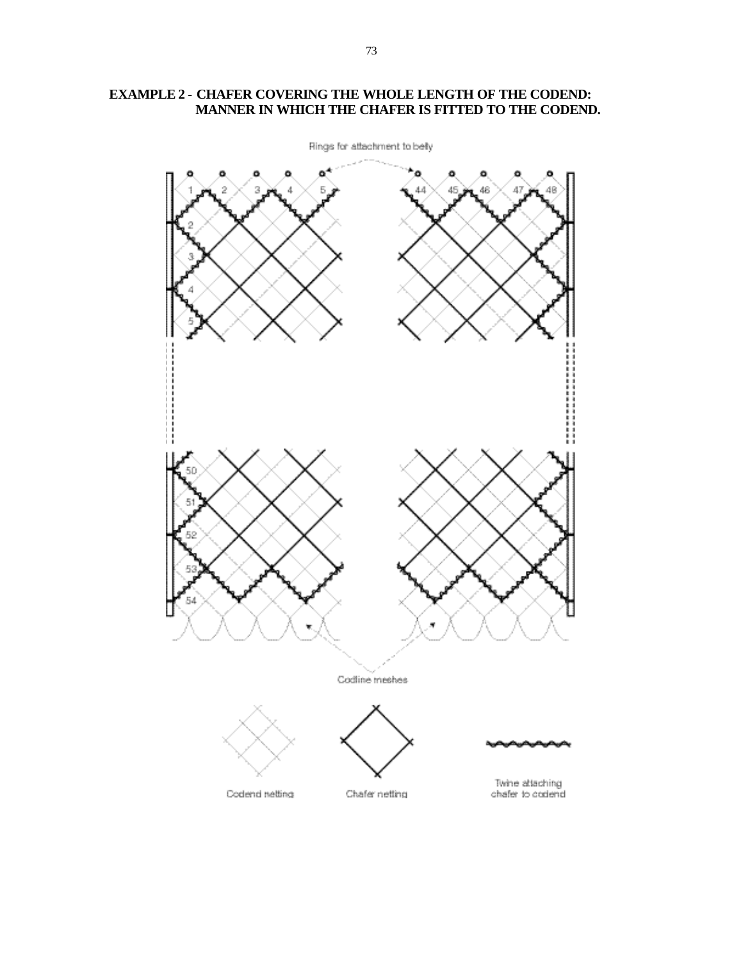

## **EXAMPLE 2 - CHAFER COVERING THE WHOLE LENGTH OF THE CODEND: MANNER IN WHICH THE CHAFER IS FITTED TO THE CODEND.**

73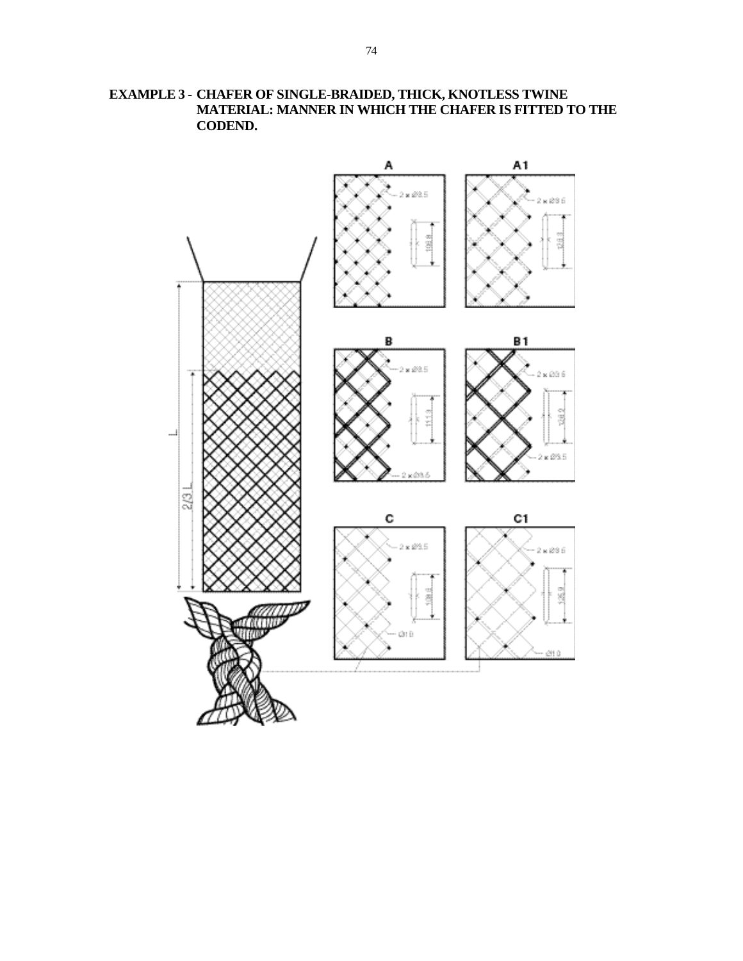

**EXAMPLE 3 - CHAFER OF SINGLE-BRAIDED, THICK, KNOTLESS TWINE MATERIAL: MANNER IN WHICH THE CHAFER IS FITTED TO THE CODEND.**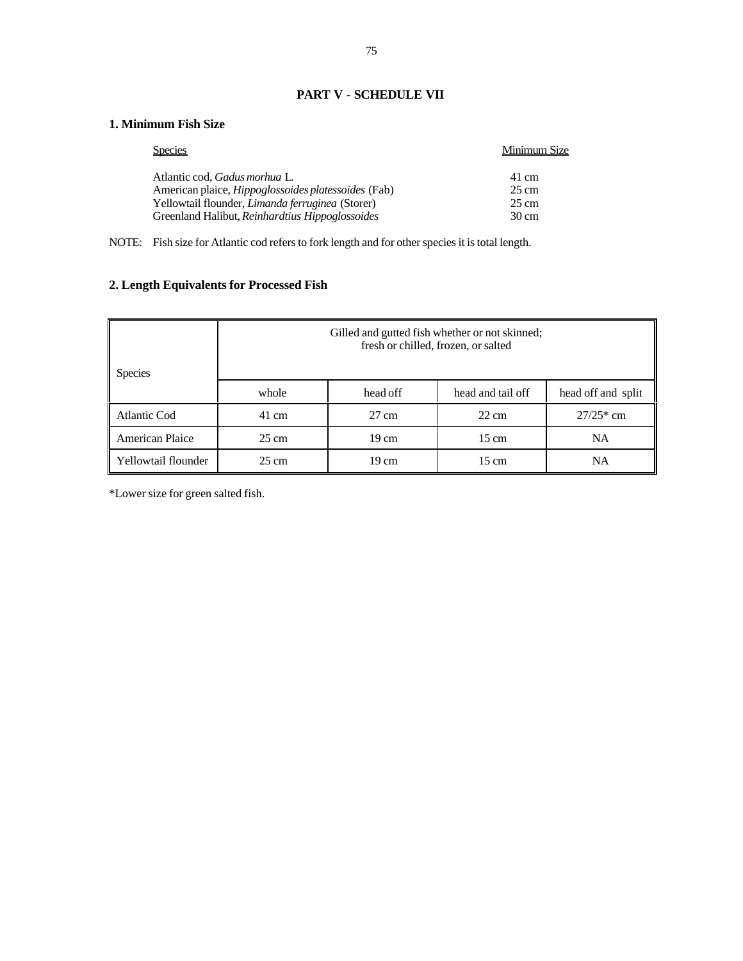## **PART V - SCHEDULE VII**

## **1. Minimum Fish Size**

| <b>Species</b>                                             | Minimum Size    |
|------------------------------------------------------------|-----------------|
| Atlantic cod. <i>Gadus morhua</i> L.                       | 41 cm           |
| American plaice, <i>Hippoglossoides platessoides</i> (Fab) | 25 cm           |
| Yellowtail flounder, <i>Limanda ferruginea</i> (Storer)    | 25 cm           |
| Greenland Halibut, Reinhardtius Hippoglossoides            | $30 \text{ cm}$ |

NOTE: Fish size for Atlantic cod refers to fork length and for other species it is total length.

# **2. Length Equivalents for Processed Fish**

| <b>Species</b>      | Gilled and gutted fish whether or not skinned;<br>fresh or chilled, frozen, or salted |                 |                   |                    |
|---------------------|---------------------------------------------------------------------------------------|-----------------|-------------------|--------------------|
| whole<br>head off   |                                                                                       |                 | head and tail off | head off and split |
| Atlantic Cod        | 41 cm                                                                                 | $27 \text{ cm}$ | $22 \text{ cm}$   | $27/25*$ cm        |
| American Plaice     | $25 \text{ cm}$                                                                       | 19 cm           | 15 cm             | <b>NA</b>          |
| Yellowtail flounder | $25 \text{ cm}$                                                                       | 19 cm           | 15 cm             | NA                 |

\*Lower size for green salted fish.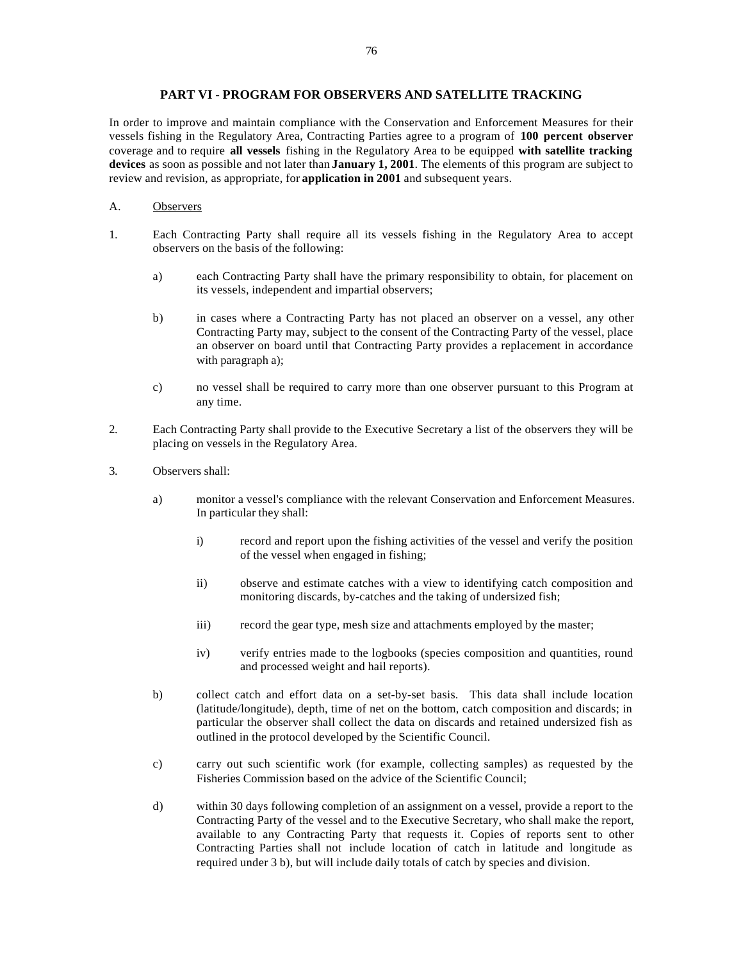### **PART VI - PROGRAM FOR OBSERVERS AND SATELLITE TRACKING**

In order to improve and maintain compliance with the Conservation and Enforcement Measures for their vessels fishing in the Regulatory Area, Contracting Parties agree to a program of **100 percent observer** coverage and to require **all vessels** fishing in the Regulatory Area to be equipped **with satellite tracking devices** as soon as possible and not later than **January 1, 2001**. The elements of this program are subject to review and revision, as appropriate, for **application in 2001** and subsequent years.

#### A. Observers

- 1. Each Contracting Party shall require all its vessels fishing in the Regulatory Area to accept observers on the basis of the following:
	- a) each Contracting Party shall have the primary responsibility to obtain, for placement on its vessels, independent and impartial observers;
	- b) in cases where a Contracting Party has not placed an observer on a vessel, any other Contracting Party may, subject to the consent of the Contracting Party of the vessel, place an observer on board until that Contracting Party provides a replacement in accordance with paragraph a);
	- c) no vessel shall be required to carry more than one observer pursuant to this Program at any time.
- 2. Each Contracting Party shall provide to the Executive Secretary a list of the observers they will be placing on vessels in the Regulatory Area.
- 3. Observers shall:
	- a) monitor a vessel's compliance with the relevant Conservation and Enforcement Measures. In particular they shall:
		- i) record and report upon the fishing activities of the vessel and verify the position of the vessel when engaged in fishing;
		- ii) observe and estimate catches with a view to identifying catch composition and monitoring discards, by-catches and the taking of undersized fish;
		- iii) record the gear type, mesh size and attachments employed by the master;
		- iv) verify entries made to the logbooks (species composition and quantities, round and processed weight and hail reports).
	- b) collect catch and effort data on a set-by-set basis. This data shall include location (latitude/longitude), depth, time of net on the bottom, catch composition and discards; in particular the observer shall collect the data on discards and retained undersized fish as outlined in the protocol developed by the Scientific Council.
	- c) carry out such scientific work (for example, collecting samples) as requested by the Fisheries Commission based on the advice of the Scientific Council;
	- d) within 30 days following completion of an assignment on a vessel, provide a report to the Contracting Party of the vessel and to the Executive Secretary, who shall make the report, available to any Contracting Party that requests it. Copies of reports sent to other Contracting Parties shall not include location of catch in latitude and longitude as required under 3 b), but will include daily totals of catch by species and division.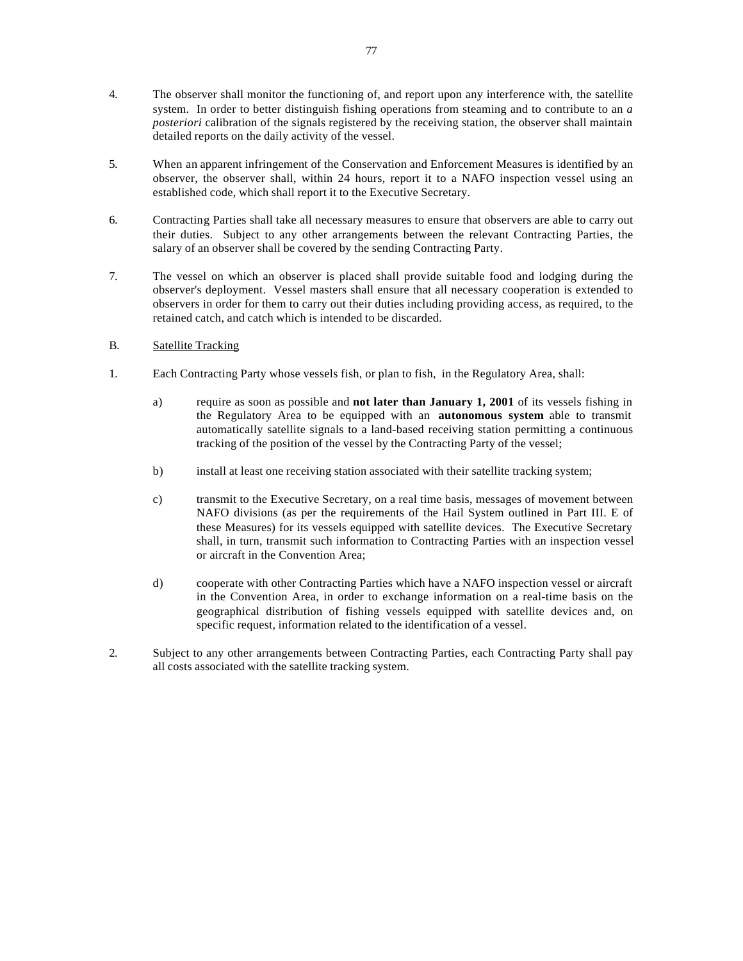- 4. The observer shall monitor the functioning of, and report upon any interference with, the satellite system. In order to better distinguish fishing operations from steaming and to contribute to an *a posteriori* calibration of the signals registered by the receiving station, the observer shall maintain detailed reports on the daily activity of the vessel.
- 5. When an apparent infringement of the Conservation and Enforcement Measures is identified by an observer, the observer shall, within 24 hours, report it to a NAFO inspection vessel using an established code, which shall report it to the Executive Secretary.
- 6. Contracting Parties shall take all necessary measures to ensure that observers are able to carry out their duties. Subject to any other arrangements between the relevant Contracting Parties, the salary of an observer shall be covered by the sending Contracting Party.
- 7. The vessel on which an observer is placed shall provide suitable food and lodging during the observer's deployment. Vessel masters shall ensure that all necessary cooperation is extended to observers in order for them to carry out their duties including providing access, as required, to the retained catch, and catch which is intended to be discarded.
- B. Satellite Tracking
- 1. Each Contracting Party whose vessels fish, or plan to fish, in the Regulatory Area, shall:
	- a) require as soon as possible and **not later than January 1, 2001** of its vessels fishing in the Regulatory Area to be equipped with an **autonomous system** able to transmit automatically satellite signals to a land-based receiving station permitting a continuous tracking of the position of the vessel by the Contracting Party of the vessel;
	- b) install at least one receiving station associated with their satellite tracking system;
	- c) transmit to the Executive Secretary, on a real time basis, messages of movement between NAFO divisions (as per the requirements of the Hail System outlined in Part III. E of these Measures) for its vessels equipped with satellite devices. The Executive Secretary shall, in turn, transmit such information to Contracting Parties with an inspection vessel or aircraft in the Convention Area;
	- d) cooperate with other Contracting Parties which have a NAFO inspection vessel or aircraft in the Convention Area, in order to exchange information on a real-time basis on the geographical distribution of fishing vessels equipped with satellite devices and, on specific request, information related to the identification of a vessel.
- 2. Subject to any other arrangements between Contracting Parties, each Contracting Party shall pay all costs associated with the satellite tracking system.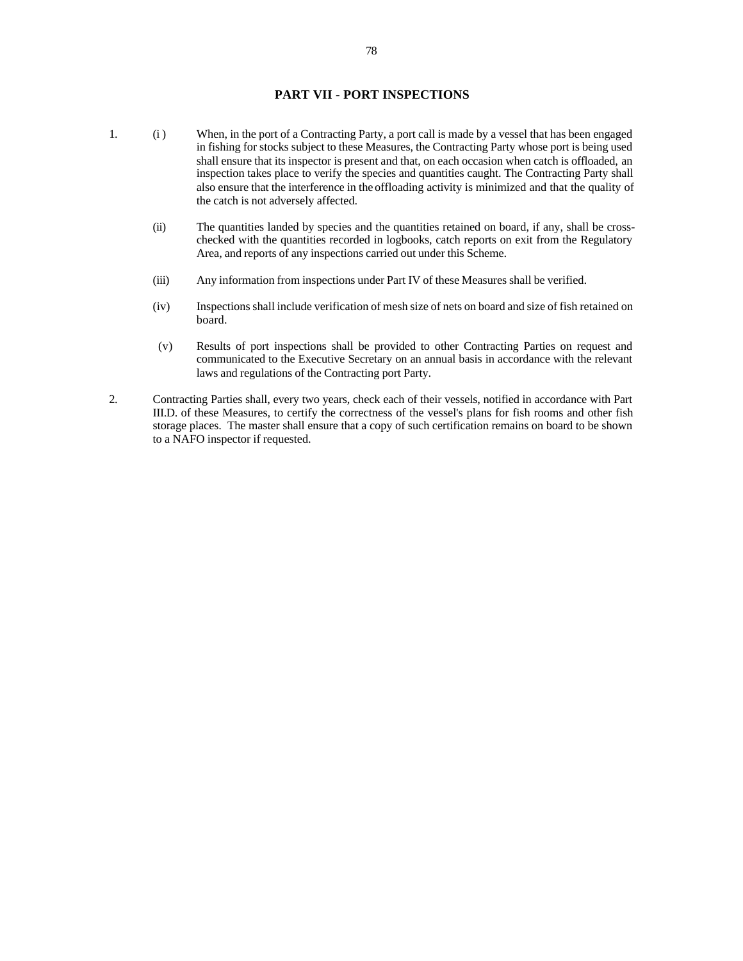## **PART VII - PORT INSPECTIONS**

- 1. (i) When, in the port of a Contracting Party, a port call is made by a vessel that has been engaged in fishing for stocks subject to these Measures, the Contracting Party whose port is being used shall ensure that its inspector is present and that, on each occasion when catch is offloaded, an inspection takes place to verify the species and quantities caught. The Contracting Party shall also ensure that the interference in the offloading activity is minimized and that the quality of the catch is not adversely affected.
	- (ii) The quantities landed by species and the quantities retained on board, if any, shall be crosschecked with the quantities recorded in logbooks, catch reports on exit from the Regulatory Area, and reports of any inspections carried out under this Scheme.
	- (iii) Any information from inspections under Part IV of these Measures shall be verified.
	- (iv) Inspections shall include verification of mesh size of nets on board and size of fish retained on board.
	- (v) Results of port inspections shall be provided to other Contracting Parties on request and communicated to the Executive Secretary on an annual basis in accordance with the relevant laws and regulations of the Contracting port Party.
- 2. Contracting Parties shall, every two years, check each of their vessels, notified in accordance with Part III.D. of these Measures, to certify the correctness of the vessel's plans for fish rooms and other fish storage places. The master shall ensure that a copy of such certification remains on board to be shown to a NAFO inspector if requested.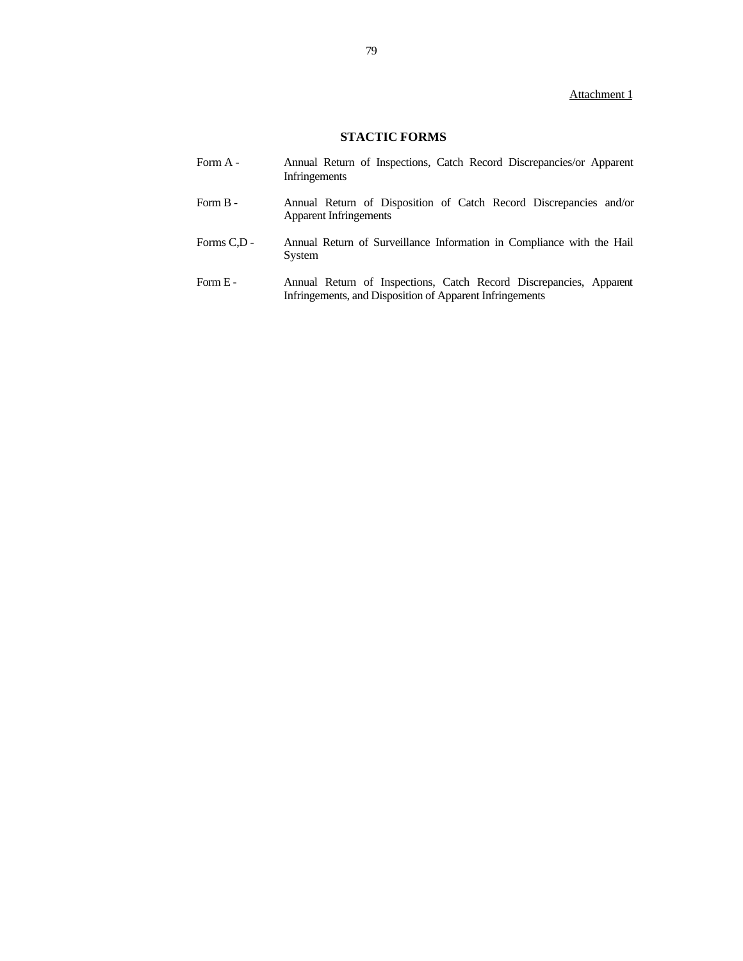## Attachment 1

# **STACTIC FORMS**

| Form A -    | Annual Return of Inspections, Catch Record Discrepancies/or Apparent<br>Infringements              |
|-------------|----------------------------------------------------------------------------------------------------|
| Form $B -$  | Annual Return of Disposition of Catch Record Discrepancies and/or<br><b>Apparent Infringements</b> |
| Forms C.D - | Annual Return of Surveillance Information in Compliance with the Hail<br>System                    |

Form E - Annual Return of Inspections, Catch Record Discrepancies, Apparent Infringements, and Disposition of Apparent Infringements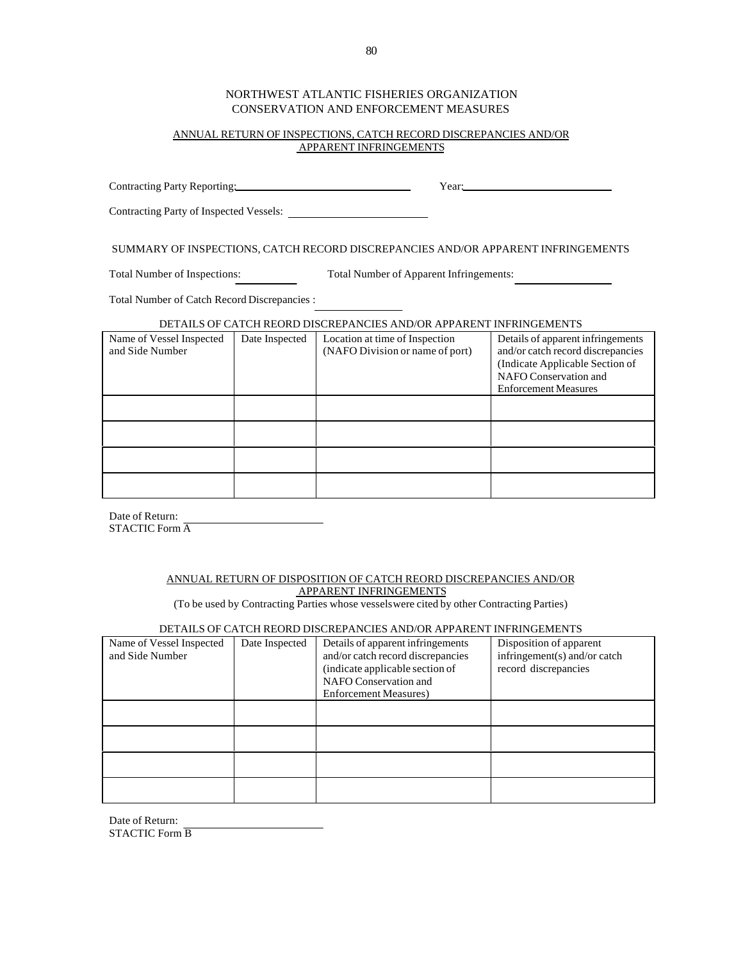## NORTHWEST ATLANTIC FISHERIES ORGANIZATION CONSERVATION AND ENFORCEMENT MEASURES

#### ANNUAL RETURN OF INSPECTIONS, CATCH RECORD DISCREPANCIES AND/OR APPARENT INFRINGEMENTS

Contracting Party Reporting: Year: Year: Year: Contracting Party of Inspected Vessels:

SUMMARY OF INSPECTIONS, CATCH RECORD DISCREPANCIES AND/OR APPARENT INFRINGEMENTS

Total Number of Inspections: Total Number of Apparent Infringements:

Total Number of Catch Record Discrepancies :

#### DETAILS OF CATCH REORD DISCREPANCIES AND/OR APPARENT INFRINGEMENTS

| Name of Vessel Inspected<br>and Side Number | Date Inspected | Location at time of Inspection<br>(NAFO Division or name of port) | Details of apparent infringements<br>and/or catch record discrepancies<br>(Indicate Applicable Section of<br>NAFO Conservation and<br><b>Enforcement Measures</b> |
|---------------------------------------------|----------------|-------------------------------------------------------------------|-------------------------------------------------------------------------------------------------------------------------------------------------------------------|
|                                             |                |                                                                   |                                                                                                                                                                   |
|                                             |                |                                                                   |                                                                                                                                                                   |
|                                             |                |                                                                   |                                                                                                                                                                   |
|                                             |                |                                                                   |                                                                                                                                                                   |

Date of Return: STACTIC Form A

#### ANNUAL RETURN OF DISPOSITION OF CATCH REORD DISCREPANCIES AND/OR APPARENT INFRINGEMENTS

(To be used by Contracting Parties whose vessels were cited by other Contracting Parties)

### DETAILS OF CATCH REORD DISCREPANCIES AND/OR APPARENT INFRINGEMENTS

| Name of Vessel Inspected<br>and Side Number | Date Inspected | Details of apparent infringements<br>and/or catch record discrepancies<br>(indicate applicable section of<br>NAFO Conservation and<br><b>Enforcement Measures</b> ) | Disposition of apparent<br>infringement(s) and/or catch<br>record discrepancies |
|---------------------------------------------|----------------|---------------------------------------------------------------------------------------------------------------------------------------------------------------------|---------------------------------------------------------------------------------|
|                                             |                |                                                                                                                                                                     |                                                                                 |
|                                             |                |                                                                                                                                                                     |                                                                                 |
|                                             |                |                                                                                                                                                                     |                                                                                 |
|                                             |                |                                                                                                                                                                     |                                                                                 |

Date of Return: STACTIC Form B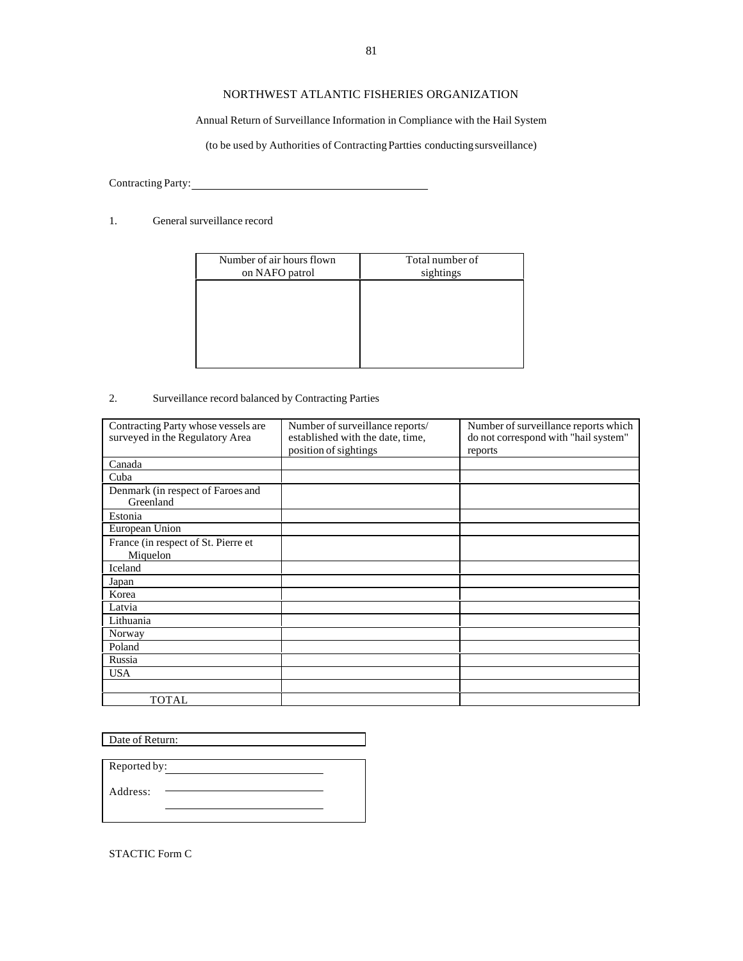## NORTHWEST ATLANTIC FISHERIES ORGANIZATION

## Annual Return of Surveillance Information in Compliance with the Hail System

(to be used by Authorities of Contracting Partties conducting sursveillance)

Contracting Party: 

### 1. General surveillance record

| Number of air hours flown<br>on NAFO patrol | Total number of<br>sightings |
|---------------------------------------------|------------------------------|
|                                             |                              |
|                                             |                              |
|                                             |                              |
|                                             |                              |

### 2. Surveillance record balanced by Contracting Parties

| Contracting Party whose vessels are | Number of surveillance reports/  | Number of surveillance reports which |
|-------------------------------------|----------------------------------|--------------------------------------|
| surveyed in the Regulatory Area     | established with the date, time, | do not correspond with "hail system" |
|                                     | position of sightings            | reports                              |
| Canada                              |                                  |                                      |
| Cuba                                |                                  |                                      |
| Denmark (in respect of Faroes and   |                                  |                                      |
| Greenland                           |                                  |                                      |
| Estonia                             |                                  |                                      |
| European Union                      |                                  |                                      |
| France (in respect of St. Pierre et |                                  |                                      |
| Miquelon                            |                                  |                                      |
| Iceland                             |                                  |                                      |
| Japan                               |                                  |                                      |
| Korea                               |                                  |                                      |
| Latvia                              |                                  |                                      |
| Lithuania                           |                                  |                                      |
| Norway                              |                                  |                                      |
| Poland                              |                                  |                                      |
| Russia                              |                                  |                                      |
| <b>USA</b>                          |                                  |                                      |
|                                     |                                  |                                      |
| <b>TOTAL</b>                        |                                  |                                      |

Date of Return:

| Reported by: |  |
|--------------|--|
| Address:     |  |
|              |  |

STACTIC Form C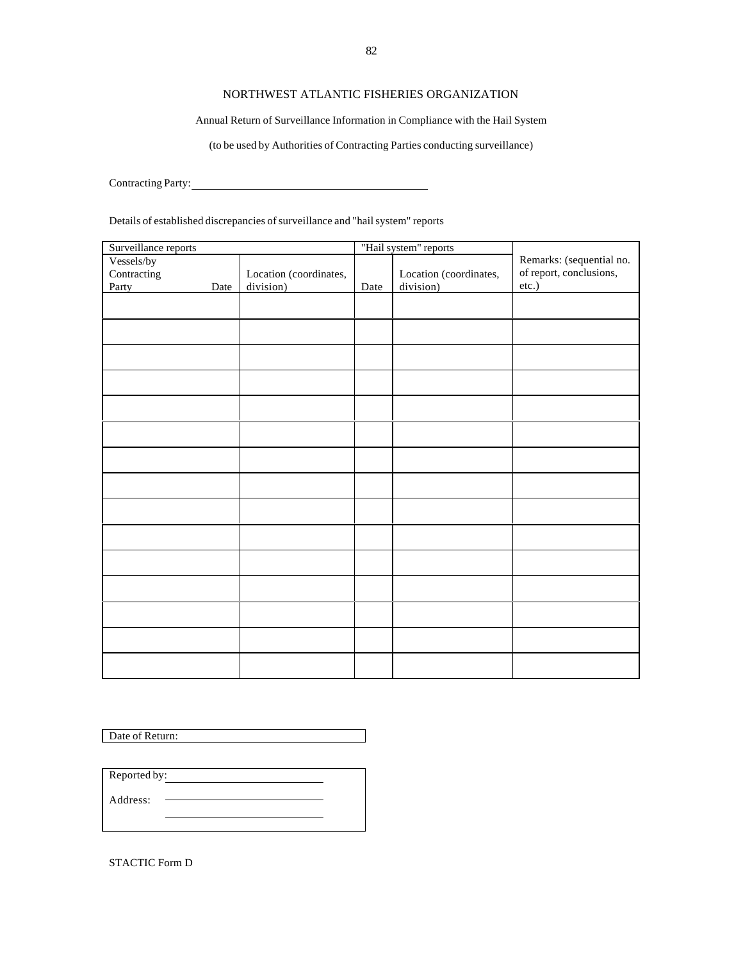## NORTHWEST ATLANTIC FISHERIES ORGANIZATION

### Annual Return of Surveillance Information in Compliance with the Hail System

(to be used by Authorities of Contracting Parties conducting surveillance)

Contracting Party: 

Details of established discrepancies of surveillance and "hail system" reports

| Surveillance reports |      | "Hail system" reports  |      |                        |                          |
|----------------------|------|------------------------|------|------------------------|--------------------------|
| Vessels/by           |      |                        |      |                        | Remarks: (sequential no. |
| Contracting          |      | Location (coordinates, |      | Location (coordinates, | of report, conclusions,  |
| Party                | Date | division)              | Date | division)              | etc.)                    |
|                      |      |                        |      |                        |                          |
|                      |      |                        |      |                        |                          |
|                      |      |                        |      |                        |                          |
|                      |      |                        |      |                        |                          |
|                      |      |                        |      |                        |                          |
|                      |      |                        |      |                        |                          |
|                      |      |                        |      |                        |                          |
|                      |      |                        |      |                        |                          |
|                      |      |                        |      |                        |                          |
|                      |      |                        |      |                        |                          |
|                      |      |                        |      |                        |                          |
|                      |      |                        |      |                        |                          |
|                      |      |                        |      |                        |                          |
|                      |      |                        |      |                        |                          |
|                      |      |                        |      |                        |                          |
|                      |      |                        |      |                        |                          |
|                      |      |                        |      |                        |                          |
|                      |      |                        |      |                        |                          |
|                      |      |                        |      |                        |                          |
|                      |      |                        |      |                        |                          |
|                      |      |                        |      |                        |                          |
|                      |      |                        |      |                        |                          |
|                      |      |                        |      |                        |                          |
|                      |      |                        |      |                        |                          |
|                      |      |                        |      |                        |                          |
|                      |      |                        |      |                        |                          |
|                      |      |                        |      |                        |                          |

Date of Return:

Reported by: Address:

STACTIC Form D